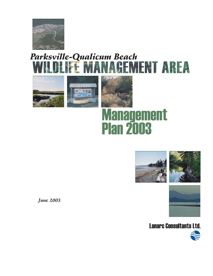

# Parksville-Qualicum Beach<br>WNDLIFE MANAGEMENT AREA







# **Management<br>Plan 2003**







**Lanarc Consultants Ltd.** 



*June 2003*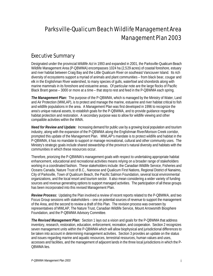# Parksville-Qualicum Beach Wildlife Management Area Management Plan 2003

# Executive Summary

Designated under the provincial *Wildlife Act* in 1993 and expanded in 2001, the Parksville-Qualicum Beach Wildlife Management Area (P-QBWMA) encompasses 1024 ha (2,529 acres) of coastal foreshore, estuary and river habitat between Craig Bay and the Little Qualicum River on southeast Vancouver Island. Its rich diversity of ecosystems support a myriad of animals and plant communities – from black bear, cougar and elk in the Englishman River watershed, to many species of gulls, waterfowl and shorebirds along with marine mammals in its foreshore and estuarine areas. Of particular note are the large flocks of Pacific Black Brant geese – 3000 or more at a time – that stop to rest and feed in the P-QBWMA each spring.

*The Management Plan:* The purpose of the P-QBWMA, which is managed by the Ministry of Water, Land and Air Protection (MWLAP), is to protect and manage the marine, estuarine and river habitat critical to fish and wildlife populations in the area. A Management Plan was first developed in 1996 to recognize the area's unique natural assets, to establish goals for the P-QBWMA, and to provide guidance regarding habitat protection and restoration. A secondary purpose was to allow for wildlife viewing and other compatible activities within the WMA.

*Need for Review and Update:* Increasing demand for public use by a growing local population and tourism industry, along with the expansion of the P-QBWMA along the Englishman River/Morison Creek corridor, prompted this update of the Management Plan. MWLAP's mandate is to protect wildlife and habitat in the P-QBWMA, it has no mandate to support or manage recreational, cultural and other community uses. The Ministry's strategic goals include shared stewardship of the province's natural diversity and habitats with the communities in which these resources occur.

Therefore, priorizing the P-QBWMA's management goals with respect to undertaking appropriate habitat enhancement, educational and recreational activities means relying on a broader range of stakeholders working in a coordinated fashion. These stakeholders include: the Canadian Wildlife Service, Fisheries and Oceans Canada, Nature Trust of B.C., Nanoose and Qualicum First Nations, Regional District of Nanaimo, City of Parksville, Town of Qualicum Beach, the Pacific Salmon Foundation, several local environmental organizations, and the local resort and tourism sector. It also mean considering a wider variety of funding sources and revenue generating options to support managed activities. The participation of all these groups has been incorporated into this revised Management Plan.

*Review Process:* Updating the Plan involved a review of recent reports related to the P-QBWMA, and two Focus Group sessions with stakeholders – one on potential sources of revenue to support the management of the Area, and the second to review a draft of this Plan. The revision process was overseen by representatives of MWLAP, The Nature Trust, Canadian Wildlife Service, Mount Arrowsmith Biosphere Foundation, and the P-QBWMA Advisory Committee.

**The Revised Management Plan:** Section 1 lays out a vision and goals for the P-QBWMA that address inventory, research, restoration, education, enforcement, recreation, and cooperation. Section 2 recognizes seven management units within the P-QBWMA which will allow biophysical and jurisdictional differences to be taken into account in determining management activities. Section 3 provides an update on the status and issues regarding marine and aquatic resources, terrestrial resources, human values and uses, accesses and facilities, and the management of adjacent lands in the three local jurisdictions in which the P-QBWMA lies.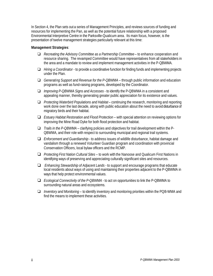In Section 4, the Plan sets out a series of Management Principles, and reviews sources of funding and resources for implementing the Pan, as well as the potential future relationship with a proposed Environmental Interpretive Centre in the Parksville-Qualicum area. Its main focus, however, is the presentation of twelve management strategies particularly relevant at this time:

#### **Management Strategies**:

- q *Recreating the Advisory Committee as a Partnership Committee –* to enhance cooperation and resource sharing. The revamped Committee would have representatives from all stakeholders in the area and a mandate to review and implement management activities in the P-QBWMA.
- **Q** *Hiring a Coordinator* to provide a coordinative function for finding funds and implementing projects under the Plan.
- □ *Generating Support and Revenue for the P-QBWMA* through public information and education programs as well as fund-raising programs, developed by the Coordinator.
- q *Improving P-QBWMA Signs and Accesses* to identify the P-QBWMA in a consistent and appealing manner, thereby generating greater public appreciation for its existence and values.
- q *Protecting Waterbird Populations and Habitat* continuing the research, monitoring and reporting work done over the last decade, along with public education about the need to avoid disturbance of migratory birds and their habitat.
- q *Estuary Habitat Restoration and Flood Protection* with special attention on reviewing options for improving the Mine Road Dyke for both flood protection and habitat.
- q *Trails in the P-QBWMA* clarifying policies and objectives for trail development within the P-QBWMA, and their role with respect to surrounding municipal and regional trail systems.
- **D** *Enforcement and Guardianship* to address issues of wildlife disturbance, habitat damage and vandalism through a renewed Volunteer Guardian program and coordination with provincial Conservation Officers, local bylaw officers and the RCMP.
- □ *Protecting First Nation Cultural Sites* to work with the Nanoose and Qualicum First Nations in identifying ways of preserving and appreciating culturally significant sites and resources.
- q *Enhancing Stewardship of Adjacent Lands* to support and encourage programs that educate local residents about ways of using and maintaining their properties adjacent to the P-QBWMA in ways that help protect environmental values.
- q *Ecological Connectivity of the P-QBWMA*  to act on opportunities to link the P-QBWMA to surrounding natural areas and ecosystems.
- q *Inventory and Monitoring* to identify inventory and monitoring priorities within the PQB-WMA and find the means to implement these activities.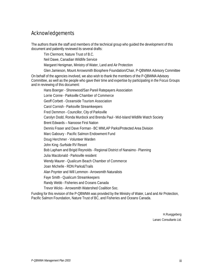# Acknowledgements

The authors thank the staff and members of the technical group who guided the development of this document and patiently reviewed its several drafts:

Tim Clermont, Nature Trust of B.C.

Neil Dawe, Canadian Wildlife Service

Margaret Henigman, Ministry of Water, Land and Air Protection

Glen Jamieson, Mount Arrowsmith Biosphere Foundation/Chair, P-QBWMA Advisory Committee

On behalf of the agencies involved, we also wish to thank the members of the P-QBWMA Advisory Committee, as well as the people who gave their time and expertise by participating in the Focus Groups and in reviewing of this document:

Hans Boerger - Shorewood/San Pareil Ratepayers Association Lorrie Conne - Parksville Chamber of Commerce Geoff Corbett - Oceanside Tourism Association Carol Cornish - Parksville Streamkeepers Fred Demmon - Councillor, City of Parksville Carolyn Dodd, Ronda Murdock and Brenda Paul - Mid-Island Wildlife Watch Society Brent Edwards – Nanoose First Nation Dennis Fraser and Dave Forman - BC MWLAP Parks/Protected Area Division Marc Gaboury - Pacific Salmon Endowment Fund Doug Herchmer - Volunteer Warden John King -Surfside RV Resort Bob Lapham and Brigid Reynolds - Regional District of Nanaimo - Planning Julia Macdonald - Parksville resident Wendy Maurer - Qualicum Beach Chamber of Commerce Joan Michelle - RDN Parks&Trails Alan Poynter and Will Lemmon - Arrowsmith Naturalists Faye Smith - Qualicum Streamkeepers Randy Webb - Fisheries and Oceans Canada Trevor Wicks - Arrowsmith Watershed Coalition Soc.

Funding for this revision of the P-QBWMA was provided by the Ministry of Water, Land and Air Protection, Pacific Salmon Foundation, Nature Trust of BC, and Fisheries and Oceans Canada.

> H.Rueggeberg Lanarc Consultants Ltd.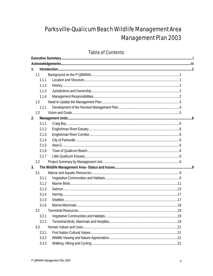# Parksville-Qualicum Beach Wildlife Management Area Management Plan 2003

# **Table of Contents**

| $1_{\cdot}$ |       |  |  |
|-------------|-------|--|--|
|             | 1.1   |  |  |
|             | 1.1.1 |  |  |
|             | 1.1.2 |  |  |
|             | 1.1.3 |  |  |
|             | 1.1.4 |  |  |
|             | 1.2   |  |  |
|             | 1.2.1 |  |  |
|             | 1.3   |  |  |
| 2.          |       |  |  |
|             | 2.1.1 |  |  |
|             | 2.1.2 |  |  |
|             | 2.1.3 |  |  |
|             | 2.1.4 |  |  |
|             | 2.1.5 |  |  |
|             | 2.1.6 |  |  |
|             | 2.1.7 |  |  |
|             | 2.2   |  |  |
| 3.          |       |  |  |
|             | 3.1   |  |  |
|             | 3.1.1 |  |  |
|             | 3.1.2 |  |  |
|             | 3.1.3 |  |  |
|             | 3.1.4 |  |  |
|             | 3.1.5 |  |  |
|             | 3.1.6 |  |  |
|             | 3.2   |  |  |
|             | 3.2.1 |  |  |
|             | 3.2.2 |  |  |
|             | 3.3   |  |  |
|             | 3.3.1 |  |  |
|             | 3.3.2 |  |  |
|             | 3.3.3 |  |  |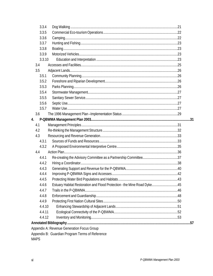|    | 3.3.4  |                                                                         |  |
|----|--------|-------------------------------------------------------------------------|--|
|    | 3.3.5  |                                                                         |  |
|    | 3.3.6  |                                                                         |  |
|    | 3.3.7  |                                                                         |  |
|    | 3.3.8  |                                                                         |  |
|    | 3.3.9  |                                                                         |  |
|    | 3.3.10 |                                                                         |  |
|    | 3.4    |                                                                         |  |
|    | 3.5    |                                                                         |  |
|    | 3.5.1  |                                                                         |  |
|    | 3.5.2  |                                                                         |  |
|    | 3.5.3  |                                                                         |  |
|    | 3.5.4  |                                                                         |  |
|    | 3.5.5  |                                                                         |  |
|    | 3.5.6  |                                                                         |  |
|    | 3.5.7  |                                                                         |  |
|    | 3.6    |                                                                         |  |
| 4. |        |                                                                         |  |
|    | 4.1    |                                                                         |  |
|    | 4.2    |                                                                         |  |
|    | 4.3    |                                                                         |  |
|    | 4.3.1  |                                                                         |  |
|    | 4.3.2  |                                                                         |  |
|    | 4.4    |                                                                         |  |
|    | 4.4.1  |                                                                         |  |
|    | 4.4.2  |                                                                         |  |
|    | 4.4.3  |                                                                         |  |
|    | 4.4.4  |                                                                         |  |
|    | 4.4.5  |                                                                         |  |
|    | 4.4.6  | Estuary Habitat Restoration and Flood Protection - the Mine Road Dyke45 |  |
|    | 4.4.7  |                                                                         |  |
|    | 4.4.8  |                                                                         |  |
|    | 4.4.9  |                                                                         |  |
|    | 4.4.10 |                                                                         |  |
|    | 4.4.11 |                                                                         |  |
|    | 4.4.12 |                                                                         |  |
|    |        |                                                                         |  |
|    |        | Appendix A: Revenue Generation Focus Group                              |  |
|    |        |                                                                         |  |

Appendix B: Guardian Program Terms of Reference

**MAPS**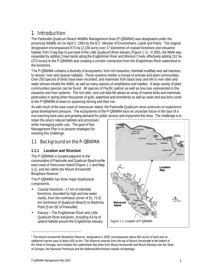# 1. Introduction

The Parksville-Qualicum Beach Wildlife Management Area (P-QBWMA) was designated under the provincial *Wildlife Act* on April 2, 1993 by the B.C. Minister of Environment, Lands and Parks. The original designation encompassed 873-ha (2,156 acre) over 17 kilometres of coastal foreshore and estuarine habitat, from Craig Bay to just west of the Little Qualicum River estuary (Figure 1-1). In 2001, the WMA was expanded by adding Crown lands along the Englishman River and Morison Creek, effectively adding 151 ha (373 acres) to the P-QBWMA and creating a corridor connection from the Englishman River watershed to the foreshore.

The P-QBWMA contains a diversity of ecosystems, from rich estuaries, intertidal mudflats and salt marshes, to stream, river and riparian habitats. These systems shelter a myriad of animals and plant communities. Over 250 species of birds have been recorded, and mammals from black bear and elk to river otter and water shrews inhabit the WMA, as well as many species of amphibians and reptiles. A large variety of plant communities species can be found. All species of Pacific salmon as well as trout are represented in the estuaries and river systems. The rich inter- and sub-tidal life attract an array of marine birds and mammals, particularly in spring when thousands of gulls, waterfowl and shorebirds as well as seals and sea lions come to the P-QBWMA to feast on spawning herring and their roe.

As with much of the east coast of Vancouver Island, the Parksville-Qualicum area continues to experience great development pressure. The ecosystems of the P-QBWMA face an uncertain future in the face of a encroaching land uses and growing demand for public access and enjoyment the Area. The challenge is to

retain the area's natural habitats and processes while managing public use. The goal of this Management Plan is to present strategies for meeting this challenge.

# 1.1 Background on the P-QBWMA

## **1.1.1 Location and Structure**

The P-QBWMA is located adjacent to the communities of Parksville and Qualicum Beach on the east coast of Vancouver Island (Figure 1-1 and Map 1-1), and lies within the Mount Arrowsmith Biosphere Reserve. 1

The P-QBWMA has three major biophysical components:

- *Coastal foreshore -* 17 km of intertidal foreshore, bounded by high and low water marks, from the northwest corner of DL 73 (5 km northwest of Qualicum Beach) to Madrona Point (5 km SE of Parksville).
- *Estuary –* The Englishman River and Little Qualicum River estuaries, including 43 ha of upland habitat around the Englishman estuary.



<sup>1</sup> The Mount Arrowsmith Biosphere Reserve, designated in 2000, encompasses about 800 sq km of land and an additional marine area of about 400 sq km. The Reserve extends from the top of Mount Arrowsmith to the bottom of the Strait of Georgia, and includes five watersheds that drain from Mount Arrowsmith and Mount Moriarty into the Strait of Georgia, the Nanoose Peninsula and the Ballenas/Winchelsea Islands Archipelago.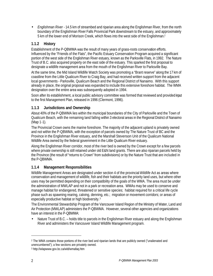• *Englishman River -* 14.5 km of streambed and riparian area along the Englishman River, from the north boundary of the Englishman River Falls Provincial Park downstream to the estuary, and approximately 5 km of the lower end of Morison Creek, which flows into the west side of the Englishman.<sup>2</sup>

## **1.1.2 History**

Establishment of the P-QBWMA was the result of many years of grass-roots conservation efforts. Influenced by the "Friends of the Flats", the Pacific Estuary Conservation Program acquired a significant portion of the west side of the Englishman River estuary, known as the Parksville Flats, in 1992. The Nature Trust of B.C. also acquired property on the east side of the estuary. This sparked the first proposal to designate a wildlife management area from the mouth of the Englishman River to Parksville Bay.

At the same time, the Mid Island Wildlife Watch Society was promoting a "Brant reserve" along the 17 km of coastline from the Little Qualicum River to Craig Bay, and had received written support from the adjacent local governments - Parksville, Qualicum Beach and the Regional District of Nanaimo. With this support already in place, the original proposal was expanded to include this extensive foreshore habitat. The WMA designation over the entire area was subsequently adopted in 1994.

Soon after its establishment, a local public advisory committee was formed that reviewed and provided input to the first Management Plan, released in 1996 (Clermont, 1996).

## **1.1.3 Jurisdictions and Ownership**

About 40% of the P-QBWMA lies within the municipal boundaries of the City of Parksville and the Town of Qualicum Beach, with the remaining land falling within 3 electoral areas in the Regional District of Nanaimo (Map 1-1).

The Provincial Crown owns the marine foreshore. The majority of the adjacent upland is privately owned and not within the P-QBWMA, with the exception of parcels owned by The Nature Trust of BC and the Province in the Englishman River estuary, and the Marshall Stevenson Unit of the Qualicum National Wildlife Area owned by the federal government in the Little Qualicum River estuary.

Along the Englishman River corridor, most of the river bed is owned by the Crown except for a few parcels where private ownership is still retained under old E&N land grants. There are also riparian parcels held by the Province (the result of "returns to Crown" from subdivisions) or by the Nature Trust that are included in the P-QBWMA.

## **1.1.4 Management Responsibilities**

Wildlife Management Areas are designated under section 4 of the provincial *Wildlife* Act as areas where conservation and management of wildlife, fish and their habitats are the priority land uses, but where other uses may be permitted depending on their compatibility of the goals of the WMA. The area must be under the administration of MWLAP and not in a park or recreation area. WMAs may be used to conserve and manage habitat for endangered, threatened or sensitive species; habitat required for a critical life cycle phase such as spawning rearing, calving, denning, etc.; migration or movement corridors; or areas of especially productive habitat or high biodiversity.<sup>3</sup>

The Environmental Stewardship Program of the Vancouver Island Region of the Ministry of Water, Land and Air Protection (MWLAP) administers the P-QBWMA. However, several other agencies and organizations have an interest in the P-QBWMA:

Nature Trust of B.C. – holds title to parcels in the Englishman River estuary and along the Englishman River and administers the Vancouver Island Wildlife Management program.

<sup>2</sup> The WMA contains those portions of the river bed and riparian lands that are publicly owned ("unalienated and unencumbered"); a few sections are privately owned.

<sup>3</sup> http://wlapwww.gov.bc.ca/wld/wmafaq.htm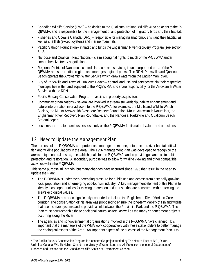- Canadian Wildlife Service (CWS) holds title to the Qualicum National Wildlife Area adjacent to the P-QBWMA, and is responsible for the management of and protection of migratory birds and their habitat.
- Fisheries and Oceans Canada (DFO) responsible for managing anadromous fish and their habitat, as well as shellfish (except oysters) and marine mammals.
- Pacific Salmon Foundation initiated and funds the Englishman River Recovery Program (see section 3.1.3).
- Nanoose and Qualicum First Nations claim aboriginal rights to much of the P-QBWMA under comprehensive treaty negotiations.
- Regional District of Nanaimo controls land use and servicing in unincorporated parts of the P-QBWMA and surrounding region, and manages regional parks. The RDN, Parksville and Qualicum Beach operate the Arrowsmith Water Service which draws water from the Englishman River.
- City of Parksville and Town of Qualicum Beach control land use and services within their respective municipalities within and adjacent to the P-QBWMA, and share responsibility for the Arrowsmith Water Service with the RDN.
- Pacific Estuary Conservation Program<sup>4</sup> assists in property acquisitions.
- Community organizations several are involved in stream stewardship, habitat enhancement and nature interpretation in or adjacent to the P-QBWMA; for example, the Mid Island Wildlife Watch Society, the Mount Arrowsmith Biosphere Reserve Foundation, Mount Arrowsmith Naturalists, the Englishman River Recovery Plan Roundtable, and the Nanoose, Parksville and Qualicum Beach Streamkeepers.
- Local resorts and tourism businesses rely on the P-QBWMA for its natural values and attractions.

# 1.2 Need to Update the Management Plan

The purpose of the P-QBWMA is to protect and manage the marine, estuarine and river habitat critical to fish and wildlife populations in the area. The 1996 Management Plan was developed to recognize the area's unique natural assets, to establish goals for the P-QBWMA, and to provide guidance as to habitat protection and restoration. A secondary purpose was to allow for wildlife viewing and other compatible activities within the P-QBWMA.

This same purpose still stands, but many changes have occurred since 1996 that result in the need to update the Plan:

- The P-QBWMA is under ever-increasing pressure for public use and access from a steadily growing local population and an emerging eco-tourism industry. A key management element of this Plan is to identify those opportunities for viewing, recreation and tourism that are consistent with protecting the area's ecological values.
- The P-QBWMA has been significantly expanded to include the Englishman River/Morison Creek corridor. The conservation of this area was proposed to ensure the long-term viability of fish and wildlife that use the river systems and to provide a link between the Provincial Park and the P-QBWMA. The Plan must now recognize these additional natural assets, as well as the many enhancement projects occurring along the River.
- The agencies and nongovernmental organizations involved in the P-QBWMA have changed. It is important that the managers of the WMA work cooperatively with these stakeholders to better manage the ecological assets of the Area. An important aspect of the success of the Management Plan is to

<sup>4</sup> The Pacific Estuary Conservation Program is a cooperative project funded by The Nature Trust of B.C., Ducks Unlimited Canada, Wildlife Habitat Canada, the Ministry of Water, Land and Air Protection, the federal Department of Fisheries and Oceans and the Canadian Wildlife Service of Environment Canada.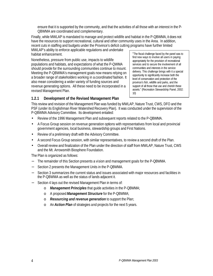ensure that it is supported by the community, and that the activities of all those with an interest in the P-QBWMA are coordinated and complementary.

Finally, while MWLAP is mandated to manage and protect wildlife and habitat in the P-QBWMA, it does not have the resources to support recreational, cultural and other community uses in the Area. In addition, recent cuts in staffing and budgets under the Province's deficit cutting programs have further limited

MWLAP's ability to enforce applicable regulations and undertake habitat enhancement.

Nonetheless, pressure from public use, impacts to wildlife populations and habitats, and expectations of what the P-QWMA should provide for the surrounding communities continue to mount. Meeting the P-QBWMA's management goals now means relying on a broader range of *stakeholders* working in a *coordinated* fashion. It also mean considering a wider variety of funding sources and revenue generating options. All these need to be incorporated in a revised Management Plan.

"The fiscal challenge faced by the panel was to find new ways to involve all users in paying appropriately for the provision of recreational services and to secure the involvement of all communities and interests in the service delivery. This challenge brings with it a special opportunity to significantly increase both the level of conservation and protection of the province's fish, wildlife and parks, and the support of all those that use and cherish these assets." (Recreation Stewardship Panel, 2002: 10)

## **1.2.1 Development of the Revised Management Plan**

This review and revision of the Management Plan was funded by MWLAP, Nature Trust, CWS, DFO and the PSF (under its Englishman River Watershed Recovery Plan). It was conducted under the supervision of the P-QBWMA Advisory Committee. Its development entailed:

- Review of the 1996 Management Plan and subsequent reports related to the P-QBWMA.
- A Focus Group session on revenue generation options with representatives from local and provincial government agencies, local business, stewardship groups and First Nations.
- Review of a preliminary draft with the Advisory Committee.
- A second Focus Group session, with similar representatives, to review a second draft of the Plan.
- Overall review and finalization of the Plan under the direction of staff from MWLAP, Nature Trust, CWS and the Mt. Arrowsmith Biosphere Foundation.

The Plan is organized as follows:

- The remainder of this Section presents a vision and management goals for the P-QBWMA.
- − Section 2 presents the Management Units in the P-QBWMA.
- Section 3 summarizes the current status and issues associated with major resources and facilities in the P-QBWMA as well as the status of lands adjacent it.
- Section 4 lays out the revised Management Plan in terms of:
	- o *Management Principles* that guide activities in the P-QBWMA;
	- o A proposed *Management Structure* for the P-QBWMA;
	- o *Resourcing and revenue generation* to support the Plan;
	- o An *Action Plan* of strategies and projects for the next 5 years.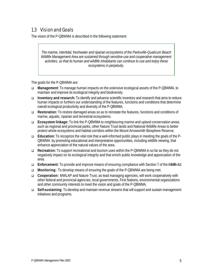## 1.3 Vision and Goals

The vision of the P-QBWMA is described in the following statement:

*The marine, intertidal, freshwater and riparian ecosystems of the Parksville-Qualicum Beach Wildlife Management Area are sustained through sensitive use and cooperative management activities, so that its human and wildlife inhabitants can continue to use and enjoy these ecosystems in perpetuity.*

The goals for the P-QBWMA are:

- q **Management**: To manage human impacts on the extensive ecological assets of the P-QBWMA, to maintain and improve its ecological integrity and biodiversity.
- q **Inventory and research:** To identify and advance scientific inventory and research that aims to reduce human impacts or furthers our understanding of the features, functions and conditions that determine overall ecological productivity and diversity of the P-QBWMA.
- q **Restoration:** To restore damaged areas so as to reinstate the features, functions and conditions of marine, aquatic, riparian and terrestrial ecosystems.
- q **Ecosystem linkage:** To link the P-QBWMA to neighbouring marine and upland conservation areas such as regional and provincial parks, other Nature Trust lands and National Wildlife Areas to better protect whole ecosystems and habitat corridors within the Mount Arrowsmith Biosphere Reserve.
- q **Education:** To recognize the vital role that a well-informed public plays in meeting the goals of the P-QBWMA by promoting educational and interpretative opportunities, including wildlife viewing, that enhance appreciation of the natural values of the area.
- q **Recreation:** To support recreational and tourism uses within the P-QBWMA in so far as they do not negatively impact on its ecological integrity and that enrich public knowledge and appreciation of the area.
- q **Enforcement:** To provide and improve means of ensuring compliance with Section 7 of the *Wildlife Act*.
- q **Monitoring:** To develop means of ensuring the goals of the P-QBWMA are being met.
- q **Cooperation:** MWLAP and Nature Trust, as lead managing agencies, will work cooperatively with other federal and provincial agencies, local governments, First Nations, environmental organizations and other community interests to meet the vision and goals of the P-QBWMA.
- q **Self-sustaining**: To develop and maintain revenue streams that will support and sustain management initiatives and programs.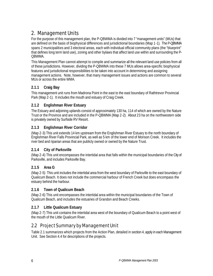# 2. Management Units

For the purpose of this management plan, the P-QBWMA is divided into 7 "management units" (MUs) that are defined on the basis of biophysical differences and jurisdictional boundaries (Map 1-1). The P-QBWMA spans 2 municipalities and 3 electoral areas, each with individual official community plans (the "blueprint" that defines long term land use), zoning and other bylaws that affect land use within and surrounding the P-QBWMA.

This Management Plan cannot attempt to compile and summarize all the relevant land use policies from all of these jurisdictions. However, dividing the P-QBWMA into these 7 MUs allows area-specific biophysical features and jurisdictional responsibilities to be taken into account in determining and assigning management actions. Note, however, that many management issues and actions are common to several MUs or across the entire WMA.

## **2.1.1 Craig Bay**

This management unit runs from Madrona Point in the east to the east boundary of Rathtrevor Provincial Park (Map 2-1). It includes the mouth and estuary of Craig Creek.

## **2.1.2 Englishman River Estuary**

The Estuary and adjoining uplands consist of approximately 130 ha, 114 of which are owned by the Nature Trust or the Province and are included in the P-QBWMA (Map 2-2). About 23 ha on the northwestern side is privately owned by Surfside RV Resort.

## **2.1.3 Englishman River Corridor**

(Map 2-3) This unit extends 14 km upstream from the Englishman River Estuary to the north boundary of Englishman River Falls Provincial Park, as well as 5 km of the lower end of Morison Creek. It includes the river bed and riparian areas that are publicly owned or owned by the Nature Trust.

## **2.1.4 City of Parksville**

(Map 2-4) This unit encompasses the intertidal area that falls within the municipal boundaries of the City of Parksville, and includes Parksville Bay.

## **2.1.5 Area G**

(Map 2-5) This unit includes the intertidal area from the west boundary of Parksville to the east boundary of Qualicum Beach. It does not include the commercial harbour of French Creek but does encompass the estuary behind the harbour.

## **2.1.6 Town of Qualicum Beach**

(Map 2-6) This unit encompasses the intertidal area within the municipal boundaries of the Town of Qualicum Beach, and includes the estuaries of Grandon and Beach Creeks.

## **2.1.7 Little Qualicum Estuary**

(Map 2-7) This unit contains the intertidal area west of the boundary of Qualicum Beach to a point west of the mouth of the Little Qualicum River.

# 2.2 Project Summary by Management Unit

Table 2.1 summarizes which projects from the Action Plan, detailed in section 4, apply in each Management Unit. See Section 4.4 for descriptions of the projects.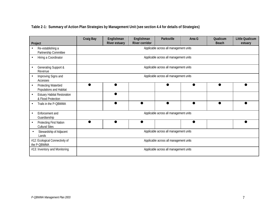## **Table 2-1: Summary of Action Plan Strategies by Management Unit (see section 4.4 for details of Strategies)**

| Project                                                 |                                                          | <b>Craig Bay</b>                       | Englishman<br><b>River estuary</b> | Englishman<br><b>River corridor</b>    | <b>Parksville</b>                      | Area G | Qualicum<br><b>Beach</b> | <b>Little Qualicum</b><br>estuary |  |  |
|---------------------------------------------------------|----------------------------------------------------------|----------------------------------------|------------------------------------|----------------------------------------|----------------------------------------|--------|--------------------------|-----------------------------------|--|--|
| Re-establishing a<br>$\bullet$<br>Partnership Committee |                                                          | Applicable across all management units |                                    |                                        |                                        |        |                          |                                   |  |  |
| $\bullet$                                               | Hiring a Coordinator                                     |                                        |                                    |                                        | Applicable across all management units |        |                          |                                   |  |  |
| $\bullet$                                               | Generating Support &<br>Revenue                          |                                        |                                    |                                        | Applicable across all management units |        |                          |                                   |  |  |
| $\bullet$                                               | Improving Signs and<br>Accesses                          |                                        |                                    | Applicable across all management units |                                        |        |                          |                                   |  |  |
| $\bullet$                                               | Protecting Waterbird<br>Populations and Habitat          |                                        |                                    |                                        |                                        |        |                          |                                   |  |  |
| $\bullet$                                               | <b>Estuary Habitat Restoration</b><br>& Flood Protection |                                        |                                    |                                        |                                        |        |                          |                                   |  |  |
| $\bullet$                                               | Trails in the P-QBWMA                                    |                                        |                                    |                                        |                                        |        |                          |                                   |  |  |
| $\bullet$                                               | Enforcement and<br>Guardianship                          |                                        |                                    |                                        | Applicable across all management units |        |                          |                                   |  |  |
| $\bullet$                                               | <b>Protecting First Nation</b><br><b>Cultural Sites</b>  |                                        |                                    |                                        |                                        |        |                          |                                   |  |  |
|                                                         | Stewardship of Adjacent<br>Lands                         | Applicable across all management units |                                    |                                        |                                        |        |                          |                                   |  |  |
| #12: Ecological Connectivity of<br>the P-QBWMA          |                                                          |                                        |                                    |                                        | Applicable across all management units |        |                          |                                   |  |  |
| #13: Inventory and Monitoring                           |                                                          |                                        |                                    |                                        | Applicable across all management units |        |                          |                                   |  |  |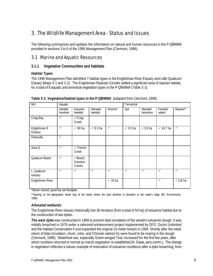# 3. The Wildlife Management Area - Status and Issues

The following summarizes and updates the information on natural and human resources in the P-QBWMA provided in sections 3 to 6 of the 1996 Management Plan (Clermont, 1996).

## 3.1 Marine and Aquatic Resources

## **3.1.1 Vegetative Communities and Habitats**

## *Habitat Types*

The 1996 Management Plan identified 7 habitat types in the Englishman River Estuary and Little Qualicum Estuary (Maps 3-1 and 3-2). The Englishman Riparian Corridor added a significant area of riparian habitat, for a total of 8 aquatic and terrestrial vegetation types in the P-QBWMA (Table 3-1).

| MU                      | Aquatic                 |                                          |                         |                    | Terrestrial         |                        |                      |                 |  |
|-------------------------|-------------------------|------------------------------------------|-------------------------|--------------------|---------------------|------------------------|----------------------|-----------------|--|
|                         | Intertidal<br>foreshore | Estuarine<br>Intertidal                  | Alienated<br>intertidal | Riverine*          | Spit                | Alienated<br>backshore | Forested<br>upland   | Riparian**      |  |
| Craig Bay               | $\checkmark$            | $\checkmark$ Craig<br>Creek              |                         |                    |                     |                        |                      |                 |  |
| Englishman R<br>Estuary | ✓                       | $\sqrt{80}$ ha                           | $\checkmark$ 8.3 ha     | $\checkmark$       | $\checkmark$ 0.5 ha | $\sqrt{3.9}$ ha        | $\checkmark$ 43.7 ha | $\checkmark$    |  |
| Parksville              | $\checkmark$            |                                          |                         |                    |                     |                        |                      |                 |  |
| Area G                  | ✓                       | $\checkmark$ French<br>Creek             |                         |                    |                     |                        |                      |                 |  |
| Qualicum Beach          | $\checkmark$            | $\checkmark$ Beach,<br>Grandon<br>Creeks |                         |                    |                     |                        |                      |                 |  |
| L. Qualicum<br>estuary  | ✓                       | ✓                                        | $\checkmark$            | $\checkmark$       | $\checkmark$        | $\checkmark$           | $\checkmark$         | $\checkmark$    |  |
| Englishman River        |                         |                                          |                         | $\checkmark$ 33 ha |                     |                        | $\checkmark$         | $\sqrt{118}$ ha |  |

**Table 3-1: Vegetative/habitat types in the P-QBWMA** (adapted from Clermont, 1996)

\*Stream channel, gravel bar and floodplain.

\*\*Starting at the opographic break (top of the bank) where the land declines in elevation to the water's edge (BC Environment, 1996)

## *Alienated wetlands*

The Englishman River estuary historically lost 36 hectares (from a total of 54 ha) of estuarine habitat due to the construction of two dykes.

*The west dyke* was constructed in 1969 to prevent tidal inundation of the western estuarine slough. It was initially breached in 1979 under a salmonid enhancement project implemented by DFO. Ducks Unlimited and the Habitat Conservation Fund expanded the original 10-meter breach in 1994. Shortly after the initial return of tidal circulation, chum, coho, and Chinook salmon fry were found to be rearing in the slough (Clermont, 1996). Waterfowl use, especially Green-winged Teal, increased for the first few years, after which numbers returned to normal as marsh vegetation re-established (N. Dawe, pers.comm.). The change in vegetation reflected a classic example of restoration of estuarine conditions after a dyke breaching; from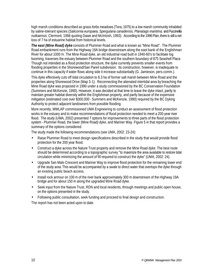high marsh conditions described as grass-forbs meadows (Tera, 1975) to a low marsh community inhabited by saline-tolerant species (*Salicornia europaea, Spergularia canadensis, Planatago maritima,* and *Puccinellia nutkaensis*; Clermont, 1996 quoting Dawe and McIntosh, 1993). According to the 1996 Plan, there is still a net loss of 7 ha of estuarine habitat from historical levels.

*The east (Mine Road) dyke* consists of Plummer Road and what is known as "Mine Road". The Plummer Road embankment runs from the Highway 19A bridge downstream along the east bank of the Englishman River for about 1000 m. The Mine Road dyke, an old industrial road built in 1940-60's to facilitate log booming, traverses the estuary between Plummer Road and the southern boundary of 875 Seashell Place. Though not intended as a flood protection structure, the dyke currently prevents smaller events from flooding properties in the Shorewood/San Pareil subdivision. Its construction, however, is inadequate to continue in this capacity if water flows along side it increase substantially (G. Jamieson, pers.comm.).

This dyke effectively cuts off tidal circulation to 8.3 ha of former salt marsh between Mine Road and the properties along Shorewood Drive (Map 3-1). Reconnecting the alienated intertidal area by breaching the Mine Road dyke was proposed in 1990 under a study commissioned by the BC Conservation Foundation (Summers and McKenzie, 1990). However, it was decided at that time to leave the dyke intact, partly to maintain greater habitat diversity within the Englishman property, and partly because of the expensive mitigation (estimated cost over \$300,000 - Summers and McKenzie, 1990) required by the BC Dyking Authority to protect adjacent landowners from possible flooding.

More recently, MWLAP commissioned UMA Engineering to conduct an assessment of flood protection works in the estuary and to make recommendations of flood protection needed to meet a 200-year river flood. The study (UMA, 2002) presented 7 options for improvements to three parts of the flood protection system - Plummer Road, the lower (Mine Road) dyke, and Mariner Way. Figure 5 in that report provides a summary of the options considered.

The study made the following recommendations (see UMA, 2002: 23-24):

- Raise Plummer Road to meet design specifications described in the study that would provide flood protection for the 200 year flood.
- Construct a dyke across the Nature Trust property and remove the Mine Road dyke. The best route should be determined according to a topographic survey "to maximize the area available to restore tidal circulation while minimizing the amount of fill required to construct the dyke" (UMA, 2002: 24).
- Upgrade San Malo Crescent and Mariner Way to improve flood protection for the remaining lower end of the study area. This would be accompanied by a swale to direct water that overtops the dyke through an existing public beach access.
- Install rock armour on 100 m of the river bank approximately 300 m downstream of the Highway 19A bridge and for about 150 m along the upgraded Mine Road dyke.
- Seek input from the Nature Trust, RDN and local residents, through meetings and public open house, on the options presented in the study.
- Following public consultation, seek funding and proceed to final design and construction.

The report has not been acted upon to date.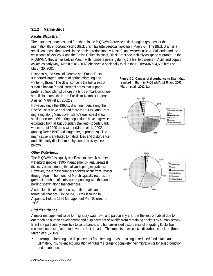## **3.1.2 Marine Birds**

## *Pacific Black Brant*

The estuaries, beaches, and foreshore in the P-QBWMA provide critical staging grounds for the internationally important Pacific Black Brant (*Branta bernicla nigricans*) (Map 3-3). The Black Brant is a small sea goose that breeds in the arctic (predominately Alaska), and winters in Baja, California and the west coast of Mexico. Along the British Columbia coast, Black Brant occur chiefly as spring migrants. In the P-QBWMA, they arrive early in March, with numbers peaking during the first two weeks in April, and depart as late as early May. Martin et al. (2002) observed a peak daily total in the P-QBWMA of 4,666 birds on March 30, 2001.

Historically, the Strait of Georgia and Fraser Delta supported large numbers of spring migrating and wintering Brant. "The Strait contains the last areas of suitable habitat (broad intertidal areas that support preferred food plants) before the birds embark on a nonstop flight across the North Pacific to Izembek Lagoon, Alaska" (Martin et al., 2002: 2).

However, since the 1960's, Brant numbers along the Pacific Coast have declined more than 30%, and Brant migrating along Vancouver Island's east coast show similar declines. Wintering populations have largely been extirpated from all but Boundary Bay and Roberts Bank, where about 1000 birds winter (Martin et al., 2002 – quoting Reed 1997 and Hagmeier, in progress). The main cause is attributed to habitat loss and disturbance, and ultimately displacement by human activity (see below).

## *Other Waterbirds*

The P-QBWMA is equally significant to over sixty other waterbird species (1996 Management Plan). Greatest diversity occurs during the fall and spring migrations. However, the largest numbers of birds occur from October through April. The month of March typically records the greatest numbers of birds, corresponding with the annual herring spawn along the foreshore.

A complete list of bird species, both aquatic and terrestrial, that occur in the P-QBWMA is found in Appendix 1 of the 1996 Management Plan (Clermont, 1996).

## *Bird disturbance*

A major management issue for migratory waterfowl, and particularly Brant, is the loss of habitat due to encroaching human development and displacement of wildlife from remaining habitats by human activity. Brant are particularly sensitive to disturbance, and human-related disturbance of migrating flocks has received increasing attention over the last decade. The impacts of excessive disturbance include (from Martin *et al*., 2002):

• Interrupted foraging and displacement from feeding areas, resulting in reduced food intake and ultimately, insufficient accumulation of nutrient storage to complete their migration or for egg production and incubation.

**Figure 3-1: Causes of disturbance to Brant that resulted in flight in P-QBWMA, 1996 and 2001 (Martin et al., 2002:11)** 

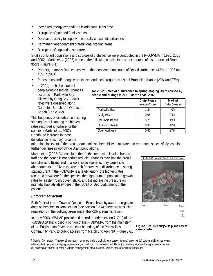- Increased energy expenditure in additional flight time.
- Disruption of pair and family bonds.
- Decreased ability to cope with naturally caused disturbances.
- Permanent abandonment of traditional staging areas.
- Disruption of population structure.

Studies of Brant populations and sources of disturbance were conducted in the P-QBWMA in 1996, 2001 and 2002. Martin *et al*. (2002) came to the following conclusions about sources of disturbance of Brant flocks (Figure 3-1):

- Raptors, primarily Bald eagles, were the most common cause of flock disturbances (42% in 1996 and 43% in 2001).
- Pedestrians and/or dogs were the second most frequent cause of Brant disturbance (29% and 27%).
- In 2001, the highest rate of people/dog-based disturbances occurred in Parksville Bay followed by Craig Bay. Lower rates were observed along Columbia Beach and Qualicum Beach (Table 3-2).

This frequency of disturbance to spring staging Brant is among the highest rates recorded anywhere for the species (Martin *et al.,* 2002). Continued increase in these disturbance rates may force the

#### **Table 3-2: Rates of disturbance to spring-staging Brant caused by people and/or dogs in 2001 (Martin** *et al***., 2002)**

|                 | <b>Disturbance</b><br>events/hour | % of all<br>disturbances |
|-----------------|-----------------------------------|--------------------------|
| Parksville Bay  | 1.34                              | 40%                      |
| Craig Bay       | 0.95                              | 34%                      |
| Columbia Beach  | 0.75                              | 19%                      |
| Qualicum Beach  | 0.33                              | 12%                      |
| Over total area | 0.85                              | 27%                      |

migrating flocks out of the area and/or diminish their ability to migrate and reproduce successfully, causing further declines in worldwide Brant populations.

Martin *et al.* (2002: 34) conclude that "if the increasing level of human traffic on the beach is not addressed, disturbances may limit the area's usefulness to Brant, and in a worst case scenario, may cause site abandonment. … Given the (overall) frequency of disturbance to spring staging Brant in the PQBWMA is already among the highest rates recorded anywhere for the species, the high (human) population growth rates for eastern Vancouver Island, and the increasing pressure on intertidal habitats elsewhere in the (Strait of Georgia), time is of the essence".

## *Enforcement action*

Both Parksville and Town of Qualicum Beach have bylaws that regulate dogs on beaches to some extent (see section 3.3.4); there are no similar regulations in the outlying areas under the RDN's administration.

In early 2003, MWLAP proclaimed an order under section 7(4)(a) of the Wildlife Act<sup>*5*</sup> that closed a portion of the P-QBWMA, from the mainstem of the Englishman River to the east boundary of the Parksville's Community Park, to public access from March 1 to April 30 (Figure 3-2).





<sup>5</sup> Section 7(4) states: "A regional manager may make orders prohibiting a person from (a) entering, (b) cutting, picking, removing, altering, destroying or damaging vegetation in, (c) disturbing or harassing wildlife in, (d) releasing or abandoning an animal in, and (e) allowing an animal to enter a wildlife management area, a critical wildlife area or a wildlife sanctuary."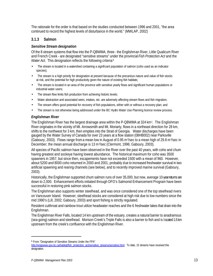The rationale for the order is that based on the studies conducted between 1996 and 2001, "the area continued to record the highest levels of disturbance in the world." (MWLAP, 2002)

#### **3.1.3 Salmon**

#### *Sensitive Stream designation*

Of the 8 stream systems that flow into the P-QBWMA, three - the Englishman River, Little Qualicum River and French Creek - are designated "sensitive streams" under the provincial *Fish Protection Act* and the *Water Act.* This designation reflects the following criteria:<sup>6</sup>

- The stream is located in a watershed containing a significant population of salmon (coho used as an indicator species);
- The stream is a high priority for designation at present because of the precarious nature and value of fish stocks at risk, and the potential for high productivity given the nature of existing fish habitats;
- The stream is located in an area of the province with sensitive yearly flows and significant human populations or industrial water users;
- The stream flow limits fish production from achieving historic levels;
- Water abstraction and associated weirs, intakes, etc. are adversely affecting stream flows and fish migration;
- The stream offers good potential for recovery of fish populations, either with or without a recovery plan; and
- The stream is not otherwise being addressed under the BC Hydro Water Use Planning licence review process.

#### *Englishman River*

The Englishman River has the largest drainage area within the P-QBWMA at 324 km<sup>2</sup>. The Englishman River originates in the vicinity of Mt. Arrowsmith and Mt. Moriarty, flows in a northeast direction for 28 km, shifts to the northwest for 3 km, then empties into the Strait of Georgia. Water discharges have been gauged by the Water Survey of Canada for over 23 years at a flow station (08HB002) near Parksville (Gaboury, 2003). Flows range from a mean low in August of 0.95 m<sup>3</sup>/sec to a mean high of 29.8 m<sup>3</sup>/sec in December; the mean annual discharge is 13 m<sup>3</sup>/sec (Clermont, 1996; Gaboury, 2003).

All species of Pacific salmon have been observed in the River over the past 40 years, with coho and chum having greatest and sockeye having lowest abundance. The historical maximum for coho was 3500 spawners in 1957, but since then, escapements have not exceeded 1500 with a mean of 960. However, about 5200 and 8000 coho returned in 2000 and 2001, probably due to increased freshwater survival in two artificial spawning and rearing channels (see below), and to recently improved marine survival (Gaboury, 2003).

Historically, the Englishman supported chum salmon runs of over 35,000, but now, average 10-year returns are down to 2,000. Enhancement efforts initiated through DFO's Salmonid Enhancement Program have been successful in restoring pink salmon stocks.

The Englishman also supports winter steelhead, and was once considered one of the top steelhead rivers on Vancouver Island. However, steelhead stocks are considered at high risk due to low numbers since the mid 1990's (Lill, 2002; Gaboury, 2003) and sport fishing is strictly regulated.

Resident cutthroat and rainbow trout utilize headwater reaches and the 6 freshwater lakes that drain into the Englishman.

The Englishman River Falls, located 14 km upstream of the estuary, creates a natural barrier to anadramous (sea going) salmon and steelhead. Morison Creek's Triple Falls is also a barrier to fish and is located 1.5 km upstream from the creek's confluence with the Englishman River.

<sup>6</sup> From "Designation of Sensitive Streams Under the FPA"

http://wlapwww.gov.bc.ca/habitat/fish\_protection\_act/sensitive\_streams/sensitive.html. To date, 15 streams have received this designation.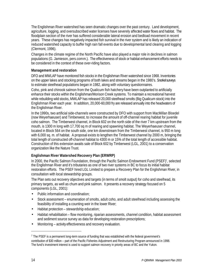The Englishman River watershed has seen dramatic changes over the past century. Land development, agriculture, logging, and oversubscribed water licenses have severely affected water flows and habitat. The floodplain section of the river has suffered considerable lateral erosion and bedload movement in recent years. These changes has negatively impacted fish survival in the river system and is likely an indication of reduced watershed capacity to buffer high rain fall events due to developmental land clearing and logging (Clermont, 1996).

Changes in the climate regime of the North Pacific have also played a major role in declines in salmon populations (G. Jamieson, pers.comm.). The effectiveness of stock or habitat enhancement efforts needs to be considered in the context of these over-riding factors.

#### **Management and restoration**

DFO and MWLAP have monitored fish stocks in the Englishman River watershed since 1968. Inventories on the upper lakes and stocking programs of both lakes and streams began in the 1980's. Snorkel surveys to estimate steelhead populations began in 1982, along with voluntary questionnaires.

Coho, pink and chinook salmon from the Qualicum fish hatchery have been outplanted to artificially enhance their stocks within the Englishman/Morison Creek systems. To maintain a recreational harvest while rebuilding wild stocks, MWLAP has released 20,000 steelhead smolts (Big Qualicum stock) into the Englishman River each year. In addition, 20,000-60,000 fry are released annually into the headwaters of the Englishman River.

In the 1990s, two artificial side-channels were constructed by DFO with support from MacMillan Bloedel (now Weyerhaeuser) and Timberwest, to increase the amount of off-channel rearing habitat for juvenile coho salmon. The Timberwest channel, in Block 602 on the north side of the river 7 km upstream from the mouth, is 1300 m long with 17,700 sq m of rearing and spawning habitat. The Weyerhaeuser channel, located in Block 564 on the south side, one km downstream from the Timberwest channel, is 950 m long with 6,000 sq. m. of habitat. A proposal exists to lengthen the Timberwest channel by 2000 m, bringing the total length of constructed off-channel habitat to 4300 m or 15% of the total length of accessible habitat. Construction of this extension awaits sale of Block 602 by Timberwest (LGL, 2001) to a conservation organization like the Nature Trust.

## **Englishman River Watershed Recovery Plan (ERWRP)**

In 2000, the Pacific Salmon Foundation, through the Pacific Salmon Endowment Fund (PSEF)<sup>7</sup> , selected the Englishman River and it's tributaries as one of two river systems in BC to focus its initial habitat restoration efforts. The PSEF hired LGL Limited to prepare a Recovery Plan for the Englishman River, in consultation with local stewardship groups.

The Plan sets out recovery objectives and targets (in terms of smolt output) for coho and steelhead, its primary targets, as well as chum and pink salmon. It presents a recovery strategy focused on 5 components (LGL, 2001):

- Public information and coordination;
- Stock assessment enumeration of smolts, adult coho, and adult steelhead including assessing the feasibility of installing a counting weir in the lower River;
- Habitat protection stewardship education;
- Habitat rehabilitation flow monitoring, riparian assessments, channel condition, habitat assessment and sediment source survey as data for developing restoration prescriptions;
- Monitoring activity effectiveness and recovery evaluation.

<sup>&</sup>lt;sup>7</sup> The PSEF is a permanent long-term source of funding that was established with the federal government's contribution of \$30 million – part of the Pacific Fisheries Adjustment and Restructuring Program announced in 1998. The fund's investment interest is used to support salmon recovery in priority areas of BC and the Yukon.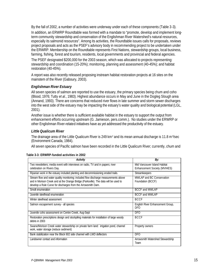By the fall of 2002, a number of activities were underway under each of these components (Table 3-3).

In addition, an ERWRP Roundtable was formed with a mandate to "promote, develop and implement longterm community stewardship and conservation of the Englishman River Watershed's natural resources, especially its salmonid resources". Among its activities, the Roundtable issues calls for proposals, reviews project proposals and acts as the PSEF's advisory body in recommending project to be undertaken under the ERWRP. Membership on the Roundtable represents First Nations, stewardship groups, local business, farming, fishing, forest and tourism, residents, local governments and provincial and federal agencies.

The PSEF designated \$200,000 for the 2003 season, which was allocated to projects representing: stewardship and coordination (15-20%); monitoring, planning and assessment (40-45%); and habitat restoration (40-45%).

A report was also recently released proposing instream habitat restoration projects at 16 sites on the mainstem of the River (Gaboury, 2003).

#### *Englishman River Estuary*

All seven species of salmon are reported to use the estuary, the primary species being chum and coho (Blood, 1976; Tutty *et al*., 1983). Highest abundance occurs in May and June in the Dogleg Slough area (Annand, 1993). There are concerns that reduced river flows in late summer and storm sewer discharges into the west side of the estuary may be impacting the estuary's water quality and biological potential (LGL, 2001).

Another issue is whether there is sufficient available habitat in the estuary to support the output from enhancement efforts occurring upstream (G. Jamieson, pers.comm.). No studies under the ERWRP or other Englishman River-related initiatives have as yet addressed the productivity of the estuary.

## *Little Qualicum River*

The drainage area of the Little Qualicum River is 249 km<sup>2</sup> and its mean annual discharge is 11.8 m<sup>3</sup>/sec (Environment Canada, 1984).

All seven species of Pacific salmon have been recorded in the Little Qualicum River; currently, chum and

| <b>Activity</b>                                                                                                                                                                                                                              | By:                                                          |
|----------------------------------------------------------------------------------------------------------------------------------------------------------------------------------------------------------------------------------------------|--------------------------------------------------------------|
| Two newsletters; media event with interviews on radio, TV and in papers; river<br>celebration on Rivers Day.                                                                                                                                 | Mid Vancouver Island Habitat<br>Enhancement Society (MVIHES) |
| Riparian work in the estuary included planting and decommissioning eroded trails.                                                                                                                                                            | <b>Streamkeepers</b>                                         |
| Stream flow and water quality monitoring: included flow discharge measurements above<br>and in Morison Creek and at the Orange Bridge (Parksville). The data will be used to<br>develop a Rule Curve for discharges from the Arrowsmith Dam. | MWLAP and BC Conservation<br>Foundation (BCCF)               |
| Smolt enumeration                                                                                                                                                                                                                            | <b>BCCF and MWLAP</b>                                        |
| Juvenile steelhead enumeration                                                                                                                                                                                                               | <b>BCCF and MWLAP</b>                                        |
| Winter steelhead assessment                                                                                                                                                                                                                  | <b>BCCF</b>                                                  |
| Salmon escapement survey - all species                                                                                                                                                                                                       | English River Enhancement Group,<br>DEO                      |
| Juvenile coho assessment on Centre Creek, Aug-Sept                                                                                                                                                                                           | DFO                                                          |
| Restoration prescriptions design and stockpiling materials for installation of large woody<br>debris in 2003                                                                                                                                 | <b>BCCF</b>                                                  |
| Swane/Morison Creek water stewardship on private farm land: irrigation pond, channel<br>work, water storage (reduce sediment)                                                                                                                | Property owners                                              |
| Bank stabilization near the Block 602 side channel with LWD deflectors                                                                                                                                                                       | DF <sub>O</sub>                                              |
| Landowner contact and information                                                                                                                                                                                                            | Arrowsmith Watershed Stewardship<br>Team                     |

#### **Table 3-3: ERWRP-funded activities in 2002**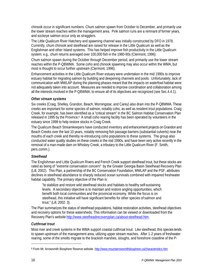chinook occur in significant numbers. Chum salmon spawn from October to December, and primarily use the lower stream reaches within the management area. Pink salmon runs are a remnant of former years, and sockeye salmon occur only as stragglers.

The Little Qualicum River Hatchery and spawning channel was initially constructed by DFO in 1978. Currently, chum chinook and steelhead are raised for release in the Little Qualicum as well as the Englishman and other Island systems. This has helped improve fish productivity in the Little Qualicum system; e.g., chum returns averaged over 100,000 fish in the 1980-90s (Clermont, 1996).

Chum salmon spawn during the October through December period, and primarily use the lower stream reaches within the P-QBWMA. Some coho and chinook spawning may also occur within the WMA, but most is thought to occur further upstream (Clermont, 1996).

Enhancement activities in the Little Qualicum River estuary were undertaken in the mid 1990s to improve estuary habitat for migrating salmon by building and deepening channels and pools. Unfortunately, lack of communication with MWLAP during the planning phases meant that the impacts on waterfowl habitat were not adequately taken into account. Measures are needed to improve coordination and collaboration among all the interests involved in the P-QBWMA, to ensure all of its objectives are recognized (see Sec.4.4.1).

#### *Other stream systems*

Six creeks (Craig, Shelley, Grandon, Beach, Morningstar, and Carey) also drain into the P-QBWMA. These creeks are important for some species of salmon, notably coho, as well as resident trout populations. Craig Creek, for example, has been identified as a "critical stream" in the BC Salmon Habitat Conservation Plan released in 1995 by the Province.<sup>8</sup> A small coho rearing facility has been operated by volunteers in the estuary since 1998 to help restore stocks in Craig Creek.

The Qualicum Beach Streamkeepers have conducted inventory and enhancement projects on Grandon and Beach Creeks over the last 10 years, notably removing fish passage barriers (substantial culverts) near the mouths of each creek and thereby re-introducing coho populations to these systems. The group also conducted water quality studies on these creeks in the mid 1990s, and have been very active recently in the removal of a man-made dam on Whiskey Creek, a tributary to the Little Qualicum River (F. Smith, pers.comm.).

#### *Steelhead*

The Englishman and Little Qualicum Rivers and French Creek support steelhead trout, but these stocks are rated as being of "extreme conservation concern" by the Greater Georgia Basin Steelhead Recovery Plan (Lill, 2002). This Plan, a partnership of the BC Conservation Foundation, MWLAP and the PSF, attributes declines in steelhead abundance to sharply reduced ocean survivals combined with impaired freshwater habitat capability. The primary objective of the Plan is:

"to stabilize and restore wild steelhead stocks and habitats to healthy self-sustaining levels. A secondary objective is to maintain and restore angling opportunities, which benefit both local communities and the provincial economy. While the focus is on steelhead, this initiative will have significant benefits for other species of salmon and trout." (Lill, 2002: 3).

The Plan summarizes the status of steelhead populations, habitat restoration activities, steelhead objectives and recovery options for these watersheds. This information can be viewed or downloaded from the Recovery Plan's website http://www.steelheadrecoveryplan.ca/about-steelhead.htm.

## *Cutthroat trout*

Most river and creek systems in the WMA support coastal cutthroat trout. Like steelhead, this species tends to spawn upstream of the management area, utilizing upper stream reaches. After 1-2 years of freshwater rearing, some of the smolts migrate to the brackish marshes, sloughs, and foreshore coastline of the P-

<sup>8</sup> From Mt. Arrowsmith Biosphere Reserve website -http://www.mountarrowsmithbiosphere.ca/characteristics.htm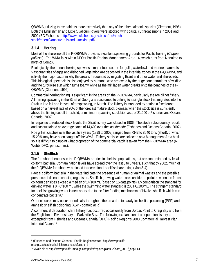QBWMA, utilizing those habitats more extensively than any of the other salmonid species (Clermont, 1996). Both the Englishman and Little Qualicum Rivers were stocked with coastal cutthroat smolts in 2001 and 2002 (BC Fisheries - http://www.bcfisheries.gov.bc.ca/rec/hatchstock/recent/vancouver\_island\_stocking.pdf).

## **3.1.4 Herring**

Most of the shoreline off the P-QBWMA provides excellent spawning grounds for Pacific herring (*Clupea pallassi*). The WMA falls within DFO's Pacific Region Management Area 14, which runs from Nanaimo to north of Comox.

Ecologically, the annual herring spawn is a major food source for gulls, waterfowl and marine mammals. Vast quantities of eggs and dislodged vegetation are deposited in the intertidal zones in the P-QBWMA, and is likely the major factor in why the area is frequented by migrating Brant and other water and shorebirds. This biological spectacle is also enjoyed by humans, who are awed by the huge concentrations of wildlife and the turquoise surf which turns foamy white as the milt laden water breaks onto the beaches of the P-QBWMA (Clermont, 1996).

Commercial herring fishing is significant in the areas off the P-QBWMA, particularly the roe gillnet fishery. All herring spawning in the Strait of Georgia are assumed to belong to a single stock that migrates into the Strait in late fall and leaves, after spawning, in March. The fishery is managed by setting a fixed quota based on a harvest rate of 20% of the forecast mature stock biomass when the stock size is sufficiently above the fishing cut-off threshold, or minimum spawning stock biomass, of 21,200 t (Fisheries and Oceans Canada, 2002).

In response to reduced stock levels, the Strait fishery was closed in 1986. The stock subsequently rebuilt, and has sustained an average catch of 14,600 over the last decade (Fisheries and Oceans Canada, 2002).

Roe gillnet catches over the last five years (1998 to 2002) ranged from 7343 to 8640 tons (short), of which 15-20% may have been caught off the WMA. Fishery statistics are collected on a Management Area basis, so it is difficult to pinpoint what proportion of the commercial catch is taken from the P-QBWMA area (R. Webb, DFO: pers.comm.).

## **3.1.5 Shellfish**

The foreshore beaches in the P-QBWMA are rich in shellfish populations, but are contaminated by fecal coliform bacteria. Contamination levels have spread over the last 5 to 6 years, such that by 2002, much of the P-QBWMA foreshore was closed to recreational shellfish harvesting (Map 3-4).

Faecal coliform bacteria in the water indicate the presence of human or animal wastes and the possible presence of disease-causing organisms. Shellfish growing waters are considered polluted when the faecal coliform densities exceed a median of 14/100 mL (based on 15 data points). By comparison the standard for drinking water is 0 FC/100 mL while the swimming water standard is 200 FC/100mL. The stringent standard for shellfish growing water is necessary due to the filter feeding mechanism of bivalve shellfish which can concentrate bacteria.<sup>9</sup>

Other closures may occur periodically throughout the area due to paralytic shellfish poisoning (PSP) and amnesic shellfish poisoning (ASP - domoic acid).

A commercial depuration clam fishery has occurred occasionally from Dorcas Point to Craig Bay and from the Englishman River estuary to Parksville Bay. The following explanation of a depuration fishery is excerpted from Fisheries and Oceans Canada (DFO) Pacific Region's 2003 Commercial Harvest Plan: Intertidal Clams:<sup>10</sup>

<sup>9</sup> (Fisheries and Oceans Canada - Pacific Region website: http://www.pac.dfo-

mpo.gc.ca/ops/fm/shellfish/closures/default.htm)

<sup>10</sup> Available at http://www.pac.dfo-mpo.gc.ca/ops/fm/mplans/plans02/clam\_2001f\_app.PDF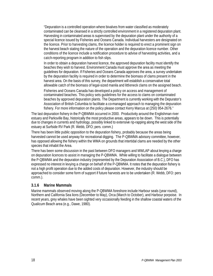"Depuration is a controlled operation where bivalves from water classified as moderately contaminated can be cleansed in a strictly controlled environment in a registered depuration plant. Harvesting in contaminated areas is supervised by the depuration plant under the authority of a special licence issued by Fisheries and Oceans Canada. Individual harvesters are designated on the licence. Prior to harvesting clams, the licence holder is required to erect a prominent sign on the harvest beach stating the nature of the operation and the depuration licence number. Other conditions of the licence include a notification procedure to advise of harvesting activities, and a catch-reporting program in addition to fish slips.

In order to obtain a depuration harvest licence, the approved depuration facility must identify the beaches they wish to harvest. Environment Canada must approve the area as meeting the guidelines for depuration. If Fisheries and Oceans Canada approves the area, a survey undertaken by the depuration facility is required in order to determine the biomass of clams present in the harvest area. On the basis of this survey, the department will establish a conservative total allowable catch of the biomass of legal-sized manila and littleneck clams on the assigned beach.

Fisheries and Oceans Canada has developed a policy on access and management of contaminated beaches. This policy sets guidelines for the access to clams on contaminated beaches by approved depuration plants. The Department is currently working with the Depurator's Association of British Columbia to facilitate a co-managed approach to managing the depuration fishery. For more information on the policy please contact Kerry Marcus at (250) 954-2676."

The last depuration fishery in the P-QBWMA occurred in 2000. Productivity around the Englishman river estuary and Parksville Bay, historically the most productive areas, appears to be down. This is potentially due to changes in currents and hydrology, possibly linked to extensive rip-rapping along the west side of the estuary at Surfside RV Park (R. Webb, DFO; pers. comm.)

There has been little public opposition to the depuration fishery, probably because the areas being harvested cannot be used anyway for recreational digging. The P-QBWMA advisory committee, however, has opposed allowing the fishery within the WMA on grounds that intertidal clams are needed by the other species that inhabit the Area.

There has been some discussion in the past between DFO managers and MWLAP about levying a charge on depuration licences to assist in managing the P-QBWMA. While willing to facilitate a dialogue between the P-QBWMA and the depuration industry (represented by the Depuration Association of B.C.), DFO has expressed no interest in levying a charge on behalf of the P-QBWMA. It notes that the depuration fishery is not a high profit operation due to the added costs of depuration. However, the industry should be approached to consider some form of support if future harvests are to be undertaken (R. Webb, DFO: pers comm.).

## **3.1.6 Marine Mammals**

Marine mammals observed moving along the P-QBWMA foreshore include Harbour seals (year round), Northern and California Sea lions (December to May), Orca (March to October), and Harbour porpoise. In recent years, grey whales have been sighted very occasionally feeding in the shallow coastal waters of the Qualicum Beach area (e.g., Dawe, 1980).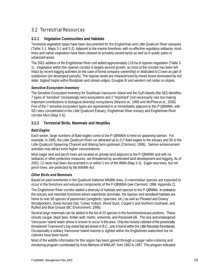# 3.2 Terrestrial Resources

## **3.2.1 Vegetative Communities and Habitats**

Terrestrial vegetation types have been documented for the Englishman and Little Qualicum River estuaries (Table 3-1; Maps 3-1 and 3-2). Adjacent to the marine foreshore, with no effective regulatory setbacks, most trees and native vegetation have been cleared on privately owned lands as well as in public parks in urbanized areas.

The 2001 addition of the Englishman River unit added approximately 118 ha of riparian vegetation (Table 3- 1). Vegetation within this riparian corridor is largely second growth, as most of the corridor has been left intact by recent logging activities (in the case of forest company ownership) or dedicated to Crown as part of subdivision (on developed parcels). The riparian lands are characterized by mixed forest dominated by red alder, bigleaf maple within floodplain and stream edges, Douglas fir and western red cedar on slopes.

#### *Sensitive Ecosystem Inventory*

The Sensitive Ecosystem Inventory for Southeast Vancouver Island and the Gulf Islands (the SEI) identifies 7 types of "sensitive" (increasingly rare) ecosystems and 2 "important" (not necessarily rare but making important contributions to biological diversity) ecosystems (Ward *et al.*, 1998 and McPhee *et al*., 2000). Five of the 7 sensitive ecosystem types are represented in or immediately adjacent to the P-QBWMA, with SEI sites concentrated in the Little Qualicum Estuary, Englishman River estuary and Englishman River corridor MUs (Map 3-5).

## **3.2.2 Terrestrial Birds, Mammals and Herptiles**

## *Bald Eagles*

Each winter, large numbers of Bald eagles come to the P-QBWMA to feed on spawning salmon. For example, in 1995, the Little Qualicum River run attracted up to 217 Bald eagles to the estuary and 95 to the Little Qualicum Spawning Channel and Waring farm upstream (Clermont, 1996). Salmon enhancement activities may attract even higher concentrations.

Most eagle nest and perch trees are located on private land adjacent to the P-QBWMA and with no setbacks or other protective measures, are threatened by accelerated land development and logging. As of 2002, 12 nests had been documented in or within 1 km of the WMA (Map 3-3). Eagle nest trees, but not perch trees, are protected by the *Wildlife Act*.

## *Other Birds and Mammals*

Based on past inventories in the Qualicum National Wildlife Area, 23 mammalian species are expected to occur in the foreshore and estuarine components of the P-QBWMA (see Clermont, 1996: Appendix 2).

The Englishman River corridor added a diversity of habitats and species to the P-QBWMA. In contrast to the estuary and intertidal foreshore where waterbirds dominate, the riparian and woodland habitats are home to over 60 species of passerines (songbirds, sparrows, etc.) as well as Pileated and Downy Woodpeckers, Great Horned Owl, Turkey Vulture, Wood Duck, Cooper's and Northern Goshawk, and Ruffed and Blue Grouse (BC Environment, 1996).

Several large mammals can be added to the list of 23 species in the foreshore/estuary portions. These include cougar, black bear, timber wolf, martin, wolverine, and Roosevelt elk. The rare and endangered Vancouver Island water shrew is known to occur in this area. Only two nursery colonies of the provincially threatened Townsend's big-eared bat are known in B.C., one is found within the Little Mountain forestlands. Occasionally a solitary Vancouver Island marmot is sighted within the Englishmen watershed but no colonies have been found.

Most of the wildlife information for this region has been gained through a cougar radio-collaring and monitoring program coordinated by Knut Atkinson of MWLAP, from 1992 to 1997. This program indicated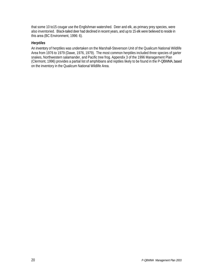that some 10 to15 cougar use the Englishman watershed. Deer and elk, as primary prey species, were also inventoried. Black-tailed deer had declined in recent years, and up to 15 elk were believed to reside in this area (BC Environment, 1996: 6).

#### *Herptiles*

An inventory of herptiles was undertaken on the Marshall-Stevenson Unit of the Qualicum National Wildlife Area from 1976 to 1979 (Dawe, 1976, 1979). The most common herptiles included three species of garter snakes, Northwestern salamander, and Pacific tree frog. Appendix 3 of the 1996 Management Plan (Clermont, 1996) provides a partial list of amphibians and reptiles likely to be found in the P-QBWMA, based on the inventory in the Qualicum National Wildlife Area.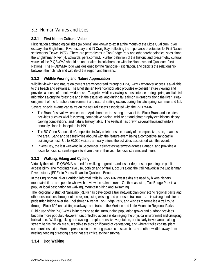# 3.3 Human Values and Uses

## **3.3.1 First Nation Cultural Values**

First Nation archaeological sites (middens) are known to exist at the mouth of the Little Qualicum River estuary, the Englishman River estuary and IN Craig Bay, reflecting the importance of estuaries for First Nation settlements (Dawe, 1977). There are petroglyphs in Top Bridge Park and other archaeological sites along the Englishman River (H. Edwards, pers.comm.). Further definition of the historic and present-day cultural values of the P-QBWMA should be undertaken in collaboration with the Nanoose and Qualicum First Nations. The P-QBWMA logo was designed by the Nanoose First Nation, and depicts the relationship between the rich fish and wildlife of the region and humans.

## **3.3.2 Wildlife Viewing and Nature Appreciation**

Wildlife viewing and nature enjoyment are widespread throughout P-QBWMA wherever access is available to the beach and estuaries. The Englishman River corridor also provides excellent nature viewing and provides a sense of remote wilderness. T argeted wildlife viewing is most intense during spring and fall bird migrations along the foreshore and in the estuaries, and during fall salmon migrations along the river. Peak enjoyment of the foreshore environment and natural setting occurs during the late spring, summer and fall.

Several special events capitalize on the natural assets associated with the P-QBWMA:

- The Brant Festival, which occurs in April, honours the spring arrival of the Black Brant and includes activities such as wildlife viewing, competitive birding, wildlife art and photography exhibitions, decoy carving competitions, and natural history talks. The Festival has drawn several thousand visitors annually since its inception in 1991.
- The BC Open Sandcastle Competition in July celebrates the beauty of the expansive, safe, beaches of the area. Sand and sea festivities abound with the feature event being a competitive sandcastle building contest. Up to 30,000 visitors annually attend the activities associated with this event.
- Rivers Day, the last weekend in September, celebrates waterways across Canada, and provides a focus for local streamkeepers to share their enthusiasm for local streams and rivers.

## **3.3.3 Walking, Hiking and Cycling**

Virtually the entire P-QBWMA is used for walking to greater and lesser degrees, depending on public accessibility. The most intensive use, both on and off trails, occurs along the trail network in the Englishman River estuary (ERE), in Parksville and in Qualicum Beach.

In the Englishman River Corridor, informal trails in Block 602 (west side) are used by hikers, fishers, mountain bikers and people who wish to view the salmon runs. On the east side, Top Bridge Park is a popular local destination for walking, mountain biking and swimming.

The Regional District of Nanaimo (RDN) has developed a trail network plan connecting regional parks and other destinations throughout the region, using existing and proposed trail routes. It is raising funds for a pedestrian bridge over the Englishman River at Top Bridge Park, and wishes to formalise a trail route through Block 602 on existing roadways and trails to the Morison and Little Mountain Regional Parks.

Public use of the P-QBWMA is increasing as the surrounding population grows and outdoor activities become more popular. However, uncontrolled access is damaging the physical environment and disrupting habitat use. Walking, hiking and cycling tramples sensitive vegetation, particularly in wet areas, along stream banks (which are susceptible to erosion if bared of vegetation), and where fragile coastal plant communities exist. Human presence in the wrong places can scare birds and other wildlife away from nesting, feeding or resting areas that are critical to their survival.

## **3.3.4 Dog Walking**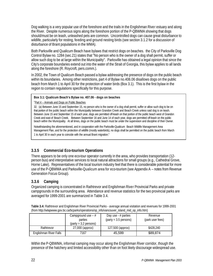Dog walking is a very popular use of the foreshore and the trails in the Englishman River estuary and along the River. Despite numerous signs along the foreshore portion of the P-QBWMA showing that dogs should/must be on leash, unleashed pets are common. Uncontrolled dogs can cause great disturbance to wildlife, particularly for resting, feeding and ground nesting birds (see section 3.1.2 for a discussion of disturbance of Brant populations in the WMA).

Both Parksville and Qualicum Beach have bylaws that restrict dogs on beaches. the City of Parksville Dog Control Bylaw no. 1284 (sec.21) states that "No person who is the owner of a dog shall permit, suffer or allow such dog to be at large within the Municipality". Parksville has obtained a legal opinion that since the City's corporate boundaries extend out into the water of the Strait of Georgia, this bylaw applies to all lands along the foreshore (R. Roycroft, pers.comm.).

In 2002, the Town of Qualicum Beach passed a bylaw addressing the presence of dogs on the public beach within its boundaries. Among other restrictions, part 4 of Bylaw no.406.06 disallows dogs on the public beach from March 1 to April 30 for the protection of water birds (Box 3.1). This is the first bylaw in the region to contain regulations specifically for this purpose.

#### **Box 3.1: Qualicum Beach's Bylaw no. 407.06 - dogs on beaches**

"Part 4 – Animals and Dogs on Public Beaches

32. (a) Between June 15 and September 15, no person who is the owner of a dog shall permit, suffer or allow such dog to be on that portion of the public beach within the Municipality between Grandon Creek and Beach Creek unless said dog is on leash. Between June 15 and September 15 of each year, dogs are permitted off-leash on that portion of the public beach west of Grandon Creek and east of Beach Creek. Between September 16 and June 14 of each year, dogs are permitted off-leash on the public beach within the Municipality. At all times, dogs on the public beach must be under the supervision and discipline of their Owner.

Notwithstanding the aforementioned, and in cooperation with the Parksville-Qualicum Beach Wildlife Management Area Management Plan, and for the protection of wildlife (mostly waterbirds), no dogs shall be permitted on the public beach from March 1 to April 30 in each year to coincide with the annual Brant migration."

## **3.3.5 Commercial Eco-tourism Operations**

There appears to be only one eco-tour operator currently in the area, who provides transportation (12 person bus) and interpretative services to local natural attractions for small groups (e.g., Cathedral Grove, Horne Lake). Representatives of the local tourism industry feel that there is considerable potential for more use of the P-QBWMA and Parksville-Qualicum area for eco-tourism (see Appendix A – notes from Revenue Generation Focus Group).

## **3.3.6 Camping**

Organized camping is concentrated in Rathtrevor and Englishman River Provincial Parks and private campgrounds in the surrounding area. Attendance and revenue statistics for the two provincial parks are averaged for 1999-2001 are summarized in Table 3.4.

**Table 3.4:** Rathtrevor and Englishman River Provincial Parks - average annual visitation and revenues for 1999-2001 (from http://wlapwww.gov.bc.ca/bcparks/operations/op\_info/vancouver\_island\_mid\_op\_info.htm)

|                        | Campground use $-$ #<br>parties<br>$\text{(party = } 3.2 \text{ persons)}$ | Day use $-$ # parties<br>$(party = 3.5 persons)$ | Revenue<br>(park user fees) |
|------------------------|----------------------------------------------------------------------------|--------------------------------------------------|-----------------------------|
| Rathtrevor             | 27,000 (approx)                                                            | 127,500 (approx)                                 | \$428,240                   |
| Englishman River Falls | 7167                                                                       | 45,599                                           | \$89,874                    |

Within the P-QBWMA, informal camping may occur along the Englishman River corridor, though the presence of the hatchery and limited accessibility other than on foot likely discourage widespread use.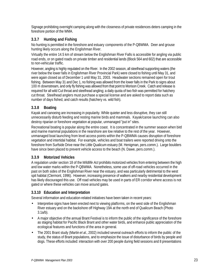Signage prohibiting overnight camping along with the closeness of private residences deters camping in the foreshore portion of the WMA.

## **3.3.7 Hunting and Fishing**

No hunting is permitted in the foreshore and estuary components of the P-QBWMA. Deer and grouse hunting likely occurs along the Englishman River.

Virtually the entire 14.5 km of stream below the Englishman River Falls is accessible for angling via public road ends, or on gated roads on private timber and residential lands (Block 564 and 602) that are accessible to non-vehicular traffic.

However, angling is highly regulated on the River. In the 2002 season, all steelhead supporting waters (the river below the lower falls in Englishman River Provincial Park) were closed to fishing until May 31, and were again closed as of December 1 until May 31, 2003. Headwater sections remained open for trout fishing. Between May 31 and Dec 1, no fishing was allowed from the lower falls in the Park to signs about 100 m downstream, and only fly fishing was allowed from that point to Morison Creek. Catch and release is required for all wild Cut throat and steelhead angling; a daily quota of two fish was permitted for hatchery cut throat. Steelhead anglers must purchase a special license and are asked to report data such as number of days fished, and catch results (hatchery vs. wild fish).

## **3.3.8 Boating**

Kayak and canoeing are increasing in popularity. While quieter and less disruptive, they can still unnecessarily disturb feeding and resting marine birds and mammals. Kayak/canoe launching can also destroy riparian or foreshore vegetation at popular, unmanaged "put in" sites.

Recreational boating is popular along the entire coast. It is concentrated in the summer season when bird and marine mammal populations in the nearshore are low relative to the rest of the year. However, unmanaged boat launching from level access points within the P-QBWMA causes disruption of foreshore vegetation and intertidal habitat. For example, vehicles and boat trailers were reported driving onto the foreshore from Surfside Drive near the Little Qualicum estuary (M. Henigman, pers.comm.). Large boulders have since been placed to prevent vehicle access to the beach (N. Dawe, pers.comm.).

## **3.3.9 Motorized Vehicles**

A regulation under section 18 of the *Wildlife Act* prohibits motorized vehicles from entering between the high and low water marks within the P-QBWMA. Nonetheless, some use of off-road vehicles occurred in the past on both sides of the Englishman River near the estuary, and was particularly detrimental to the west spit habitat (Clermont, 1996). However, increasing presence of walkers and nearby residential development has likely discouraged this use. Off road vehicles may be used in parts of ER corridor where access is not gated or where these vehicles can move around gates.

## **3.3.10 Education and Interpretation**

Several information and education-related initiatives have been taken in recent years:

- Interpretive signs have been erected next to viewing platforms, on the west side of the Englishman River estuary and on the backshore off Highway 19A at the north end of Qualicum Beach (Photo 3.1a/b).
- A major objective of the annual Brant Festival is to inform the public of the significance of the foreshore as staging habitat for Pacific Black Brant and other water birds, and enhance public appreciation of the ecological features and functions of the area in general.
- The 2001 Brant study (Martin *et al.*, 2002) included several outreach efforts to inform the public of the study, the status of Brant populations, and to emphasize the issue of disturbance of birds by people and dogs. These efforts included: interaction with over 200 people during field sessions and 8 presentations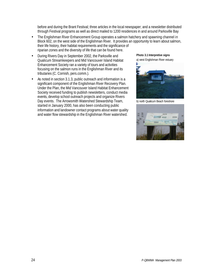before and during the Brant Festival; three articles in the local newspaper; and a newsletter distributed through Festival programs as well as direct mailed to 1200 residences in and around Parksville Bay

- The Englishman River Enhancement Group operates a salmon hatchery and spawning channel in Block 602, on the west side of the Englishman River. It provides an opportunity to learn about salmon, their life history, their habitat requirements and the significance of riparian zones and the diversity of life that can be found here.
- During Rivers Day in September 2002, the Parksville and Qualicum Streamkeepers and Mid Vancouver Island Habitat Enhancement Society ran a variety of tours and activities focusing on the salmon runs in the Englishman River and its tributaries (C. Cornish, pers.comm.).
- As noted in section 3.1.3, public outreach and information is a significant component of the Englishman River Recovery Plan. Under the Plan, the Mid Vancouver Island Habitat Enhancement Society received funding to publish newsletters, conduct media events, develop school outreach projects and organize Rivers Day events. The Arrowsmith Watershed Stewardship Team, started in January 2000, has also been conducting public information and landowner contact programs about water quality and water flow stewardship in the Englishman River watershed.

**Photo 3.1 Interpretive signs** a) west Englishman River estuary



b) north Qualicum Beach foreshore

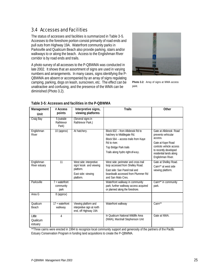## 3.4 Accesses and Facilities

The status of accesses and facilities is summarized in Table 3-5. Accesses to the foreshore portion consist primarily of road ends and pull outs from Highway 19A. Waterfront community parks in Parksville and Qualicum Beach also provide parking, stairs and/or walkways to or along the beach. Access to the Englishman River corridor is by road ends and trails.

A photo survey of all accesses to the P-QBWMA was conducted in late 2002. It shows that an assortment of signs are used in varying numbers and arrangements. In many cases, signs identifying the P-QBWMA are absent or accompanied by an array of signs regulating camping, parking, dogs on leash, sunscreen, etc. The effect can be unattractive and confusing, and the presence of the WMA can be diminished (Photo 3.2).



**Photo 3.2:** Array of signs at WMA access point.

| Management<br>Unit            | # Access<br>points                    | Interpretive signs,<br>viewing platforms                                                           | <b>Trails</b>                                                                                                                                                                       | Other                                                                                                                                                                            |
|-------------------------------|---------------------------------------|----------------------------------------------------------------------------------------------------|-------------------------------------------------------------------------------------------------------------------------------------------------------------------------------------|----------------------------------------------------------------------------------------------------------------------------------------------------------------------------------|
| Craig Bay                     | 5 (outside<br>Rathtrevor<br>Park)     | (Several signs in<br>Rathtrevor Park.)                                                             |                                                                                                                                                                                     |                                                                                                                                                                                  |
| Englishman<br><b>River</b>    | 10 (approx)                           | At hatchery.                                                                                       | Block 602 - from Allsbrook Rd to<br>hatchery to Middlegate Rd.<br>Block 564 - access trails from Kaye<br>Rd to river.<br>Top Bridge Park trails<br>Trails along hydro right-of-way. | Gate at Allsbrook Road<br>prevents vehicular<br>access.<br>Gate at Kaye Road<br>controls vehicle access<br>to recently developed<br>residential lands along<br>Englishman River. |
| Englishman<br>River estuary   | $\overline{11}$                       | West side: interpretive<br>sign/ kiosk and viewing<br>platform.<br>East side: viewing<br>platform. | West side: perimeter and cross trail<br>loop accessed from Shelley Road.<br>East side: San Pareil trail and<br>boardwalk accessed from Plummer Rd<br>and San Malo Cres.             | Gate at Shelley Road.<br>Cairn** at west side<br>viewing platform.                                                                                                               |
| Parksville                    | $7 + waterfront$<br>community<br>park |                                                                                                    | Waterfront walkway in community<br>park; further walkway access acquired<br>or planned along the foreshore.                                                                         | Cairn** in community<br>park.                                                                                                                                                    |
| Area G                        | 8 (approx)                            |                                                                                                    |                                                                                                                                                                                     |                                                                                                                                                                                  |
| <b>Oualicum</b><br>Beach      | $17 + waterfront$<br>walkway          | Viewing platform and<br>interpretive sign at north<br>end, off Highway 19A                         | Waterfront walkway                                                                                                                                                                  | Cairn**                                                                                                                                                                          |
| Little<br>Oualicum<br>estuary | 4                                     |                                                                                                    | In Oualicum National Wildlife Area<br>(NWA), Marshall Stephenson Unit                                                                                                               | Gate at NWA.                                                                                                                                                                     |

#### **Table 3-5: Accesses and facilities in the P-QBWMA**

\*\*Three cairns were erected in 1994 to recognize local community support and generosity of the partners of the Pacific Estuary Conservation Program in funding land acquisitions to create the P-QBWMA.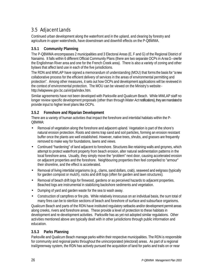# 3.5 Adjacent Lands

Continued urban development along the waterfront and in the upland, and clearing by forestry and agriculture in upper watersheds, have downstream and downhill effects on the P-QBWMA.

## **3.5.1 Community Planning**

The P-QBWMA encompasses 2 municipalities and 3 Electoral Areas (E, F and G) of the Regional District of Nanaimo. It falls within 6 different Official Community Plans (there are two separate OCPs in Area G-one for the Englishman River area and one for the French Creek area). There is also a variety of zoning and other bylaws that affect land use in each of the five jurisdictions.

The RDN and MWLAP have signed a memorandum of understanding (MOU) that forms the basis for "a new collaborative process for the efficient delivery of services in the areas of environmental permitting and protection". Among other measures, it sets out how OCPs and development applications will be reviewed in the context of environmental protection. The MOU can be viewed on the Ministry's website http://wlapwww.gov.bc.ca/vir/pa/index.htm.

Similar agreements have not been developed with Parksville and Qualicum Beach. While MWLAP staff no longer review specific development proposals (other than through *Water Act* notifications), they are mandated to provide input to higher level plans like OCPs.

## **3.5.2 Foreshore and Riparian Development**

There are a variety of human activities that impact the foreshore and intertidal habitats within the P-QBWMA:

- Removal of vegetation along the foreshore and adjacent upland. Vegetation is part of the shore's natural erosion protection. Roots and stems trap sand and soil particles, forming an erosion resistant buffer once the plants are well established. However, native trees, shrubs, and grasses are frequently removed to make way for foundations, lawns and views.
- Continued "hardening" of land adjacent to foreshore. Structures like retaining walls and groynes, which attempt to protect waterfront property from beach erosion, alter natural sedimentation patterns in the local foreshore area. Usually, they simply move the "problem" next door, causing accelerated erosion on adjacent properties and the foreshore. Neighbouring properties then feel compelled to "armour" their shoreline, and the effect is accelerated.
- Removal of living intertidal organisms (e.g., clams, sand dollars, crab), seaweed and eelgrass (typically for garden compost or mulch), rocks and drift logs (often for garden and lawn structures).
- Removal of beach drift logs for firewood, gardens or as perceived hazards to adjacent properties. Beached logs are instrumental in stabilizing backshore sediments and vegetation.
- Dumping of yard and garden waste for the sea to wash away.
- Construction of campfires or fire pits. While relatively innocuous on an individual basis, the sum total of many fires can be to sterilize sections of beach and foreshore of surface and subsurface organisms.

Qualicum Beach and parts of the RDN have instituted regulatory setbacks and/or development permit areas along creeks, rivers and foreshore areas. These provide a level of protection to these habitats in development and re-development activities. Parksville has as yet not adopted similar regulations. Other activities mentioned above are typically dealt with in other jurisdictions through public information and education.

## **3.5.3 Parks Planning**

Parksville and Qualicum Beach manage parks within their respective municipalities. The RDN is responsible for community and regional parks throughout the unincorporated (electoral) areas. As part of a regional trail/greenway system, the RDN has actively pursued the acquisition of land for parks and trails on or near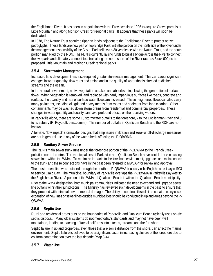the Englishman River. It has been in negotiation with the Province since 1996 to acquire Crown parcels at Little Mountain and along Morison Creek for regional parks. It appears that these parks will soon be dedicated.

In 1978, The Nature Trust acquired riparian lands adjacent to the Englishman River to protect native petroglyphs. These lands are now part of Top Bridge Park, with the portion on the north side of the River under the management responsibility of the City of Parksville via a 30 year lease with the Nature Trust, and the south portion managed by the RDN. The RDN is currently raising funds to build a bridge across the River to connect the two parts and ultimately connect to a trail along the north shore of the River (across Block 602) to its proposed Little Mountain and Morison Creek regional parks.

## **3.5.4 Stormwater Management**

Increased land development has also required greater stormwater management. This can cause significant changes in water quantity, flow rates and timing and in the quality of water that is directed to ditches, streams and the ocean.

In the natural environment, native vegetation uptakes and absorbs rain, slowing the generation of surface flows. When vegetation is removed and replaced with hard, impervious surfaces like roads, concrete and rooftops, the quantity and rate of surface water flows are increased. These heightened flows can also carry many pollutants, including oil, grit and heavy metals from roads and sediment from land clearing. Other contaminants may be washed down storm drains from residential and commercial properties. These changes in water quantity and quality can have profound effects on the receiving waters.

In Parksville alone, there are some 13 stormwater outfalls to the foreshore, 2 to the Englishman River and 3 to its estuary (R. Roycroft, pers.comm.). The number of outfalls in Qualicum Beach and the RDN are not known.

Alternate, "low impact" stormwater designs that emphasize infiltration and zero-runoff-discharge measures are not in general use in any of the watersheds affecting the P-QBWMA.

## **3.5.5 Sanitary Sewer Service**

The RDN's main sewer trunk runs under the foreshore portion of the P-QBWMA to the French Creek pollution control centre. The municipalities of Parksville and Qualicum Beach have a total of seven existing sewer lines within the WMA. To minimize impacts to the foreshore environment, upgrades and maintenance to the trunk and these connections have in the past been referred to MWLAP for review and approval.

The most recent line was installed through the southern P-QBWMA boundary in the Englishman estuary in 1993 to service Craig Bay. The municipal boundary of Parksville overlaps the P-QBWMA in Parksville Bay west to the Englishman River. A portion of the WMA off Qualicum Beach is within the Qualicum Beach municipality.

Prior to the WMA designation, both municipal communities indicated the need to expand and upgrade sewer line outfalls within their jurisdictions. The Ministry has reviewed such developments in the past, to ensure that they proceed with minimal environmental damage. The ability to continue this role is uncertain. In any case, expansion of new lines or sewer lines outside municipalities should be conducted in upland areas beyond the P-QBWMA.

## **3.5.6 Septic Use**

Rural and residential areas outside the boundaries of Parksville and Qualicum Beach typically uses on-site septic disposal. Many older systems do not meet today's standards and may not have been well maintained, leading to leaching of faecal coliforms into ditches, streams and the foreshore.

Septic failure in upland properties, even those that are some distance from the shore, can affect the marine environment. Septic failure is believed to be a significant factor in increasing closure of the foreshore due to coliform contamination over the last decade (Map 3-4).

## **3.5.7 Water Use**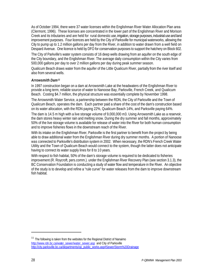As of October 1994, there were 37 water licenses within the Englishman River Water Allocation Plan area (Clermont, 1996). These licenses are concentrated in the lower part of the Englishman River and Morison Creek and its tributaries and are held for rural domestic use, irrigation, storage purposes, industrial use and land improvement purposes. Four licences are held by the City of Parksville for municipal waterworks, allowing the City to pump up to 1.2 million gallons per day from the River, in addition to water drawn from a well field on Despard Avenue. One licence is held by DFO for conservation purposes to support the hatchery on Block 602.

The City of Parkville's water system consists of 16 deep wells drawing from an aquifer on the south edge of the City boundary, and the Englishman River. The average daily consumption within the City varies from 500,000 gallons per day to over 2 million gallons per day during peak summer season.

Qualicum Beach draws water from the aquifer of the Little Qualicum River, partially from the river itself and also from several wells.

#### *Arrowsmith Dam<sup>11</sup>*

In 1997 construction began on a dam at Arrowsmith Lake at the headwaters of the Englishman River to provide a long term, reliable source of water to Nanoose Bay, Parksville, French Creek, and Qualicum Beach. Costing \$4.7 million, the physical structure was essentially complete by November 1998.

The Arrowsmith Water Service, a partnership between the RDN, the City of Parksville and the Town of Qualicum Beach, operates the dam. Each partner paid a share of the cost of the dam's construction based on its water allocation, with the RDN paying 22%, Qualicum Beach 14%, and Parksville paying 64%.

The dam is 14.5 m high with a live storage volume of 9,000,000 m3. Using Arrowsmith Lake as a reservoir, the dam stores heavy winter rain and melting snow. During the dry summer and fall months, approximately 50% of the live storage volume is available for release of water into the River for both human consumption and to improve fisheries flows in the downstream reach of the River.

With its intake on the Englishman River, Parksville is the first partner to benefit from the project by being able to draw additional water from the Englishman River during dry summer months. A portion of Nanoose was connected to Parksville's distribution system in 2002. When necessary, the RDN's French Creek Water Utility and the Town of Qualicum Beach would connect to the system, though the latter does not anticipate having to connect its water supply lines for 8 to 10 years.

With respect to fish habitat, 50% of the dam's storage volume is required to be dedicated to fisheries improvement (R. Roycroft, pers.comm.). under the Englishman River Recovery Plan (see section 3.1.3), the BC Conservation Foundation is conducting a study of water flow and temperature in the River. An objective of the study is to develop and refine a "rule curve" for water releases from the dam to improve downstream fish habitat.

<sup>&</sup>lt;sup>11</sup> The following is taken from the websites for the Regional District of Nanaimo http://www.rdn.bc.ca/water\_sewer/water\_sewer.asp and City of Parksville http://city.parksville.bc.ca/departments/op\_public\_works.asp#Sewer/Storm%20Drainage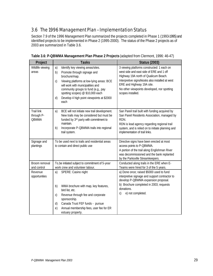# 3.6 The 1996 Management Plan –Implementation Status

Section 7.9 of the 1996 Management Plan summarized the projects completed in Phase 1 (1993-1995) and identified projects to be implemented in Phase 2 (1995-2000). The status of the Phase 2 projects as of 2003 are summarized in Table 3.6.

| Project                                         | <b>Tasks</b>                                                                                                                                                                                                                                                                                                                          | <b>Status (2003)</b>                                                                                                                                                                                                                                                                |
|-------------------------------------------------|---------------------------------------------------------------------------------------------------------------------------------------------------------------------------------------------------------------------------------------------------------------------------------------------------------------------------------------|-------------------------------------------------------------------------------------------------------------------------------------------------------------------------------------------------------------------------------------------------------------------------------------|
| Wildlife viewing<br>areas                       | Identify key viewing areas/sites.<br>a)<br>b)<br>Promote through signage and<br>brochure/map.<br>Viewing platforms at low-lying areas: BCE<br>$\mathsf{C}$<br>will work with municipalities and<br>community groups to fund (e.g., pay<br>spotting scopes) @ \$10,000 each<br>Develop 4 high point viewpoints at \$2000<br>d)<br>each | 3 viewing platforms constructed: 1 each on<br>west side and east side of ERE and 1 off<br>Highway 19A north of Qualicum Beach.<br>Interpretive signs/kiosks also installed at west<br>ERE and Highway 19A site.<br>No other viewpoints developed, nor spotting<br>scopes installed. |
| <b>Trail link</b><br>through P-<br><b>OBWMA</b> | BCE will not initiate new trail development.<br>a)<br>New trails may be considered but must be<br>funded by 3rd party with commitment to<br>maintain.<br>b)<br>Incorporate P-QBWMA trails into regional<br>trail system.                                                                                                              | San Pareil trail built with funding acquired by<br>San Pareil Residents Association, managed by<br>RDN.<br>RDN is lead agency regarding regional trail<br>system, and is relied on to initiate planning and<br>implementation of trail links.                                       |
| Signage and<br>plantings                        | To be used next to trails and residential areas<br>to contain and direct public use                                                                                                                                                                                                                                                   | Directive signs have been erected at most<br>access points to P-QBWMA.<br>A portion of the trail along Englishman River<br>was decommissioned and the bank replanted<br>by the Parksville Streamkeepers.                                                                            |
| Broom removal<br>and control                    | To_be initiated subject to commitment of 5-year<br>work crew and volunteer labour.                                                                                                                                                                                                                                                    | Conducted along trails in the ERE when E-<br>Teams were hired for 3 of the 5 years.                                                                                                                                                                                                 |
| Revenue<br>opportunities                        | SPERE: Casino night<br>a)<br>WMA brochure with map, key features,<br>b)<br>bird list, etc.<br>Revenue through fee and corporate<br>$\mathsf{C}$<br>sponsorship.<br>Canada Trust FEF funds - pursue<br>d)<br>Annual membership fees, user fee for ER<br>e)<br>estuary property.                                                        | a) Done once; raised \$5000 used to fund<br>interpretive signage and support contractor to<br>develop P-QBWMA expansion proposal.<br>b) Brochure completed in 2003; requests<br>donations.<br>e) not completed.<br>$\mathsf{C}$                                                     |

**Table 3.6: P-QBWMA Management Plan Phase 2 Projects** (adapted from Clermont, 1996: 46-47)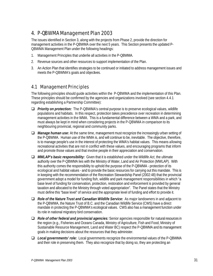# 4. P-QBWMA Management Plan 2003

The issues identified in Section 3, along with the projects from Phase 2, provide the direction for management activities in the P-QBWMA over the next 5 years. This Section presents the updated P-QBWMA Management Plan under the following headings:

- 1. Management Principles that underlie all activities in the P-QBWMA.
- 2. Revenue sources and other resources to support implementation of the Plan.
- 3. An Action Plan that identifies strategies to be continued or initiated to address management issues and meets the P-QBWMA's goals and objectives.

## 4.1 Management Principles

The following principles should guide activities within the P-QBWMA and the implementation of this Plan. These principles should be confirmed by the agencies and organizations involved (see section 4.4.1 regarding establishing a Partnership Committee):

- □ *Priority on protection:* The P-QBWMA's central purpose is to preserve ecological values, wildlife populations and habitats. In this respect, protection takes precedence over recreation in determining management activities in the WMA. This is a fundamental difference between a WMA and a park, and must always be kept in mind when considering projects in the P-QBWMA in comparison to its neighbouring provincial, regional and community parks.
- **□** Manage human use: At the same time, management must recognize the increasingly urban setting of the P-QBWMA. Human use of the WMA is, and will continue to be, inevitable. The objective, therefore, is to manage people's use in the interest of protecting the WMA's habitat values. This means allowing recreational activities that are not in conflict with these values, and encouraging programs that inform and promote those values and that involve people in their appreciation and conservation.
- q *MWLAP's basic responsibility:* Given that it is established under the *Wildlife Act*, the ultimate authority over the P-QBWMA lies with the Ministry of Water, Land and Air Protection (MWLAP). With this authority comes the responsibility to uphold the purpose of the P-QBWMA - protection of its ecological and habitat values - and to provide the basic resources for carrying out this mandate. This is in keeping with the recommendation of the Recreation Stewardship Panel (2002:48) that the provincial government adopt a model for funding fish, wildlife and park management responsibilities in which "a base level of funding for conservation, protection, restoration and enforcement is provided by general taxation and allocated to the Ministry through voted appropriation". The Panel states that the Ministry must define this "base level" of service and the appropriate level of funding and effort to provide it.
- □ **Role of the Nature Trust and Canadian Wildlife Service:** As major landowners in and adjacent to the P-QBWMA, the Nature Trust of B.C. and the Canadian Wildlife Service (CWS) have a direct mandate in protecting the P-QBWMA's ecological values. CWS also has a management function under its role in national migratory bird conservation.
- □ Role of other federal and provincial agencies: Senior agencies responsible for natural resources in the region (e.g., Fisheries and Oceans Canada, Ministry of Agriculture, Fish and Food, Ministry of Sustainable Resource Management, Land and Water BC) respect the P-QBWMA and its management goals in making decisions about the resources that they administer.
- □ Local governments' role: Local governments recognize the environmental values of the P-QBWMA and their role in preserving them. They also recognize that by doing so, they are protecting an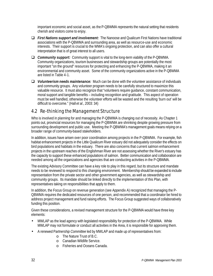important economic and social asset, as the P-QBWMA represents the natural setting that residents cherish and visitors come to enjoy.

- **D** First Nations support and involvement: The Nanoose and Qualicum First Nations have traditional associations with the P-QBWMA and surrounding area, as well as resource-use and economic interests. Their support is crucial to the WMA's ongoing protection, and can also offer a cultural interpretation that is of great interest to all users.
- **Q** *Community support:* Community support is vital to the long-term viability of the P-QBWMA. Community organizations, tourism businesses and stewardship groups are potentially the most important "on the ground" resources for protecting and enhancing the P-QBWMA, making it an environmental and community asset. Some of the community organizations active in the P-QBWMA are listed in Table 4-1.
- q *Volunteerism needs maintenance:* Much can be done with the volunteer assistance of individuals and community groups. Any volunteer program needs to be carefully structured to maximize this valuable resource. It must also recognize that "volunteers require guidance, constant communication, moral support and tangible benefits – including recognition and gratitude. This aspect of operation must be well handled, otherwise the volunteer efforts will be wasted and the resulting 'burn out' will be difficult to overcome." (Hall *et al*., 2003: 34)

# 4.2 Re-thinking the Management Structure

Who is involved in planning for and managing the P-QBWMA is changing out of necessity. As Chapter 1 points out, provincial resources for managing the P-QBWMA are shrinking despite growing pressure from surrounding development and public use. Meeting the P-QBWMA's management goals means relying on a broader range of community-based stakeholders.

In addition, issues have arisen over poor coordination among projects in the P-QBWMA. For example, fish habitat enhancement projects in the Little Qualicum River estuary did not adequately consider the effects on bird populations and habitats in the estuary. There are also concerns that current salmon enhancement projects in the upstream reaches of the Englishman River are not assessing whether the River's estuary has the capacity to support these enhanced populations of salmon. Better communication and collaboration are needed among all the organizations and agencies that are conducting activities in the P-QBWMA.

The existing Advisory Committee can have a key role to play in this regard, but its structure and mandate needs to be reviewed to respond to this changing environment. Membership should be expanded to include representation from the private sector and other government agencies, as well as stewardship and community groups. Its mandate should be linked directly to the implementation of this Plan, with representatives taking on responsibilities that apply to them.

In addition, the Focus Group on revenue generation (see Appendix A) recognized that managing the P-QBWMA requires the dedicated resources of one person, and recommended that a coordinator be hired to address project management and fund raising efforts. The Focus Group suggested ways of collaboratively funding this position.

Given these considerations, a revised management structure for the P-QBWMA would have three key elements:

- MWLAP as the lead agency with legislated responsibility for protection of the P-QBWMA. While MWLAP may not formulate or conduct all activities in the Area, it is responsible for approving them.
- A renewed P*artnership Committee* led by MWLAP and made up of representatives from:
	- o The Nature Trust of B.C.
	- o Canadian Wildlife Service.
	- o Fisheries and Oceans Canada.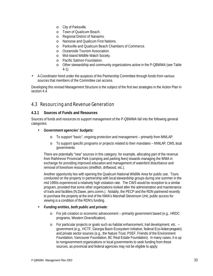- o City of Parksville.
- o Town of Qualicum Beach.
- o Regional District of Nanaimo.
- o Nanoose and Qualicum First Nations.
- o Parksville and Qualicum Beach Chambers of Commerce.
- o Oceanside Tourism Association.
- o Mid-Island Wildlife Watch Society.
- o Pacific Salmon Foundation.
- o Other stewardship and community organizations active in the P-QBWMA (see Table 4-1).
- A *Coordinator* hired under the auspices of the Partnership Committee through funds from various sources that members of the Committee can access.

Developing this revised Management Structure is the subject of the first two strategies in the Action Plan in section 4.4.

## 4.3 Resourcing and Revenue Generation

#### **4.3.1 Sources of Funds and Resources**

Sources of funds and resources to support management of the P-QBWMA fall into the following general categories:

#### • *Government agencies' budgets:*

- o To support "basic", ongoing protection and management primarily from MWLAP.
- o To support specific programs or projects related to their mandates MWLAP, CWS, local governments.

There are potentially "new" sources in this category; for example, allocating part of the revenue from Rathtrevor Provincial Park (camping and parking fees) towards managing the WMA in exchange for providing improved education and management of waterbird disturbance and removal of foreshore resources (shellfish, driftwood, etc.).

Another opportunity lies with opening the Qualicum National Wildlife Area for public use. Tours conducted on the property in partnership with local stewardship groups during one summer in the mid 1990s experienced a relatively high visitation rate. The CWS would be receptive to a similar program, provided that some other organizations looked after the administration and maintenance of trails and facilities (N.Dawe, pers.comm.). Notably, the PECP and the RDN partnered recently to purchase the property at the end of the NWA's Marshall-Stevenson Unit; public access for viewing is a condition of the RDN's funding.

#### • *Funding entities, both public and private:*

- o For job creation or economic advancement primarily government based (e.g., HRDC programs, Western Diversification).
- o For particular projects or goals such as habitat enhancement, trail development, etc. government (e.g., HCTF, Georgia Basin Ecosystem Initiative, federal Eco-Action program) and private sector sources (e.g., the Nature Trust, PSEF, Friends of the Environment Foundation, Vancouver Foundation, BC Real Estate Foundation). In many cases, it is up to nongovernment organizations or local governments to seek funding from these sources, as provincial and federal agencies may not be eligible to apply.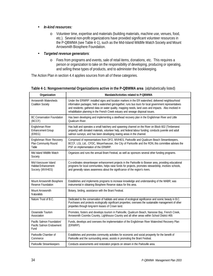- *In-kind resources:*
	- o Volunteer time, expertise and materials (building materials, machine use, venues, food, etc.). Several non-profit organizations have provided significant volunteer resources in the P-QBWMA (see Table 4-1), such as the Mid-Island Wildlife Watch Society and Mount Arrowsmith Biosphere Foundation.
- *Targeted revenue generators*:
	- o Fees from programs and events, sale of retail items, donations, etc. This requires a person or organization to take on the responsibility of developing, producing or operating, and selling these types of products, and to administer the bookkeeping.

The Action Plan in section 4.4 applies sources from all of these categories.

| Organization                                                   | Mandate/Activities related to P-QBWMA                                                                                                                                                                                                                                                                                                                                                                      |
|----------------------------------------------------------------|------------------------------------------------------------------------------------------------------------------------------------------------------------------------------------------------------------------------------------------------------------------------------------------------------------------------------------------------------------------------------------------------------------|
| Arrowsmith Watersheds<br><b>Coalition Society</b>              | Under the ERWRP: installed signs and location markers in the ER watershed; delivered neighbourhood<br>information packages; held a watershed get-together; runs bus tours for local government representatives<br>and residents; gathered data on water quality, mapping needs, land uses and impacts. Also involved in<br>rehabilitation planning in the French Creek estuary and sewage disposal issues. |
| <b>BC Conservation Foundation</b>                              | Has been developing and implementing a steelhead recovery plan in the Englishman River and Little                                                                                                                                                                                                                                                                                                          |
| (BCCF)                                                         | <b>Oualicum River.</b>                                                                                                                                                                                                                                                                                                                                                                                     |
| Englishman River                                               | Has built and operates a small hatchery and spawning channel on the River on Block 602 (Timberwest                                                                                                                                                                                                                                                                                                         |
| Enhancement Group                                              | property) with donated materials, volunteer help, and federal labour funding; conducts juvenile and adult                                                                                                                                                                                                                                                                                                  |
| (EREG)                                                         | salmon surveys; and has been developing rearing areas in the channel.                                                                                                                                                                                                                                                                                                                                      |
| Englishman River Recovery                                      | Comprised of representatives from DFO, MVIHES, Parksville and Qualicum Beach Streamkeepers,                                                                                                                                                                                                                                                                                                                |
| Plan Community Round                                           | BCCF, LGL Ltd., CFDC, Weyerhaeuser, the City of Parksville and the RDN, this committee advises the                                                                                                                                                                                                                                                                                                         |
| Table                                                          | PSF on implementation of the ERWRP.                                                                                                                                                                                                                                                                                                                                                                        |
| Mid Island Wildlife Watch<br>Society                           | Organizes and runs the annual Brant Festival, as well as sponsors several other funding programs.                                                                                                                                                                                                                                                                                                          |
| Mid-Vancouver Island                                           | Co-ordinates streamkeeper enhancement projects in the Parksville to Bowser area, providing educational                                                                                                                                                                                                                                                                                                     |
| Habitat Enhancement                                            | programs for local communities, helps raise funds for projects, promotes stewardship, involves schools,                                                                                                                                                                                                                                                                                                    |
| Society (MVIHES)                                               | and generally raises awareness about the significance of the region's rivers.                                                                                                                                                                                                                                                                                                                              |
| Mount Arrowsmith Biosphere                                     | Establishes and implements programs to increase knowledge and understanding of the MABR; was                                                                                                                                                                                                                                                                                                               |
| Reserve Foundation                                             | instrumental in obtaining Biosphere Reserve status for this area.                                                                                                                                                                                                                                                                                                                                          |
| Mount Arrowsmith<br><b>Naturalists</b>                         | Botany, birding, assistance with the Brant Festival.                                                                                                                                                                                                                                                                                                                                                       |
| Nature Trust of B.C.                                           | Dedicated to the conservation of habitats and areas of ecological significance and scenic beauty in B.C.<br>Purchases and protects ecologically significant properties; oversees the sustainable management of other<br>properties through long-term leases of Crown land.                                                                                                                                 |
| Oceanside Tourism                                              | Promotes, fosters and develops tourism in Parksville, Qualicum Beach, Nanoose Bay, French Creek,                                                                                                                                                                                                                                                                                                           |
| Association                                                    | Arrowsmith Coombs Country, Lighthouse Country and all other areas within School District #69.                                                                                                                                                                                                                                                                                                              |
| Pacific Salmon Foundation/<br>Pacific Salmon Endowment<br>Fund | Funds, develops and oversees the implementation of the Englishman River Watershed Recovery Plan<br>(ERWRP).                                                                                                                                                                                                                                                                                                |
| Parksville Chamber of                                          | Establishes and promotes community activities for economic and social prosperity for the benefit of                                                                                                                                                                                                                                                                                                        |
| Commerce                                                       | Parksville and the surrounding areas; assists in promoting the Brant Festival.                                                                                                                                                                                                                                                                                                                             |
| Parksville Streamkeepers                                       | Conducts assessments and restoration projects on stream in the Parksville area.                                                                                                                                                                                                                                                                                                                            |

**Table 4-1: Nongovernmental Organizations active in the P-QBWMA area** (alphabetically listed)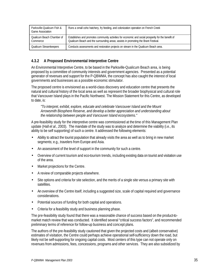| Parksville-Qualicum Fish &<br><b>Game Association</b> | Runs a small coho hatchery, fry feeding, and colonization operation on French Creek                                                                                                       |
|-------------------------------------------------------|-------------------------------------------------------------------------------------------------------------------------------------------------------------------------------------------|
| Qualicum Beach Chamber of<br>Commerce                 | Establishes and promotes community activities for economic and social prosperity for the benefit of<br>Qualicum Beach and the surrounding areas; assists in promoting the Brant Festival. |
| Qualicum Streamkeepers                                | Conducts assessments and restoration projects on stream in the Qualicum Beach area.                                                                                                       |

### **4.3.2 A Proposed Environmental Interpretive Centre**

An Environmental Interpretive Centre, to be based in the Parksville-Qualicum Beach area, is being proposed by a committee of community interests and government agencies. Presented as a potential generator of revenues and support for the P-QBWMA, the concept has also caught the interest of local governments and businesses as a possible economic stimulator.

The proposed centre is envisioned as a world-class discovery and education centre that presents the natural and cultural history of the local area as well as represent the broader biophysical and cultural role that Vancouver Island plays in the Pacific Northwest. The Mission Statement for this Centre, as developed to date, is:

*"To interpret, exhibit, explore, educate and celebrate Vancouver Island and the Mount Arrowsmith Biosphere Reserve, and develop a better appreciation and understanding about the relationship between people and Vancouver Island ecosystems."*

A pre-feasibility study for the interpretive centre was commissioned at the time of this Management Plan update (Hall *et al*., 2003). The mandate of the study was to analyze and determine the viability (i.e., its ability to be self supporting) of such a centre. It addressed the following elements:

- Ability to attract the tourist population that already visits the area as well as to bring in new market segments; e.g., travelers from Europe and Asia.
- An assessment of the level of support in the community for such a centre.
- Overview of current tourism and eco-tourism trends, including existing data on tourist and visitation use of the area.
- Market projections for the Centre.
- A review of comparable projects elsewhere.
- Site options and criteria for site selection, and the merits of a single site versus a primary site with satellites.
- An overview of the Centre itself, including a suggested size, scale of capital required and governance considerations.
- Potential sources of funding for both capital and operations.
- Criteria for a feasibility study and business planning phase.

The pre-feasibility study found that there was a reasonable chance of success based on the product-tomarket match review that was conducted. It identified several "critical success factors", and recommended preliminary terms of reference for follow-up business and concept plans.

The authors of the pre-feasibility study cautioned that given the projected costs and (albeit conservative) estimates of visitation, the Centre could perhaps achieve operational self-sufficiency down the road, but likely not be self-supporting for ongoing capital costs. Most centers of this type can not operate only on revenues from admissions, fees, concessions, programs and other services. They are also subsidized by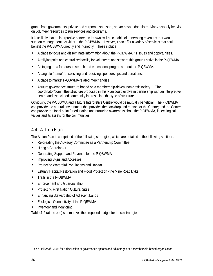grants from governments, private and corporate sponsors, and/or private donations. Many also rely heavily on volunteer resources to run services and programs.

It is unlikely that an interpretive centre, on its own, will be capable of generating revenues that would support management activities in the P-QBWMA. However, it can offer a variety of services that could benefit the P-QBWMA directly and indirectly. These include:

- A place to focus and disseminate information about the P-QBWMA, its issues and opportunities.
- A rallying point and centralized facility for volunteers and stewardship groups active in the P-QBWMA.
- A staging area for tours, research and educational programs about the P-QBWMA.
- A tangible "home" for soliciting and receiving sponsorships and donations.
- A place to market P-QBWMA-related merchandise.
- A future governance structure based on a membership-driven, non-profit society.<sup>12</sup> The coordinator/committee structure proposed in this Plan could evolve in partnership with an interpretive centre and associated community interests into this type of structure.

Obviously, the P-QBWMA and a future Interpretive Centre would be mutually beneficial. The P-QBWMA can provide the natural environment that provides the backdrop and reason for the Centre; and the Centre can provide the focal point for educating and nurturing awareness about the P-QBWMA, its ecological values and its assets for the communities.

# 4.4 Action Plan

The Action Plan is comprised of the following strategies, which are detailed in the following sections:

- Re-creating the Advisory Committee as a Partnership Committee.
- Hiring a Coordinator.
- Generating Support and Revenue for the P-QBWMA
- Improving Signs and Accesses
- Protecting Waterbird Populations and Habitat
- Estuary Habitat Restoration and Flood Protection the Mine Road Dyke
- Trails in the P-QBWMA
- Enforcement and Guardianship
- Protecting First Nation Cultural Sites
- Enhancing Stewardship of Adjacent Lands
- Ecological Connectivity of the P-QBWMA
- Inventory and Monitoring

Table 4-2 (at the end) summarizes the proposed budget for these strategies.

l

<sup>12</sup> See Hall *et al*., 2003 for a discussion of governance options and advantages of a membership-based organization.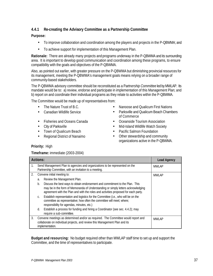### **4.4.1 Re-creating the Advisory Committee as a Partnership Committee**

**Purpose:**

- To improve collaboration and coordination among the players and projects in the P-QBWMA; and
- To achieve support for implementation of this Management Plan.

**Rationale:** There are already many projects and programs underway in the P-QBWMA and its surrounding area. It is important to develop good communication and coordination among these programs, to ensure compatibility with the goals and objectives of the P-QBWMA.

Also, as pointed out earlier, with greater pressure on the P-QBWMA but diminishing provincial resources for its management, meeting the P-QBWMA's management goals means relying on a broader range of community-based stakeholders.

The P-QBWMA advisory committee should be reconstituted as a P*artnership Committee* led by MWLAP. Its mandate would be to: a) review, endorse and participate in implementation of this Management Plan; and b) report on and coordinate their individual programs as they relate to activities within the P-QBWMA.

The Committee would be made up of representatives from:

- 
- 
- 
- 
- 
- 
- The Nature Trust of B.C. Nanoose and Qualicum First Nations
- Canadian Wildlife Service Parksville and Qualicum Beach Chambers of Commerce
- Fisheries and Oceans Canada Oceanside Tourism Association
- City of Parksville  **City of Parksville** Mid-Island Wildlife Watch Society
- Town of Qualicum Beach Pacific Salmon Foundation
	- **Regional District of Nanaimo** Other stewardship and community organizations active in the P-QBWMA.

#### **Priority:** High

**Timeframe:** immediate (2003-2004)

|    | <b>Actions:</b><br><b>Lead Agency</b>                                                                                                                                                               |                                                                                                                                                                                                                                                        |              |
|----|-----------------------------------------------------------------------------------------------------------------------------------------------------------------------------------------------------|--------------------------------------------------------------------------------------------------------------------------------------------------------------------------------------------------------------------------------------------------------|--------------|
| 1. | Send Management Plan to agencies and organizations to be represented on the<br><b>MWLAP</b><br>Partnership Committee, with an invitation to a meeting.                                              |                                                                                                                                                                                                                                                        |              |
| 2. |                                                                                                                                                                                                     | Convene initial meeting to:                                                                                                                                                                                                                            | <b>MWLAP</b> |
|    | a.                                                                                                                                                                                                  | Review the Management Plan.                                                                                                                                                                                                                            |              |
|    | b.                                                                                                                                                                                                  | Discuss the best ways to obtain endorsement and commitment to the Plan. This<br>may be in the form of Memoranda of Understanding or simply letters acknowledging<br>agreement with the Plan and with the roles and activities proposed for each party. |              |
|    | C.                                                                                                                                                                                                  | Establish representation and logistics for the Committee (i.e., who will be on the<br>committee as representative; how often the committee will meet; where;<br>responsibility for agendas, minutes, etc.)                                             |              |
|    | d.                                                                                                                                                                                                  | Establish a process for funding and hiring a Coordinator (see sec. 4.4.2); may<br>require a sub-committee.                                                                                                                                             |              |
| 3. | Convene meetings as determined and/or as required. The Committee would report and<br><b>MWLAP</b><br>collaborate on individual projects, and review this Management Plan and its<br>implementation. |                                                                                                                                                                                                                                                        |              |

**Budget and resourcing:** No budget required other than MWLAP staff time to set up and support the Committee, and the time of representatives to participate.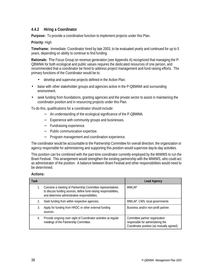### **4.4.2 Hiring a Coordinator**

**Purpose:** To provide a coordinative function to implement projects under this Plan.

### **Priority:** High

**Timeframe:** Immediate: Coordinator hired by late 2003, to be evaluated yearly and continued for up to 5 years, depending on ability to continue to find funding.

**Rationale: T**he Focus Group on revenue generation (see Appendix A) recognized that managing the P-QBWMA for both ecological and public values requires the dedicated resources of one person, and recommended that a coordinator be hired to address project management and fund raising efforts. The primary functions of the Coordinator would be to:

- develop and supervise projects defined in the Action Plan.
- liaise with other stakeholder groups and agencies active in the P-QBWMA and surrounding environment.
- seek funding from foundations, granting agencies and the private sector to assist in maintaining the coordinator position and in resourcing projects under this Plan.

To do this, qualifications for a coordinator should include:

- − An understanding of the ecological significance of the P-QBWMA.
- − Experience with community groups and businesses.
- − Fundraising experience.
- − Public communication expertise.
- − Program management and coordination experience.

The coordinator would be accountable to the Partnership Committee for overall direction; the organization or agency responsible for administering and supporting this position would supervise day-to-day activities.

This position can be combined with the part-time coordinator currently employed by the MIWWS to run the Brant Festival. This arrangement would strengthen the existing partnership with the MIWWS, who could act as administrator of the position. A balance between Brant Festival and other responsibilities would need to be determined.

#### **Actions:**

| Task |                                                                                                                                                                                   | <b>Lead Agency</b>                                                                                               |
|------|-----------------------------------------------------------------------------------------------------------------------------------------------------------------------------------|------------------------------------------------------------------------------------------------------------------|
| 1.   | Convene a meeting of Partnership Committee representatives<br>to discuss funding sources, define fund-raising responsibilities,<br>and determine administrative responsibilities. | <b>MWLAP</b>                                                                                                     |
| 2.   | Seek funding from within respective agencies.                                                                                                                                     | MWLAP, CWS, local governments                                                                                    |
| 3.   | Apply for funding from HRDC or other external funding<br>sources.                                                                                                                 | Business and/or non-profit partner.                                                                              |
| 4.   | Provide ongoing over-sight of Coordinator activities at regular<br>meetings of the Partnership Committee.                                                                         | Committee partner organization<br>responsible for administering the<br>Coordinator position (as mutually agreed) |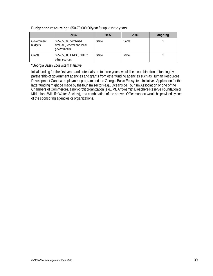|                       | 2004                                                            | 2005 | 2006 | ongoing |
|-----------------------|-----------------------------------------------------------------|------|------|---------|
| Government<br>budgets | \$25-35,000 combined<br>MWLAP, federal and local<br>governments | Same | Same |         |
| Grants                | \$25-35,000 HRDC, GBEI*,<br>other sources                       | Same | same |         |

#### **Budget and resourcing:** \$50-70,000.00/year for up to three years.

\*Georgia Basin Ecosystem Initiative

Initial funding for the first year, and potentially up to three years, would be a combination of funding by a partnership of government agencies and grants from other funding agencies such as Human Resources Development Canada employment program and the Georgia Basin Ecosystem Initiative. Application for the latter funding might be made by the tourism sector (e.g., Oceanside Tourism Association or one of the Chambers of Commerce), a non-profit organization (e.g., Mt. Arrowsmith Biosphere Reserve Foundation or Mid-Island Wildlife Watch Society), or a combination of the above. Office support would be provided by one of the sponsoring agencies or organizations.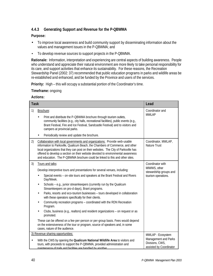### **4.4.3 Generating Support and Revenue for the P-QBWMA**

#### **Purpose:**

- To improve local awareness and build community support by disseminating information about the values and management issues in the P-QBWMA; and
- To develop revenue sources to support projects in the P-QBWMA.

**Rationale:** Information, interpretation and experiencing are central aspects of building awareness. People who understand and appreciate their natural environment are more likely to take personal responsibility for its care, and support activities that enhance its sustainability. For these reasons, the Recreation Stewardship Panel (2002: 37) recommended that public education programs in parks and wildlife areas be re-established and enhanced, and be funded by the Province and users of the services.

**Priority:** High – this will occupy a substantial portion of the Coordinator's time.

### **Timeframe:** ongoing

#### **Actions:**

| <b>Task</b> |                                                                                                                                                                                                                                                                                                                                                                                                                                                                                                                                                                                                                                                                                                                                                                                                                                                                              | Lead                                                                                    |
|-------------|------------------------------------------------------------------------------------------------------------------------------------------------------------------------------------------------------------------------------------------------------------------------------------------------------------------------------------------------------------------------------------------------------------------------------------------------------------------------------------------------------------------------------------------------------------------------------------------------------------------------------------------------------------------------------------------------------------------------------------------------------------------------------------------------------------------------------------------------------------------------------|-----------------------------------------------------------------------------------------|
| 1)          | Brochure:<br>Print and distribute the P-QBWMA brochure through tourism outlets,<br>community facilities (e.g., city halls, recreational facilities), public events (e.g.,<br>Brant Festival, Fire and Ice Festival, Sandcastle Festival) and to visitors and<br>campers at provincial parks.<br>Periodically review and update the brochure.                                                                                                                                                                                                                                                                                                                                                                                                                                                                                                                                 | Coordinator and<br><b>MWLAP</b>                                                         |
| 2)          | Collaboration with local governments and organizations: Provide web-usable<br>information to Parksville, Qualicum Beach, the Chambers of Commerce, and other<br>local organizations that they can post on their websites. The City of Parksville has<br>offered to develop a section on their website devoted to environmental awareness<br>and education. The P-QBWMA brochure could be linked to this and other sites.                                                                                                                                                                                                                                                                                                                                                                                                                                                     | Coordinator, MWLAP,<br>Nature Trust                                                     |
| 3)          | Tours and talks:<br>Develop interpretive tours and presentations for several venues, including:<br>Special events - on-site tours and speakers at the Brant Festival and Rivers<br>Day/Week.<br>Schools - e.g., junior streamkeepers (currently run by the Qualicum<br>$\bullet$<br>Streamkeepers on pro-d days), Brant programs.<br>Parks, resorts and eco-tourism businesses - tours developed in collaboration<br>$\bullet$<br>with these operators specifically for their clients.<br>Community recreation programs - coordinated with the RDN Recreation<br>Program.<br>Clubs, business (e.g., realtors) and resident organizations - on request or as<br>promoted.<br>These can be offered on a fee-per-person or per-group basis. Fees would depend<br>on the extensiveness of the tour or program, source of speakers and, in some<br>cases, nature of the audience. | Coordinator with<br>MIWWS, other<br>stewardship groups and<br>tourism operations.       |
|             | 3) Revenue sharing opportunities:<br>With the CWS by opening the Qualicum National Wildlife Area to visitors and<br>tours, with proceeds to support the P-QBWMA, provided administration and<br>maintenance of trails and facilities are handled by another                                                                                                                                                                                                                                                                                                                                                                                                                                                                                                                                                                                                                  | MWLAP - Ecosystem<br>Management and Parks<br>Divisions, CWS,<br>assisted by Coordinator |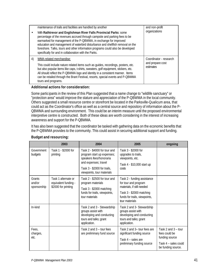| maintenance of trails and facilities are handled by another<br>With Rathtrevor and Englishman River Falls Provincial Parks: some<br>percentage of the revenues accrued through campsite and parking fees to be<br>earmarked for management of the P-QBWMA, in exchange for improved<br>education and management of waterbird disturbance and shellfish removal on the<br>foreshore. Talks, tours and other information programs could also be developed<br>specifically for and in collaboration with the Parks. | and non-profit<br>organizations                         |
|------------------------------------------------------------------------------------------------------------------------------------------------------------------------------------------------------------------------------------------------------------------------------------------------------------------------------------------------------------------------------------------------------------------------------------------------------------------------------------------------------------------|---------------------------------------------------------|
| WMA-related merchandise:<br>This could include nature related items such as guides, recordings, posters, etc.<br>but also popular items like caps, t-shirts, sweaters, golf equipment, stickers, etc.<br>All should reflect the P-QBWMA logo and identity in a consistent manner. Items<br>can be retailed through the Brant Festival, resorts, special events and P-QBWMA<br>tours and programs.                                                                                                                | Coordinator - research<br>and prepare cost<br>estimates |

#### **Additional actions for consideration:**

Some participants in the review of this Plan suggested that a name change to "wildlife sanctuary" or "protection area" would improve the stature and appreciation of the P-QBWMA in the local community. Others suggested a small resource centre or storefront be located in the Parksville-Qualicum area, that could act as the Coordinator's office as well as a central source and repository of information about the P-QBWMA and surrounding environment. This could be an interim measure until the proposed environmental interpretive centre is constructed. Both of these ideas are worth considering in the interest of increasing awareness and support for the P-QBWMA.

It has also been suggested that the coordinator be tasked with gathering data on the economic benefits that the P-QBWMA provides to the community. This could assist in securing additional support and funding.

|                                 | 2003                                                               | 2004                                                                                                                                                                       | 2005                                                                                                                                                             | ongoing                                                                                              |
|---------------------------------|--------------------------------------------------------------------|----------------------------------------------------------------------------------------------------------------------------------------------------------------------------|------------------------------------------------------------------------------------------------------------------------------------------------------------------|------------------------------------------------------------------------------------------------------|
| Government<br>budgets           | Task 1 - \$2000 for<br>printing                                    | Task 2 - \$4000 for tour and<br>program start up expenses;<br>speakers fees/honoraria<br>and expenses; travel<br>Task 3 - \$2000 for trails,<br>viewpoints, tour materials | Task 3 - \$2000 for<br>upgrades to trails,<br>viewpoints, etc.<br>Task 4 - \$10,000 start up<br>costs                                                            |                                                                                                      |
| Grants<br>and/or<br>sponsorship | Task 1 alternate or<br>equivalent funding -<br>\$2000 for printing | Task 2 - \$2500 for tour and<br>program materials<br>Task 3 - \$2000 matching<br>funds for trails, viewpoints,<br>tour materials                                           | Task 2 - funding assistance<br>for tour and program<br>materials, if still needed<br>Task 3 - \$2000 matching<br>funds for trails, viewpoints,<br>tour materials |                                                                                                      |
| In-kind                         |                                                                    | Task 2 and 3 - Stewardship<br>groups assist with<br>developing and conducting<br>tours and talks; grant<br>application.                                                    | Task 2 and 3- Stewardship<br>groups assist with<br>developing and conducting<br>tours and talks; grant<br>application.                                           |                                                                                                      |
| Fees,<br>charges,<br>etc.       |                                                                    | Task 2 and 3 – tour fees<br>are preliminary fund source                                                                                                                    | Task 2 and 3- tour fees are<br>significant funding source<br>Task 4 - sales are<br>preliminary funding source                                                    | Task 2 and 3 - tour<br>fees could be<br>funding source<br>Task 4 - sales could<br>be funding source. |

### **Budget and resourcing:**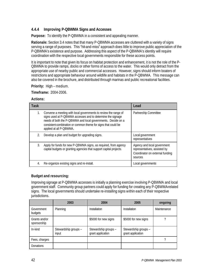### **4.4.4 Improving P-QBWMA Signs and Accesses**

**Purpose:** To identify the P-QBWMA in a consistent and appealing manner.

**Rationale:** Section 3.4 notes that that many P-QBWMA accesses are cluttered with a variety of signs serving a range of purposes. This "hit-and-miss" approach does little to improve public appreciation of the P-QBWMA's existence and purpose. Addressing this aspect of the P-QBWMA's identity will require coordination with the respective local governments responsible for these access points.

It is important to note that given its focus on habitat protection and enhancement, it is not the role of the P-QBWMA to provide ramps, docks or other forms of access to the water. This would only detract from the appropriate use of nearby public and commercial accesses. However, signs should inform boaters of restrictions and appropriate behaviour around wildlife and habitats in the P-QBWMA. This message can also be covered in the brochure, and distributed through marinas and public recreational facilities.

**Priority:** High – medium.

**Timeframe:** 2004-2006.

**Actions:**

| Task |                                                                                                                                                                                                                                                                                             | Lead                                                                                                      |
|------|---------------------------------------------------------------------------------------------------------------------------------------------------------------------------------------------------------------------------------------------------------------------------------------------|-----------------------------------------------------------------------------------------------------------|
| 1.   | Convene a meeting with local governments to review the range of<br>signs used at P-QBWMA accesses and to determine the signage<br>needs of both the P-QBWMA and local governments. Decide on a<br>consistent combination or common theme for signs that could be<br>applied at all P-QBWMA. | Partnership Committee                                                                                     |
| 2.   | Develop a plan and budget for upgrading signs.                                                                                                                                                                                                                                              | Local government<br>representatives                                                                       |
| 3.   | Apply for funds for new P-QBWMA signs, as required, from agency<br>capital budgets or granting agencies that support capital projects.                                                                                                                                                      | Agency and local government<br>representatives, assisted by<br>Coordinator on external funding<br>sources |
| 4.   | Re-organize existing signs and re-install.                                                                                                                                                                                                                                                  | Local governments                                                                                         |

### **Budget and resourcing:**

Improving signage at P-QBWMA accesses is initially a planning exercise involving P-QBWMA and local government staff. Community group partners could apply for funding for creating any P-QBWMA-related signs. The local governments should undertake re-installing signs within each of their respective jurisdictions.

|                              | 2003                          | 2004                                      | 2005                                      | ongoing     |
|------------------------------|-------------------------------|-------------------------------------------|-------------------------------------------|-------------|
| Government<br>budgets        | Planning                      | Installation                              | Installation                              | Maintenance |
| Grants and/or<br>sponsorship |                               | \$5000 for new signs                      | \$5000 for new signs                      | ◠           |
| In-kind                      | Stewardship groups -<br>input | Stewardship groups -<br>grant application | Stewardship groups -<br>grant application |             |
| Fees, charges                |                               |                                           |                                           |             |
| <b>Donations</b>             |                               |                                           |                                           |             |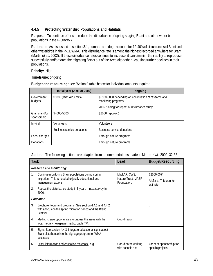### **4.4.5 Protecting Water Bird Populations and Habitats**

**Purpose:** To continue efforts to reduce the disturbance of spring staging Brant and other water bird populations in the P-QBWMA.

**Rationale:** As discussed in section 3.1, humans and dogs account for 12-40% of disturbances of Brant and other waterbirds in the P-QBWMA. This disturbance rate is among the highest recorded anywhere for Brant (Martin *et al.*, 2002). If these disturbance rates continue to increase, it can diminish their ability to reproduce successfully and/or force the migrating flocks out of the Area altogether - causing further declines in their populations.

#### **Priority:** High

**Timeframe:** ongoing

**Budget and resourcing:** see "Actions" table below for individual amounts required.

|                              | Initial year (2003 or 2004)       | ongoing                                                                      |
|------------------------------|-----------------------------------|------------------------------------------------------------------------------|
| Government<br>budgets        | \$3000 (MWLAP, CWS)               | \$1500-3000 depending on continuation of research and<br>monitoring programs |
|                              |                                   | 2006 funding for repeat of disturbance study.                                |
| Grants and/or<br>sponsorship | \$4000-5000                       | \$2000 (approx.)                                                             |
| In-kind                      | <b>Volunteers</b>                 | Volunteers                                                                   |
|                              | <b>Business service donations</b> | Business service donations                                                   |
| Fees, charges                |                                   | Through nature programs                                                      |
| <b>Donations</b>             |                                   | Through nature programs                                                      |

**Actions:** The following actions are adapted from recommendations made in Martin *et al.*, 2002: 32-33.

| <b>Task</b> |                                                                                                                                      | Lead                                             | <b>Budget/Resourcing</b>                           |
|-------------|--------------------------------------------------------------------------------------------------------------------------------------|--------------------------------------------------|----------------------------------------------------|
|             | <b>Research and monitoring:</b>                                                                                                      |                                                  |                                                    |
| 1.          | Continue monitoring Brant populations during spring<br>migration. This is needed to justify educational and<br>management actions.   | MWLAP, CWS,<br>Nature Trust, MABR<br>Foundation. | \$2500.00?*<br>*defer to T. Martin for<br>estimate |
| 2.          | Repeat the disturbance study in 5 years – next survey in<br>2006.                                                                    |                                                  |                                                    |
|             | Education:                                                                                                                           |                                                  |                                                    |
| 3.          | Brochure, tours and programs: See section 4.4.1 and 4.4.2,<br>with a focus on the spring migration period and the Brant<br>Festival. |                                                  |                                                    |
| 4.          | Media: create opportunities to discuss this issue with the<br>local media - newspaper, radio, cable TV.                              | Coordinator                                      |                                                    |
| 5.          | Signs: See section 4.4.3; integrate educational signs about<br>Brant disturbance into the signage program for WMA<br>accesses.       |                                                  |                                                    |
| 6.          | Other information and education materials: e.g.:                                                                                     | Coordinator working<br>with schools and          | Grant or sponsorship for<br>specific projects      |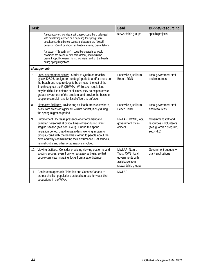| <b>Task</b> |                                                                                                                                                                                                                                                                                                                                                                                                                                   | Lead                                                                                            | <b>Budget/Resourcing</b>                                                               |
|-------------|-----------------------------------------------------------------------------------------------------------------------------------------------------------------------------------------------------------------------------------------------------------------------------------------------------------------------------------------------------------------------------------------------------------------------------------|-------------------------------------------------------------------------------------------------|----------------------------------------------------------------------------------------|
|             | A secondary school visual art classes could be challenged<br>with developing a video or a depicting the spring Brant<br>populations, disturbance events and appropriate "beach"<br>behavior. Could be shown at Festival events, presentations.                                                                                                                                                                                    | stewardship groups                                                                              | specific projects                                                                      |
|             | A mascot - "SuperBrant" - could be created that would<br>champion the cause of bird harassment, and would be<br>present at public events, for school visits, and on the beach<br>during spring migrations.                                                                                                                                                                                                                        |                                                                                                 |                                                                                        |
|             | Management:                                                                                                                                                                                                                                                                                                                                                                                                                       |                                                                                                 |                                                                                        |
| 7.          | Local government bylaws: Similar to Qualicum Beach's<br>bylaw 407.06, designate "no dogs" periods and/or areas on<br>the beach and require dogs to be on leash the rest of the<br>time throughout the P-QBWMA. While such regulations<br>may be difficult to enforce at all times, they do help to create<br>greater awareness of the problem, and provide the basis for<br>people to complain and for local officers to enforce. | Parksville, Qualicum<br>Beach, RDN                                                              | Local government staff<br>and resources                                                |
| 8.          | Alternative facilities: Provide dog off-leash areas elsewhere,<br>away from areas of significant wildlife habitat, if only during<br>the spring migration period.                                                                                                                                                                                                                                                                 | Parksville, Qualicum<br>Beach, RDN                                                              | Local government staff<br>and resources                                                |
| 9.          | Enforcement: Increase presence of enforcement and<br>guardian personnel at critical times of year during Brant<br>staging season (see sec. 4.4.8). During the spring<br>migration period, guardian patrollers, working in pairs or<br>groups, could walk the beaches talking to people about the<br>birds and ways of minimizing their disturbance. Get schools,<br>kennel clubs and other organizations involved.                | MWLAP, RCMP, local<br>government bylaw<br>officers                                              | Government staff and<br>resources + volunteers<br>(see guardian program,<br>sec.4.4.8) |
| 10.         | Viewing facilities: Consider providing viewing platforms and<br>spotting scopes, even if only on a seasonal basis, so that<br>people can view migrating flocks from a safe distance.                                                                                                                                                                                                                                              | MWLAP, Nature<br>Trust, CWS, local<br>governments with<br>assistance from<br>stewardship groups | Government budgets +<br>grant applications                                             |
|             | 11. Continue to approach Fisheries and Oceans Canada to<br>protect shellfish populations as food sources for water bird<br>populations in the WMA.                                                                                                                                                                                                                                                                                | <b>MWLAP</b>                                                                                    |                                                                                        |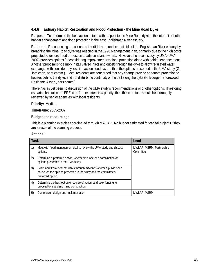### **4.4.6 Estuary Habitat Restoration and Flood Protection - the Mine Road Dyke**

**Purpose:** To determine the best action to take with respect to the Mine Road dyke in the interest of both habitat enhancement and flood protection in the east Englishman River estuary.

**Rationale:** Reconnecting the alienated intertidal area on the east side of the Englishman River estuary by breaching the Mine Road dyke was rejected in the 1996 Management Plan, primarily due to the high costs projected to restore flood protection to adjacent landowners. However, the recent study by UMA (UMA, 2002) provides options for considering improvements to flood protection along with habitat enhancement. Another proposal is to simply install valved inlets and outlets through the dyke to allow regulated water exchange, with considerably less impact on flood hazard than the options presented in the UMA study (G. Jamieson, pers.comm.). Local residents are concerned that any change provide adequate protection to houses behind the dyke, and not disturb the continuity of the trail along the dyke (H. Boerger, Shorewood Residents Assoc., pers.comm.).

There has as yet been no discussion of the UMA study's recommendations or of other options. If restoring estuarine habitat in the ERE to its former extent is a priority, then these options should be thoroughly reviewed by senior agencies with local residents.

#### **Priority:** Medium

**Timeframe:** 2005-2007.

#### **Budget and resourcing:**

This is a planning exercise coordinated through MWLAP. No budget estimated for capital projects if they are a result of the planning process.

#### **Actions:**

| Task |                                                                                                                                                                | Lead                                  |
|------|----------------------------------------------------------------------------------------------------------------------------------------------------------------|---------------------------------------|
| 1)   | Meet with flood management staff to review the UMA study and discuss<br>options.                                                                               | MWLAP, MSRM, Partnership<br>Committee |
| 2)   | Determine a preferred option, whether it is one or a combination of<br>options presented in the UMA study.                                                     |                                       |
| 3)   | Seek input from local residents through meetings and/or a public open<br>house, on the options presented in the study and the committee's<br>preferred option. |                                       |
| 4)   | Determine the best option or course of action, and seek funding to<br>proceed to final design and construction.                                                |                                       |
| 5)   | Commission design and implementation                                                                                                                           | MWLAP, MSRM                           |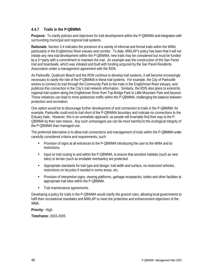### **4.4.7 Trails in the P-QBWMA**

**Purpose:** To clarify policies and objectives for trail development within the P-QBWMA and integration with surrounding municipal and regional trail systems.

**Rationale:** Section 3.4 indicates the presence of a variety of informal and formal trails within the WMA, particularly in the Englishman River estuary and corridor. To date, MWLAP's policy has been that it will not initiate any new trail development within the P-QBWMA; new trails may be considered but must be funded by a 3<sup>rd</sup> party with a commitment to maintain the trail. An example was the construction of the San Pareil trail and boardwalk, which was initiated and built with funding acquired by the San Pareil Residents Association under a management agreement with the RDN.

As Parksville, Qualicum Beach and the RDN continue to develop trail systems, it will become increasingly necessary to clarify the role of the P-QBWMA in these trail systems. For example, the City of Parksville wishes to connect its trail through the Community Park to the trails in the Englishman River estuary, and publicize this connection in the City's trail network information. Similarly, the RDN also plans to extend its regional trail system along the Englishman River from Top Bridge Park to Little Mountain Park and beyond. These initiatives can lead to more pedestrian traffic within the P-QBWMA, challenging the balance between protection and recreation.

One option would be to discourage further development of and connection to trails in the P-QBWMA; for example, Parksville could end its trail short of the P-QBWMA boundary and indicate no connections to the Estuary trails. However, this is an unrealistic approach, as people will invariably find their way to the P-QBWMA by their own means. Any such unmanaged use can be more harmful to the ecological integrity of the P-QBWMA than managed use.

The preferred alternative is to allow trail connections and management of trails within the P-QBWMA under carefully considered criteria and requirements, such:

- Provision of signs at all entrances to the P-QBWMA introducing the user to the WMA and its restrictions.
- Input on trail routing to and within the P-QBWMA, to ensure that sensitive habitats (such as nest sites) or terrain (such as erodable riverbanks) are protected.
- Appropriate standards for trail type and design; trail width and surface, no motorized vehicles, restrictions on bicycles if needed in some areas, etc.
- Provision of interpretive signs, viewing platforms, garbage receptacles, toilets and other facilities at appropriate trail sites within the P-QBWMA.
- Trail maintenance agreements.

Developing a policy for trails in the P-QBWMA would clarify the ground rules, allowing local governments to fulfil their recreational mandates and MWLAP to meet the protection and enhancement objectives of the WMA.

**Priority:** High

**Timeframe:** 2003-2005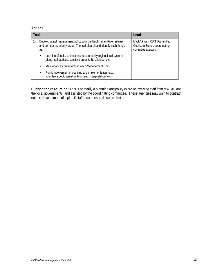### **Actions:**

| <b>Task</b> |           |                                                                                                                                                   | Lead                                                                               |
|-------------|-----------|---------------------------------------------------------------------------------------------------------------------------------------------------|------------------------------------------------------------------------------------|
| IJ          | as:       | Develop a trail management policy with the Englishman River estuary<br>and corridor as priority areas. The trail plan should identify such things | MWLAP with RDN, Parksville,<br>Qualicum Beach; coordinating<br>committee assisting |
|             | ٠         | Location of trails, connections to community/regional trail systems,<br>along-trail facilities, sensitive areas to be avoided, etc.               |                                                                                    |
|             | $\bullet$ | Maintenance agreements in each Management Unit.                                                                                                   |                                                                                    |
|             | ٠         | Public involvement in planning and implementation (e.g.,<br>volunteers could assist with upkeep, interpretation, etc.)                            |                                                                                    |

**Budget and resourcing:** This is primarily a planning and policy exercise involving staff from MWLAP and the local governments, and assisted by the coordinating committee. These agencies may wish to contract out the development of a plan if staff resources to do so are limited.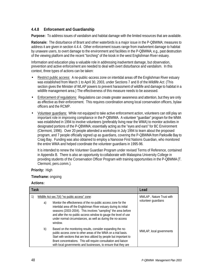### **4.4.8 Enforcement and Guardianship**

**Purpose:** To address issues of vandalism and habitat damage with the limited resources that are available.

**Rationale:** The disturbance of Brant and other waterbirds is a major issue in the P-QBWMA; measures to address it are given in section 4.4.4. Other enforcement issues range from inadvertent damage to habitat by unaware users, to overt damage to the environment and facilities in the P-QBWMA; e.g., past destruction of the viewing platform and the recent "torching" of the kiosk in the west Englishman River estuary.

Information and education play a valuable role in addressing inadvertent damage, but observation, prevention and active enforcement are needed to deal with overt disturbance and vandalism. In this context, three types of actions can be taken:

- Restrict public access: A no-public-access zone on intertidal areas off the Englishman River estuary was established from March 1 to April 30, 2003, under Sections 7 and 8 of the *Wildlife Act.* (This section gives the Minister of WLAP powers to prevent harassment of wildlife and damage to habitat in a wildlife management area.) The effectiveness of this measure needs to be assessed.
- Enforcement of regulations: Regulations can create greater awareness and attention, but they are only as effective as their enforcement. This requires coordination among local conservation officers, bylaw officers and the RCMP.
- Volunteer guardians: While not equipped to take active enforcement action, volunteers can still play an important role in improving compliance in the P-QBWMA. A volunteer "guardian" program for the WMA was established in 1994 to involve volunteers (preferably living near the WMA) to monitor activities in designated portions of the P-QBWMA; essentially acting as the "eyes and ears" for BC Environment (Clermont, 1996). Over 20 people attended a workshop in July 1994 to learn about the proposed program, and 7 people officially signed up as guardians, covering the P-QBWMA from Parksville Bay to Craig Bay. Funding was also obtained to employ a Nanoose First Nations Guardian, who monitored the entire WMA and helped coordinate the volunteer guardians in 1995-96.

It is intended to renew the Volunteer Guardian Program under revised Terms of Reference, contained in Appendix B. There is also an opportunity to collaborate with Malaspina University College in providing students of the Conservation Officer Program with training opportunities in the P-QBWMA (T. Clermont, pers.comm.).

#### **Priority:** High

**Timeframe:** ongoing

#### **Actions:**

| <b>Task</b> |                                                                                                                                                                                                                                                                                                                                                                                                        | Lead                                            |
|-------------|--------------------------------------------------------------------------------------------------------------------------------------------------------------------------------------------------------------------------------------------------------------------------------------------------------------------------------------------------------------------------------------------------------|-------------------------------------------------|
| a)          | Wildlife Act sec. 7(4) "no public access" zone:<br>Monitor the effectiveness of the no-public access zone for the<br>intertidal area off the Englishman River estuary during its initial<br>seasons (2003-2004). This involves "sampling" the area before<br>and after the no-public-access window to gauge the level of use<br>under normal circumstances, as well as during the no-access<br>window. | MWLAP, Nature Trust with<br>volunteer guardians |
| b)          | Based on the monitoring results, consider expanding the no-<br>public-access zone to other areas of the WMA on a trial basis.<br>Start with sections that are less utilized by people but important to<br>Brant concentrations. This will require consultation and liaison<br>with local governments and businesses, to ensure that they are                                                           | MWLAP, local governments                        |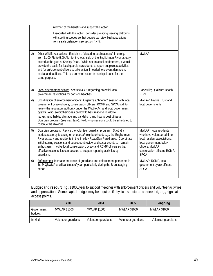|    | informed of the benefits and support this action.                                                                                                                                                                                                                                                                                                                                                                                                                                                               |                                                                                                                                                                                  |
|----|-----------------------------------------------------------------------------------------------------------------------------------------------------------------------------------------------------------------------------------------------------------------------------------------------------------------------------------------------------------------------------------------------------------------------------------------------------------------------------------------------------------------|----------------------------------------------------------------------------------------------------------------------------------------------------------------------------------|
|    | Associated with this action, consider providing viewing platforms<br>with spotting scopes so that people can view bird populations<br>from a safe distance - see section 4.4.5.                                                                                                                                                                                                                                                                                                                                 |                                                                                                                                                                                  |
| 2) | Other Wildlife Act actions: Establish a "closed to public access" time (e.g.,<br>from 11:00 PM to 5:00 AM) for the west side of the Englishman River estuary,<br>posted at the gate at Shelley Road. While not an absolute deterrent, it would<br>provide the basis for local guardians/residents to report suspicious activities,<br>and for enforcement officers to take action if needed to prevent damage to<br>habitat and facilities. This is a common action in municipal parks for the<br>same purpose. | <b>MWLAP</b>                                                                                                                                                                     |
| 3) | Local government bylaws: see sec.4.4.5 regarding potential local<br>government restrictions for dogs on beaches.                                                                                                                                                                                                                                                                                                                                                                                                | Parksville; Qualicum Beach;<br><b>RDN</b>                                                                                                                                        |
| 4) | Coordination of enforcement officers: Organize a "briefing" session with local<br>government bylaw officers, conservation officers, RCMP and SPCA staff to<br>review the regulatory authority under the Wildlife Act and local government<br>bylaws. Also, solicit their ideas on how to best respond to wildlife<br>harassment, habitat damage and vandalism, and how to best utilize a<br>Guardian program (see next task). Follow-up sessions could be scheduled to<br>continue the dialogue.                | MWLAP, Nature Trust and<br>local governments                                                                                                                                     |
| 5) | Guardian program: Revive the volunteer guardian program. Start at a<br>modest scale by focusing on one area/neighbourhood; e.g., the Englishman<br>River estuary and residents in the Shelley Road/San Pareil area. Coordinate<br>initial training sessions and subsequent review and social events to maintain<br>enthusiasm. Involve local conservation, bylaw and RCMP officers so that<br>effective relationships can develop to support reporting activities by<br>guardians.                              | MWLAP; local residents<br>who have volunteered time:<br>local resident associations:<br>local government bylaw<br>officers, MWLAP<br>conservation officers, RCMP,<br><b>SPCA</b> |
| 6) | Enforcement: Increase presence of guardians and enforcement personnel in<br>the P-QBWMA at critical times of year, particularly during the Brant staging<br>period.                                                                                                                                                                                                                                                                                                                                             | MWLAP, RCMP, local<br>government bylaw officers,<br><b>SPCA</b>                                                                                                                  |

**Budget and resourcing:** \$1000/year to support meetings with enforcement officers and volunteer activities and appreciation. Some capital budget may be required if physical structures are needed; e.g., signs at access points.

|                       | 2003                | 2004                | 2005                | ongoing             |
|-----------------------|---------------------|---------------------|---------------------|---------------------|
| Government<br>budgets | <b>MWLAP \$1000</b> | MWLAP \$1000        | <b>MWLAP \$1000</b> | <b>MWLAP \$1000</b> |
| In-kind               | Volunteer guardians | Volunteer guardians | Volunteer guardians | Volunteer guardians |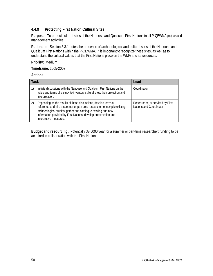### **4.4.9 Protecting First Nation Cultural Sites**

**Purpose:** To protect cultural sites of the Nanoose and Qualicum First Nations in all P-QBWMA projects and management activities.

**Rationale:** Section 3.3.1 notes the presence of archaeological and cultural sites of the Nanoose and Qualicum First Nations within the P-QBWMA. It is important to recognize these sites, as well as to understand the cultural values that the First Nations place on the WMA and its resources.

**Priority:** Medium

**Timeframe:** 2005-2007

#### **Actions:**

| Task |                                                                                                                                                                                                                                                                                                           | Lead                                                       |
|------|-----------------------------------------------------------------------------------------------------------------------------------------------------------------------------------------------------------------------------------------------------------------------------------------------------------|------------------------------------------------------------|
|      | Initiate discussions with the Nanoose and Qualicum First Nations on the<br>value and terms of a study to inventory cultural sites, their protection and<br>interpretation.                                                                                                                                | Coordinator                                                |
| 2)   | Depending on the results of these discussions, develop terms of<br>reference and hire a summer or part-time researcher to: compile existing<br>archaeological studies; gather and catalogue existing and new<br>information provided by First Nations; develop preservation and<br>interpretive measures. | Researcher, supervised by First<br>Nations and Coordinator |

**Budget and resourcing:** Potentially \$3-5000/year for a summer or part-time researcher; funding to be acquired in collaboration with the First Nations.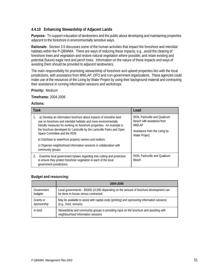### **4.4.10 Enhancing Stewardship of Adjacent Lands**

**Purpose:** To support education of landowners and the public about developing and maintaining properties adjacent to the foreshore in environmentally sensitive ways.

**Rationale:** Section 3.5 discusses some of the human activities that impact the foreshore and intertidal habitats within the P-QBWMA. There are ways of reducing these impacts; e.g., avoid the clearing of foreshore trees and vegetation and restore natural vegetation where possible; and retain existing and potential (future) eagle nest and perch trees. Information on the nature of these impacts and ways of avoiding them should be provided to adjacent landowners.

The main responsibility for promoting stewardship of foreshore and upland properties lies with the local jurisdictions, with assistance from MWLAP, DFO and non-government organizations. These agencies could make use of the resources of the Living by Water Project by using their background material and contracting their assistance in running information sessions and workshops.

#### **Priority:** Medium

**Timeframe:** 2004-2006

#### **Actions:**

| Task                                                                                                                                                                                                                                                                                                                                                                                                                                                                                     | Lead                                                                                                                           |
|------------------------------------------------------------------------------------------------------------------------------------------------------------------------------------------------------------------------------------------------------------------------------------------------------------------------------------------------------------------------------------------------------------------------------------------------------------------------------------------|--------------------------------------------------------------------------------------------------------------------------------|
| a) Develop an information brochure about impacts of shoreline land<br>1.<br>use on foreshore and intertidal habitats and more environmentally<br>friendly measures for working on foreshore properties. An example is<br>the brochure developed for Lantzville by the Lantzville Parks and Open<br>Space Committee and the RDN.<br>b) Distribute to waterfront property owners and realtors.<br>c) Organize neighborhood information sessions in collaboration with<br>community groups. | RDN, Parksville and Qualicum<br>Beach with assistance from<br><b>MWI AP</b><br>Assistance from the Living by<br>Water Project. |
| Examine local government bylaws regarding tree cutting and protection<br>to ensure they protect foreshore vegetation in each of the local                                                                                                                                                                                                                                                                                                                                                | RDN, Parksville and Qualicum<br>Beach                                                                                          |
| government jurisdictions.                                                                                                                                                                                                                                                                                                                                                                                                                                                                |                                                                                                                                |

#### **Budget and resourcing:**

|             | 2004-2005                                                                                                                    |
|-------------|------------------------------------------------------------------------------------------------------------------------------|
| Government  | Local governments - \$5000-10,000 depending on the amount of brochure development can                                        |
| budgets     | be done in-house versus contracted.                                                                                          |
| Grants or   | May be available to assist with capital costs (printing) and sponsoring information sessions                                 |
| sponsorship | (e.g., food, venues).                                                                                                        |
| In-kind     | Stewardship and community groups in providing input on the brochure and assisting with<br>neighbourhood information sessions |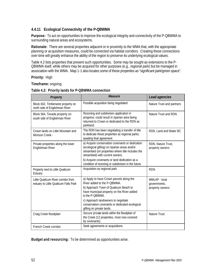### **4.4.11 Ecological Connectivity of the P-QBWMA**

**Purpose:** To act on opportunities to improve the ecological integrity and connectivity of the P-QBWMA to surrounding natural areas and ecosystems.

**Rationale:** There are several properties adjacent or in proximity to the WMA that, with the appropriate planning or acquisition measures, could be connected via habitat corridors. Creating these connections over time will greatly enhance the ability of the region to preserve its underlying ecological values.

Table 4.2 lists properties that present such opportunities. Some may be sought as extensions to the P-QBWMA itself, while others may be acquired for other purposes (e.g., regional park) but be managed in association with the WMA. Map 1-1 also locates some of these properties as "significant park/green space".

#### **Priority:** High

#### **Timeframe:** ongoing

| Property                                                                                               | <b>Measure</b>                                                                                                                                                                                                                                                                                                                                                                                         | Lead agencies                                                            |
|--------------------------------------------------------------------------------------------------------|--------------------------------------------------------------------------------------------------------------------------------------------------------------------------------------------------------------------------------------------------------------------------------------------------------------------------------------------------------------------------------------------------------|--------------------------------------------------------------------------|
| Block 602, Timberwest property on<br>north side of Englishman River                                    | Possible acquisition being negotiated                                                                                                                                                                                                                                                                                                                                                                  | Nature Trust and partners                                                |
| Block 564, Texada property on<br>south side of Englishman River                                        | Rezoning and subdivision application in<br>progress; could result in riparian area being<br>returned to Crown or dedicated to the RDN as<br>parkland.                                                                                                                                                                                                                                                  | Nature Trust and RDN                                                     |
| Crown lands on Little Mountain and<br>Morison Creek -                                                  | The RDN has been negotiating a transfer of title<br>to dedicate these properties as regional parks;<br>awaiting final agreement.                                                                                                                                                                                                                                                                       | RDN, Land and Water BC                                                   |
| Private properties along the lower<br>Englishman River                                                 | a) Acquire conservation covenants or dedication<br>(ecological gifting) on riparian areas and/or<br>streambed (on properties where title includes the<br>streambed) with current owners.<br>b) Acquire covenants or land dedication as a<br>condition of rezoning or subdivision in the future.                                                                                                        | RDN, Nature Trust,<br>property owners                                    |
| Property next to Little Qualicum<br>Estuary                                                            | Acquisition as regional park                                                                                                                                                                                                                                                                                                                                                                           | <b>RDN</b>                                                               |
| Little Qualicum River corridor from<br>estuary to Little Qualicum Falls Park<br>Craig Creek floodplain | a) Apply to have Crown parcels along the<br>River added to the P-QBWMA.<br>b) Approach Town of Qualicum Beach to<br>have municipal property on the River added<br>to the P-OBWMA.<br>c) Approach landowners to negotiate<br>conservation covenants or dedicated ecological<br>gifting on private lands.<br>Secure private lands within the floodplain of<br>the Creek (12 properties, most now covered | MWI AP - local<br>governments,<br>property owners<br><b>Nature Trust</b> |
|                                                                                                        | by covenants)                                                                                                                                                                                                                                                                                                                                                                                          |                                                                          |
| French Creek corridor                                                                                  | Seek agreements or acquisitions                                                                                                                                                                                                                                                                                                                                                                        |                                                                          |

#### **Table 4.2: Priority lands for P-QBWMA connection**

**Budget and resourcing:** To be determined as opportunities arise.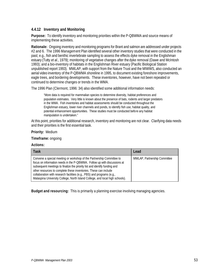### **4.4.12 Inventory and Monitoring**

**Purpose:** To identify inventory and monitoring priorities within the P-QBWMA and source means of implementing these activities.

**Rationale:** Ongoing inventory and monitoring programs for Brant and salmon are addressed under projects #2 and 6. The 1996 Management Plan identified several other inventory studies that were conducted in the past; e.g., fish and benthic invertebrate sampling to assess the effects dyke removal in the Englishman estuary (Tutty *et al*., 1979); monitoring of vegetative changes after the dyke removal (Dawe and McIntosh 1993); and a bio-inventory of habitats in the Englishman River estuary (Pacific Biological Station unpublished report 1993). MWLAP, with support from the Nature Trust and the MIWWS, also conducted an aerial video inventory of the P-QBWMA shoreline in 1995, to document existing foreshore improvements, eagle trees, and bordering developments. These inventories, however, have not been repeated or continued to determine changes or trends in the WMA.

The 1996 Plan (Clermont, 1996: 34) also identified some additional information needs:

"More data is required for mammalian species to determine diversity, habitat preferences and population estimates. Very little is known about the presence of bats, rodents and larger predators in the WMA. Fish inventories and habitat assessments should be conducted throughout the Englishman estuary, lower river channels and ponds, to identify fish use, habitat quality, and potential enhancement opportunities. These studies must be conducted before any habitat manipulation is undertaken."

At this point, priorities for additional research, inventory and monitoring are not clear. Clarifying data needs and their priorities is the first essential task.

#### **Priority:** Medium

#### **Timeframe:** ongoing

#### **Actions:**

| <b>Task</b>                                                                                                                                                                                                                                                                                                                                                                                                                                                   | Lead                         |
|---------------------------------------------------------------------------------------------------------------------------------------------------------------------------------------------------------------------------------------------------------------------------------------------------------------------------------------------------------------------------------------------------------------------------------------------------------------|------------------------------|
| Convene a special meeting or workshop of the Partnership Committee to<br>focus on information needs in the P-QBWMA. Follow up with discussions at<br>subsequent meetings to finalize the priority list and identify funding and<br>other resources to complete these inventories. These can include<br>collaboration with research facilities (e.g., PBS) and programs (e.g.,<br>Malaspina University College, North Island College, and local high schools). | MWLAP, Partnership Committee |

**Budget and resourcing:** This is primarily a planning exercise involving managing agencies.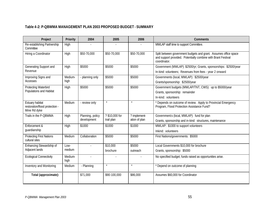### **Table 4-2: P-QBWMA MANAGEMENT PLAN 2003 PROPOSED BUDGET - SUMMARY**

| Project                                                           | Priority        | 2004             | 2005           | 2006          | <b>Comments</b>                                                                                                                                   |
|-------------------------------------------------------------------|-----------------|------------------|----------------|---------------|---------------------------------------------------------------------------------------------------------------------------------------------------|
| Re-establishing Partnership<br>Committee                          | High            |                  | $\sim$         |               | MWLAP staff time to support Committee.                                                                                                            |
| Hiring a Coordinator                                              | High            | \$50-70,000      | \$50-70,000    | \$50-70,000   | Split between government budgets and grant. Assumes office space<br>and support provided. Potentially combine with Brant Festival<br>coordinator. |
| Generating Support and                                            | High            | \$5000           | \$5000         | \$5000        | Government (MWLAP): \$2500/yr; Grants, sponsorships: \$2500/year                                                                                  |
| Revenue                                                           |                 |                  |                |               | In-kind: volunteers; Revenues from fees - year 2 onward                                                                                           |
| Improving Signs and                                               | Medium-         | - planning only  | \$5000         | \$5000        | Governments (local, MWLAP): \$2500/year                                                                                                           |
| Accesses                                                          | high            |                  |                |               | Grants/sponsorship: \$2500/year                                                                                                                   |
| Protecting Waterbird                                              | High            | \$5000           | \$5000         | \$5000        | Government budgets (MWLAP/TNT, CWS): up to \$5000/year                                                                                            |
| Populations and Habitat                                           |                 |                  |                |               | Grants, sponsorship: remainder                                                                                                                    |
|                                                                   |                 |                  |                |               | In-kind: volunteers                                                                                                                               |
| Estuary habitat<br>restoration/flood protection -<br>Mine Rd dyke | Medium          | - review only    | $\star$        | $\star$       | * Depends on outcome of review. Apply to Provincial Emergency<br>Program, Flood Protection Assistance Fund?                                       |
| Trails in the P-QBWMA                                             | High            | Planning, policy | ? \$10,000 for | ? implement-  | Government:s (local, MWLAP): fund for plan                                                                                                        |
|                                                                   |                 | development      | trail plan     | ation of plan | Grants, sponsorship and in-kind: structures, maintenance                                                                                          |
| Enforcement &                                                     | High            | \$1000           | \$1000         | \$1000        | MWLAP: \$1000 to support volunteers                                                                                                               |
| guardianship                                                      |                 |                  |                |               | Inkind: volunteers                                                                                                                                |
| <b>Protecting First Nations</b><br>cultural sites                 | Medium          | Collaboration    | \$5000         | \$5000        | First Nations/governments: \$5000                                                                                                                 |
| Enhancing Stewardship of                                          | $Low-$          |                  | \$10,000       | \$5000        | Local Governments \$10,000 for brochure                                                                                                           |
| Adjacent lands                                                    | medium          |                  | brochure       | outreach      | Grants, sponsorship: \$5000                                                                                                                       |
| <b>Ecological Connectivity</b>                                    | Medium-<br>high | $\overline{a}$   | $\sim$         |               | No specified budget; funds raised as opportunities arise.                                                                                         |
| Inventory and Monitoring                                          | Medium          | - Planning       | $\star$        | $\star$       | * Depend on outcome of planning                                                                                                                   |
| Total (approximate):                                              |                 | \$71,000         | \$90-100,000   | \$86,000      | Assumes \$60,000 for Coordinator                                                                                                                  |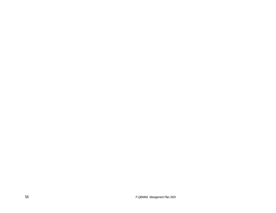*P-QBWMA Management Plan 2003*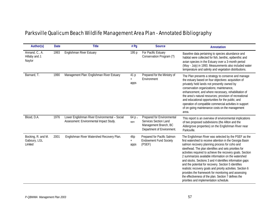# Parksville Qualicum Beach Wildlife Management Area Plan - Annotated Bibliography

| Author(s)                                     | <b>Date</b> | <b>Title</b>                                                                             | # Pg                | <b>Source</b>                                                                                              | <b>Annotation</b>                                                                                                                                                                                                                                                                                                                                                                                                                                                                                                                                                                                                                                                                              |
|-----------------------------------------------|-------------|------------------------------------------------------------------------------------------|---------------------|------------------------------------------------------------------------------------------------------------|------------------------------------------------------------------------------------------------------------------------------------------------------------------------------------------------------------------------------------------------------------------------------------------------------------------------------------------------------------------------------------------------------------------------------------------------------------------------------------------------------------------------------------------------------------------------------------------------------------------------------------------------------------------------------------------------|
| Annand, C., A.<br>Hillaby and J.<br>Naylor    | 1993        | Englishman River Estuary                                                                 | 195 p               | For Pacific Estuary<br>Conservation Program (?)                                                            | Baseline data pertaining to species abundance and<br>habitat were collected for fish, benthic, epibenthic and<br>avian species in the Estuary over a 3-month period<br>(May - July) in 1993. Measurements also included water<br>temperature and salinity and vegetation distributions.                                                                                                                                                                                                                                                                                                                                                                                                        |
| Barnard, T.                                   | 1990        | Management Plan: Englishman River Estuary                                                | 41 p<br>$+$<br>apps | Prepared for the Ministry of<br>Environment                                                                | The Plan presents a strategy to conserve and manage<br>the estuary based on four objectives: acquisition of<br>privately held lands not presently owned by<br>conservation organizations; maintenance,<br>enhancement, and where necessary, rehabilitation of<br>the area's natural resources; provision of recreational<br>and educational opportunities for the public; and<br>operation of compatible commercial activities in support<br>of on-going maintenance costs on the management<br>area.                                                                                                                                                                                          |
| Blood, D.A.                                   | 1976        | Lower Englishman River Environmental - Social<br>Assessment: Environmental Impact Study. | 64 $ p +$<br>apps   | Prepared for Environmental<br>Services Section Land<br>Management Branch, BC<br>Department of Environment. | This report is an overview of environmental implications<br>of two proposed subdivisions (the Allton and the<br>Aldergrove properties) on the Englishman River near<br>Parksville.                                                                                                                                                                                                                                                                                                                                                                                                                                                                                                             |
| Bocking, R. and M.<br>Gaboury, LGL<br>Limited | 2001        | Englishman River Watershed Recovery Plan.                                                | 46p<br>$+$<br>apps  | Prepared for Pacific Salmon<br><b>Endowment Fund Society</b><br>(PSEF)                                     | The Englishman River was selected by the PSEF as the<br>first watershed to receive attention in the Georgia Basin<br>salmon recovery planning process for coho and<br>steelhead. The plan identifies and sets priorities for<br>activities required to achieve the recovery goals. Section<br>2 summarizes available information on the watershed<br>and stocks. Sections 3 and 4 identifies information gaps<br>and the potential for recovery. Section 5 identifies<br>realistic recovery goals and priority activities. Section 6<br>provides the framework for monitoring and assessing<br>the effectiveness of the plan. Section 7 defines the<br>priorities and implementation schedule. |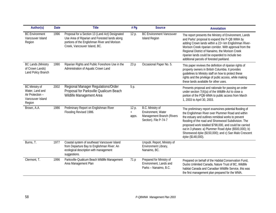| Author(s)                                                                           | <b>Date</b> | <b>Title</b>                                                                                                                                                                     | $#$ Pg                | <b>Source</b>                                                                                | <b>Annotation</b>                                                                                                                                                                                                                                                                                                                                                                                                        |
|-------------------------------------------------------------------------------------|-------------|----------------------------------------------------------------------------------------------------------------------------------------------------------------------------------|-----------------------|----------------------------------------------------------------------------------------------|--------------------------------------------------------------------------------------------------------------------------------------------------------------------------------------------------------------------------------------------------------------------------------------------------------------------------------------------------------------------------------------------------------------------------|
| <b>BC</b> Environment<br>Vancouver Island<br>Region                                 | 1996        | Proposal for a Section 13 (Land Act) Designated<br>Use Area of Riparian and Forested lands along<br>portions of the Englishman River and Morison<br>Creek, Vancouver Island, BC. | 12 p.                 | <b>BC Environment Vancouver</b><br><b>Island Region</b>                                      | The report presents the Ministry of Environment, Lands<br>and Parks' proposal to expand the P-QB WMA by<br>adding Crown lands within a 22+ km Englishman River-<br>Morison Creek riparian corridor. With approval from the<br>Regional District of Nanaimo, the Morison Creek<br>riparian lands could be expanded to include two<br>additional parcels of forested parkland.                                             |
| <b>BC Lands (Ministry</b><br>of Crown Lands)<br>Land Policy Branch                  | 1990        | Riparian Rights and Public Foreshore Use in the<br>Administration of Aquatic Crown Land                                                                                          | 23p                   | Occasional Paper No. 5.                                                                      | This paper reviews the definition of riparian rights of<br>property owners in British Columbia. It provides<br>guidelines to Ministry staff on how to protect these<br>rights and the privilege of publc access, while making<br>these lands available for other uses.                                                                                                                                                   |
| BC Ministry of<br>Water, Land and<br>Air Protection -<br>Vancouver Island<br>Region | 2002        | Regional Manager Regulations/Order<br>Proposal for Parksville Qualicum Beach<br>Wildlife Management Area                                                                         | 5 p.                  |                                                                                              | Presents proposal and rationale for passing an order<br>under section 7(4)(a) of the Wildlife Act to close a<br>portion of the PQB-WMA to public access from March<br>1, 2003 to April 30, 2003.                                                                                                                                                                                                                         |
| Brown, A.A.                                                                         | 1986        | Preliminary Report on Englishman River<br>Flooding Revised 1986.                                                                                                                 | 12 p.<br>$+$<br>apps. | B.C. Ministry of<br>Environment, Water<br>Management Branch (Rivers<br>Section). File P-74-7 | The preliminary report examoines potential flooding of<br>the Englishman River over Plummer Road and within<br>the estuary and outlines remideal works to prevent<br>flooding of the road and Shorewood Subdivision. The<br>proposed work totalled \$798,000, and could be carried<br>out in 3 phases: a) Plummer Road dyke (\$500,000); b)<br>Shorewood dyke (\$150,000); and c) San Malo Crescent<br>dyke (\$148,000). |
| Burns, T.                                                                           | 1977        | Coastal system of southeast Vancouver Island<br>from Departure Bay to Englishman River: An<br>ecological description with management<br>suggestions.                             |                       | Unpubl. Report, Ministry of<br>Environment Library,<br>Nanaimo, BC.                          |                                                                                                                                                                                                                                                                                                                                                                                                                          |
| Clermont, T.                                                                        | 1996        | Parksville-Qualicum Beach Wildlife Management<br>Area Management Plan                                                                                                            | 71 p                  | Prepared for Ministry of<br>Environment, Lands and<br>Parks - Nanaimo, B.C.                  | Prepared on behalf of the Habitat Conservation Fund,<br>Ducks Unlimited Canada, Nature Trust of BC, Wildlife<br>habitat Canada and Canadian Wildlife Service, this was<br>the first management plan prepared for the WMA.                                                                                                                                                                                                |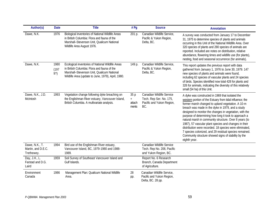| Author(s)                                          | <b>Date</b>          | <b>Title</b>                                                                                                                                                                                         | # Pg                           | <b>Source</b>                                                                            | <b>Annotation</b>                                                                                                                                                                                                                                                                                                                                                                                                                                                                                                                                                                                                                                         |
|----------------------------------------------------|----------------------|------------------------------------------------------------------------------------------------------------------------------------------------------------------------------------------------------|--------------------------------|------------------------------------------------------------------------------------------|-----------------------------------------------------------------------------------------------------------------------------------------------------------------------------------------------------------------------------------------------------------------------------------------------------------------------------------------------------------------------------------------------------------------------------------------------------------------------------------------------------------------------------------------------------------------------------------------------------------------------------------------------------------|
| Dawe, N.K.                                         | 1976                 | Biological inventories of National Wildlife Areas<br>in British Columbia: Flora and fauna of the<br>Marshall-Stevenson Unit, Qualicum National<br>Wildlife Area August 1976.                         | 201 p.                         | Canadian Wildlife Service,<br>Pacific & Yukon Region,<br>Delta, BC.                      | A survey was conducted from January 17 to December<br>31, 1975 to determine species of plants and animals<br>occurring in this Unit of the National Wildlife Area. Over<br>320 species of plants and 280 species of animals are<br>reported. Included are notes on distribution, relative<br>abundance, flowering times and wildlife use (for plants),<br>nesting, food and seasonal occurrence (for animals).                                                                                                                                                                                                                                            |
| Dawe, N.K.                                         | 1980<br>(197)<br>9?) | Ecological inventories of National Wildlife Areas<br>in British Columbia: Flora and fauna of the<br>Marshall-Stevenson Unit, Qualicum National<br>Wildlife Area (update to June, 1979), April, 1980. | 149 p.                         | Canadian Wildlife Service,<br>Pacific & Yukon Region,<br>Delta, BC.                      | This report updates the previous report with data<br>gathered from January 1, 1976 to June 30, 1979. 147<br>new species of plants and animals were found,<br>including 62 species of vascular plants and 24 species<br>of birds. Species identified now total 428 for plants and<br>326 for animals, indicating the diversity of this relatively<br>small (54 ha) of this Unit.                                                                                                                                                                                                                                                                           |
| Dawe, N.K., J.D.<br>McIntosh                       | 1993                 | Vegetation change following dyke breaching on<br>the Englishman River estuary, Vancouver Island,<br>British Columbia. A multivariate analysis.                                                       | 35 p<br>$+$<br>attach<br>ments | Canadian Wildlife Service<br>Tech. Rep Ser. No. 175,<br>Pacific and Yukon Region,<br>BC. | A dyke was constructed in 1969 that isolated the<br>western portion of the Estuary from tidal influence; the<br>former marsh changed to upland vegetation. A 10-m<br>breach was made in the dyke in 1979, and a study<br>designed to monitor the changes in vegetation, with the<br>purpose of determining how long it took to approach a<br>natural marsh in community structure. Over 8 years (to<br>1987), 57 vascular plant species and changes in their<br>distribution were recorded. 18 species were eliminated,<br>7 species colonized, and 29 residual species remained.<br>Community structure showed signs of stability by the<br>eighth year. |
| Dawe, N.K., T.<br>Martin, and D.E.C.<br>Trethewey. | 1994                 | Bird use of the Englishman River estuary,<br>Vancouver Island, BC, 1979-1980 and 1988-<br>1989.                                                                                                      |                                | Canadian Wildlife Service<br>Tech. Rep No. 208, Pacific<br>and Yukon Region, BC.         |                                                                                                                                                                                                                                                                                                                                                                                                                                                                                                                                                                                                                                                           |
| Day, J.H., L.<br>Farstad and D.G.<br>Laird         | 1959                 | Soil Survey of Southeast Vancouver Island and<br>Gulf Islands.                                                                                                                                       |                                | Report No. 6 Research<br>Branch, Canada Department<br>of Agriculture.                    |                                                                                                                                                                                                                                                                                                                                                                                                                                                                                                                                                                                                                                                           |
| Environment<br>Canada                              | 1986                 | Management Plan: Qualicum National Wildlife<br>Area.                                                                                                                                                 | 28<br>pp.                      | Canadian Wildlife Service,<br>Pacific and Yukon Region,<br>Delta, BC. 28 pp.             |                                                                                                                                                                                                                                                                                                                                                                                                                                                                                                                                                                                                                                                           |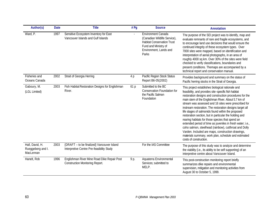| Author(s)                                         | <b>Date</b> | <b>Title</b>                                                                            | # Pg | <b>Source</b>                                                                                                                                      | <b>Annotation</b>                                                                                                                                                                                                                                                                                                                                                                                                                                                                                                                                                                                                                                                                                                                                                                |
|---------------------------------------------------|-------------|-----------------------------------------------------------------------------------------|------|----------------------------------------------------------------------------------------------------------------------------------------------------|----------------------------------------------------------------------------------------------------------------------------------------------------------------------------------------------------------------------------------------------------------------------------------------------------------------------------------------------------------------------------------------------------------------------------------------------------------------------------------------------------------------------------------------------------------------------------------------------------------------------------------------------------------------------------------------------------------------------------------------------------------------------------------|
| Ward, P.                                          | 1997        | Sensitive Ecosystem Inventory for East<br>Vancouver Islands and Gulf Islands            |      | Environment Canada<br>(Canadian Wildlife Service),<br><b>Habitat Conservation Trust</b><br>Fund and Ministry of<br>Environment, Lands and<br>Parks | The purpose of the SEI project was to identify, map and<br>evaluate remnants of rare and fragile ecosystems, and<br>to encourage land use decisions that would ensure the<br>continued integrity of these ecosystem types. Over<br>7000 sites were mapped, based on identification and<br>interpretation of aerial photographs, in an area of<br>roughly 4000 sq km. Over 30% of the sites were field<br>checked to verify classifications, boundaries and<br>present conditions. Themaps are accompanied by a<br>technical report and conservation manual.                                                                                                                                                                                                                      |
| Fisheries and<br>Oceans Canada                    | 2002        | Strait of Georgia Herring                                                               | 4p   | Pacific Region Stock Status<br>Report B6-05(2002)                                                                                                  | Provides background and summary on the status of<br>Pacific herring stocks in the Strait of Georgia.                                                                                                                                                                                                                                                                                                                                                                                                                                                                                                                                                                                                                                                                             |
| Gaboury, M.<br>(LGL Limited)                      | 2003        | Fish Habitat Restoration Designs for Englishman<br>River.                               | 61 p | Submitted to the BC<br><b>Conservation Foundation for</b><br>the Pacific Salmon<br>Foundation                                                      | This project establishes biological rationale and<br>feasibility, and provides site-specific fish habitat<br>restoration designs and construction procedures for the<br>main stem of the Englishman River. About 5.7 km of<br>stream was assessed and 16 sites were prescribed for<br>instream restoration. The restoration designs target all<br>life stages of salmonids found within the proposed<br>restoration section, but in particular the holding and<br>rearing habitats for those species that spend an<br>extended period of time as juveniles in fresh water; i.e.,<br>coho salmon, steelhead (rainbow), cutthroat and Dolly<br>Varden. Included are maps, construction drawings,<br>materials summary, work plan, schedule and estimated<br>costs of construction. |
| Hall, David, H.<br>Rueggeberg and I.<br>MacLennan | 2003        | {DRAFT - to be finalized} Vancouver Island<br>Interpretive Centre Pre-feasibility Study |      | For the IAS Committee                                                                                                                              | The purpose of this study was to analyze and determine<br>the viability (i.e., its ability to be self supporting) of an<br>interpretive centre about Vancouver Island.                                                                                                                                                                                                                                                                                                                                                                                                                                                                                                                                                                                                           |
| Hanelt, Rob                                       | 1996        | Englishman River Mine Road Dike Repair Post<br><b>Construction Monitoring Report.</b>   | 9 p. | Aquaterra Environmental<br>Services; submitted to<br>MELP.                                                                                         | This post-construction monitoring report briefly<br>summarizes dike repairs and environmental<br>supervision, mitigation and monitoring activities from<br>August 30 to October 5, 1999.                                                                                                                                                                                                                                                                                                                                                                                                                                                                                                                                                                                         |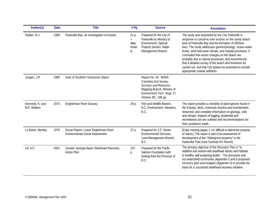| Author(s)                              | <b>Date</b> | <b>Title</b>                                                             | $#$ Pg                              | <b>Source</b>                                                                                                                                                  | <b>Annotation</b>                                                                                                                                                                                                                                                                                                                                                                                                                                                                                                                                |
|----------------------------------------|-------------|--------------------------------------------------------------------------|-------------------------------------|----------------------------------------------------------------------------------------------------------------------------------------------------------------|--------------------------------------------------------------------------------------------------------------------------------------------------------------------------------------------------------------------------------------------------------------------------------------------------------------------------------------------------------------------------------------------------------------------------------------------------------------------------------------------------------------------------------------------------|
| Holden, B.J.                           | 1989        | Parksville Bay: an investigation of erosion.                             | 22 p.<br>$+$<br>attac<br>hmen<br>ts | Prepared for the City of<br>Parksville by Ministry of<br>Environment, Special<br>Projects Section, Water<br>Management Branch.                                 | The study was requested by the City Parksville in<br>response to concerns over erosion on the sandy beach<br>area of Parksville Bay and the formation of offshore<br>bars. The study addresses geomorphology, ocean water<br>levels, wind and wave climate, and coastal processes. It<br>concluded that recent changes on the beach are<br>probably due to natural processes, and recommends<br>that a detailed survey of the beach and foreshore be<br>carried out, and that City bylaws be amended to include<br>appropriate coastal setbacks. |
| Jungen, J.R.                           | 1985        | Soils of Southern Vancouver Island.                                      |                                     | Report No. 44. British<br>Columbia Soil Survey.<br>Surveys and Resource<br>Mapping Branch, Ministry of<br>Environment Tech. Rept. 17.<br>Victoria, BC, 198 pp. |                                                                                                                                                                                                                                                                                                                                                                                                                                                                                                                                                  |
| Kennedy, K. and<br><b>B.R. Walters</b> | 1974.       | Englishman River Estuary.                                                | 29 p.                               | Fish and Wildlife Branch,<br>B.C, Environment, Nanaimo,<br>B.C.                                                                                                | The report provides a checklist of plant species found in<br>the Estuary; birds, mammals (tracks) and invertebrates<br>observed; and compiled information on geology, soils<br>and climate. Impacts of logging, residential and<br>recreational use are outlined and recommendations for<br>their avoidance made.                                                                                                                                                                                                                                |
| Le Baron, Bentley                      | 1976        | Social Report: Lower Englishman River<br>Environmental-Social Assessment | 37 p.                               | Prepared for J.P. Sector<br><b>Environmental Services,</b><br>Land Management Branch,<br>B.C.                                                                  | [Copy missing pages 1-13; difficult to determine purpose<br>of report.] The report is part of an assessment of<br>development of the "Aldergrove property" in the<br>Parksville Flats (now Surfside RV Resort).                                                                                                                                                                                                                                                                                                                                  |
| Lill, A.F.                             | 2002        | Greater Georgia Basin Steelhead Recovery<br><b>Action Plan</b>           | 107<br>p.                           | Prepared for the Pacific<br>Salmon Foundation with<br>funding from the Province of<br>B.C.                                                                     | The primary objective of the Recovery Plan is "to<br>stabilize and restore wild steelhead stocks and habitats<br>to healthy self-sustaining levels". The document sets<br>out watershed summaries (Appendix I) and a proposed<br>recovery plan and budgets (Appendix II) to provide the<br>basis for a successful steelhead recovery initiative.                                                                                                                                                                                                 |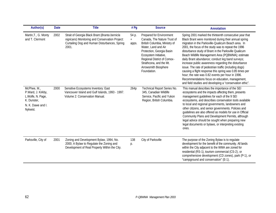| Author(s)                                                                                              | <b>Date</b> | <b>Title</b>                                                                                                                                                | # Pg                  | <b>Source</b>                                                                                                                                                                                                                                                          | <b>Annotation</b>                                                                                                                                                                                                                                                                                                                                                                                                                                                                                                                                                                                                                                                                                                                                |
|--------------------------------------------------------------------------------------------------------|-------------|-------------------------------------------------------------------------------------------------------------------------------------------------------------|-----------------------|------------------------------------------------------------------------------------------------------------------------------------------------------------------------------------------------------------------------------------------------------------------------|--------------------------------------------------------------------------------------------------------------------------------------------------------------------------------------------------------------------------------------------------------------------------------------------------------------------------------------------------------------------------------------------------------------------------------------------------------------------------------------------------------------------------------------------------------------------------------------------------------------------------------------------------------------------------------------------------------------------------------------------------|
| Martin, T., G. Monty<br>and T. Clermont                                                                | 2002        | Strait of Georgia Black Brant (Branta bernicla<br>nigricans) Monitoring and Conservation Project:<br>Curtailing Dog and Human Disturbances, Spring<br>2001. | 54 p.<br>$+$<br>apps. | Prepared for Environment<br>Canada, The Nature Trust of<br>British Columbia, Ministry of<br>Water, Land and Air<br>Protection, Georgia Basin<br>Ecosystem Initiative,<br>Regional District of Comox-<br>Strathcona, and the Mt.<br>Arrowsmith Biosphere<br>Foundation. | Spring 2001 marked the thirteenth consecutive year that<br>Black Brant were monitored during their annual spring<br>migration in the Parksville-Qualicum Beach area. In<br>2001, the focus of the study was to repeat the 1996<br>disturbance study of Brant in the Parksville Qualicum<br>Beach Wildlife Management Area (PQBWMA); estimate<br>daily Brant abundance; conduct leg band surveys;<br>increase public awareness regarding the disturbance<br>issue. The rate of pedestrian traffic (including dogs)<br>causing a flight response this spring was 0.85 times per<br>hour; the rate was 0.82 events per hour in 1996.<br>Recommendations focus on education, management,<br>and field studies and developing a "conservation ethic". |
| McPhee, M.,<br>P.Ward, J. Kirkby,<br>L.Wolfe, N. Page,<br>K. Dunster,<br>N. K. Dawe and I.<br>Nykwist. | 2000        | Sensitive Ecosystems Inventory: East<br>Vancouver Island and Gulf Islands, 1993 - 1997.<br>Volume 2: Conservation Manual.                                   | 264p                  | Technical Report Series No.<br>345, Canadian Wildlife<br>Service, Pacific and Yukon<br>Region, British Columbia.                                                                                                                                                       | This manual describes the importance of the SEI<br>ecosystems and the impacts affecting them, presents<br>management guidelines for each of the 9 SEI<br>ecosystems, and describes conservation tools available<br>to local and regional governments, landowners and<br>other citizens, and senior governments. Policies and<br>guidelines are also offered as models for use in Official<br>Community Plans and Development Permits, although<br>legal advice should be sought when preparing new<br>legal documents or bylaws, or interpreting existing<br>ones.                                                                                                                                                                               |
| Parksville, City of                                                                                    | 2001        | Zoning and Development Bylaw, 1994, No.<br>2000; A Bylaw to Regulate the Zoning and<br>Development of Real Property Within the City.                        | 138<br>p.             | City of Parksville                                                                                                                                                                                                                                                     | The purpose of the Zoning Bylaw is to regulate<br>development for the benefit of the community. All lands<br>within the City adjacent to the WMA are zoned for<br>residential (RS-1), tourism commercial (CS-2), or<br>comprehensive development (CD zones), park (P-1), or<br>"campground and conservation" (E-1).                                                                                                                                                                                                                                                                                                                                                                                                                              |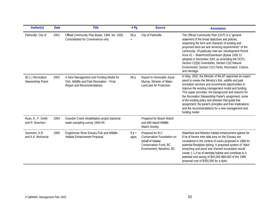| Author(s)                              | <b>Date</b> | <b>Title</b>                                                                                                       | # Pg            | <b>Source</b>                                                                                                              | <b>Annotation</b>                                                                                                                                                                                                                                                                                                                                                                                                                                                                                                                      |
|----------------------------------------|-------------|--------------------------------------------------------------------------------------------------------------------|-----------------|----------------------------------------------------------------------------------------------------------------------------|----------------------------------------------------------------------------------------------------------------------------------------------------------------------------------------------------------------------------------------------------------------------------------------------------------------------------------------------------------------------------------------------------------------------------------------------------------------------------------------------------------------------------------------|
| Parksville, City of                    | 2001        | Official Community Plan Bylaw, 1994, No. 1050,<br>Consolidated for Convenience only.                               | 59 p.<br>$^{+}$ | City of Parksville                                                                                                         | The Official Community Plan (OCP) is a "general<br>statement of the broad objectives and policies,<br>respecting the form and character of existing and<br>proposed land use and servicing requirements" of the<br>community. Of particular note are: Development Permit<br>Area #2 - Waterfront/Downtown (Bylaw 1050.12<br>adopted in December 2001 as amending the OCP);<br>Section C(I)(b) Greenbelts; Section C(II) Natural<br>Environment; Section C(V) Parks, Recreation, Culture,<br>and Heritage.                              |
| (B.C.) Recreation<br>Stewardship Panel | 2002        | A New Management and Funding Model for<br>Fish, Wildlife and Park Recreation - Final<br>Report and Recommendations | 68 p            | Report to Honorable Joyce<br>Murray, Minister of Water,<br>Land and Air Protection                                         | In May, 2002, the Minister of WLAP appointed an expert<br>panel to review the Ministry's fish, wildlife and park<br>recreation services and recommend opportunities to<br>improve the existing management model and funding.<br>This paper provides: the background and reasons for<br>the Recreation Stewardship Panel's assignment; some<br>of the existing policy and direction that guide that<br>assignment; the panel's principles and their implications;<br>and the recommendations for a new management and<br>funding model. |
| Ryan, K., F. Smith<br>and R. Buechert  | 1994        | Grandon Creek rehabilitation project bacterial<br>water-sampling survey 1993-94.                                   |                 | Prepared for Beach Watch<br>and Mid-Island Wildlife<br>Watch Society.                                                      |                                                                                                                                                                                                                                                                                                                                                                                                                                                                                                                                        |
| Summers, K.R.<br>and A.K. McKenzie     | 1990        | Englishman River Estuary Fish and Wildlife<br>Habitat Enhancement Proposal.                                        | $9p +$<br>apps. | Prepared for B.C.<br>Conservation Foundation on<br>behalf of Habitat<br>Conservation Fund, BC<br>Environment, Nanaimo, BC. | Waterfowl and fisheries habitat enhancement options for<br>8 ha of former inter-tidal area on the Estuary are<br>considered in the context of works proposed in 1986 for<br>potential floodplain dyking. A proposed system of "dyke"<br>breaching and pond and channel excavation would<br>create 1-1.4 ha of intertidal habitat and contribute to a<br>potential cost saving of \$55,000-\$68,000 of the 1986<br>proposal cost of \$300,000 for a dyke.                                                                               |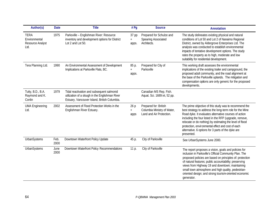| Author(s)                                                | <b>Date</b>  | <b>Title</b>                                                                                                                                  | $#$ Pg                                             | <b>Source</b>                                                                    | <b>Annotation</b>                                                                                                                                                                                                                                                                                                                                                                                                          |
|----------------------------------------------------------|--------------|-----------------------------------------------------------------------------------------------------------------------------------------------|----------------------------------------------------|----------------------------------------------------------------------------------|----------------------------------------------------------------------------------------------------------------------------------------------------------------------------------------------------------------------------------------------------------------------------------------------------------------------------------------------------------------------------------------------------------------------------|
| <b>TERA</b><br>Environmental<br>Resource Analyst<br>Ltd. | 1975         | Parksville - Englishman River: Resource<br>inventory and development options for District<br>Lot 2 and Lot 50.                                | 37 pp<br>$\begin{array}{c} + \end{array}$<br>apps. | Prepared for Schulze and<br>Spearing Associated<br>Architects.                   | The study delineates existing physical and natural<br>conditions of Lot 50 and Lot 2 of Nanaimo Regional<br>District, owned by Aldergrove Enterprises Ltd. The<br>analysis was conducted to establish environmental<br>impacts of tentative development options. The study<br>rates the property as to high, moderate and low<br>suitability for residential development.                                                  |
| Tera Planning Ltd.                                       | 1990         | An Environmental Assessment of Development<br>Implications at Parksville Flats, BC.                                                           | 85 p.<br>$\ddot{}$<br>apps.                        | Prepared for City of<br>Parksville                                               | This working draft assesses the environmental<br>implications of the existing trailer and campground, the<br>proposed adult community, and the road alignment at<br>the base of the Parksville uplands. The mitigation and<br>compensation options are only generic for the proposed<br>developments.                                                                                                                      |
| Tutty, B.D., B.A.<br>Raymond and K.<br>Conlin            | 1979         | Tidal reactivation and subsequent salmonid<br>utilization of a slough in the Englishman River<br>Estuary, Vancouver Island, British Columbia. |                                                    | Canadian MS Rep. Fish.<br>Aquat. Sci. 1689:vii, 52 pp.                           |                                                                                                                                                                                                                                                                                                                                                                                                                            |
| <b>UMA Engineering</b><br>Ltd.                           | 2002         | Assessment of Flood Protection Works in the<br>Englishman River Estuary.                                                                      | 26 <sub>p</sub><br>$+$<br>apps                     | Prepared for: British<br>Columbia Ministry of Water,<br>Land and Air Protection. | The prime objective of this study was to recommend the<br>best strategy to address the long-term role for the Mine<br>Road dyke. It evaluates alternative courses of action<br>including the four listed in the RFP (upgrade, remove,<br>relocate or do nothing) by estimating the level of flood<br>protection, environmental effect and cost of each<br>alternative. 6 options for 3 parts of the dyke are<br>presented. |
| UrbanSystems                                             | Feb.<br>2000 | Downtown Waterfront Policy Update                                                                                                             | 45 p.                                              | City of Parksville                                                               | See UrbanSystems June 2000.                                                                                                                                                                                                                                                                                                                                                                                                |
| UrbanSystems                                             | June<br>2000 | Downtown Waterfront Policy Recommendations                                                                                                    | 11 p.                                              | City of Parksville                                                               | The report proposes a vision, goals and policies for<br>inclusion in Parksville's Official Community Plan. The<br>proposed policies are based on principles of: protection<br>of natural features; public accountability; preserving<br>views from Highway 19 and downtown; maintaining<br>small town atmosphere and high quality, pedestrian-<br>oriented design; and strong tourism-oriented economic<br>generator.      |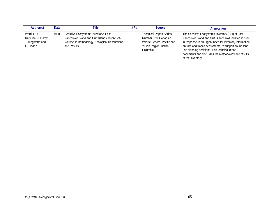| Author(s)                                                                | Date | Title                                                                                                                                                 | # Pg | <b>Source</b>                                                                                                                 | Annotation                                                                                                                                                                                                                                                                                                                                                   |
|--------------------------------------------------------------------------|------|-------------------------------------------------------------------------------------------------------------------------------------------------------|------|-------------------------------------------------------------------------------------------------------------------------------|--------------------------------------------------------------------------------------------------------------------------------------------------------------------------------------------------------------------------------------------------------------------------------------------------------------------------------------------------------------|
| Ward, P., G.<br>Radcliffe, J. Kirkby,<br>J. Illingworth and<br>C. Cadrin | 1998 | Sensitive Ecosystems Inventory: East<br>Vancouver Island and Gulf Islands 1993-1997.<br>Volume 1: Methodology, Ecological Descriptions<br>and Results |      | <b>Technical Report Series</b><br>Number 320, Canadian<br>Wildlife Service, Pacific and<br>Yukon Region, British<br>Columbia. | The Sensitive Ecosystems Inventory (SEI) of East<br>Vancouver Island and Gulf Islands was initiated in 1993<br>in response to an urgent need for inventory information<br>on rare and fragile ecosystems, to support sound land<br>use planning decisions. This technical report<br>documents and discusses the methodology and results<br>of the inventory. |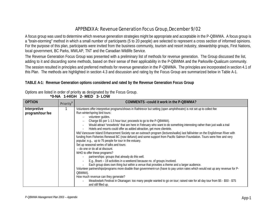# APPENDIX A: Revenue Generation Focus Group, December 9/02

A focus group was used to determine which revenue generation strategies might be appropriate and acceptable in the P-QBWMA. A focus group is a "brain-storming" method in which a small number of participants (5 to 20 people) are selected to represent a cross section of informed opinions. For the purpose of this plan, participants were invited from the business community, tourism and resort industry, stewardship groups, First Nations, local government, BC Parks, MWLAP, TNT and the Canadian Wildlife Service.

The Revenue Generation Focus Group was presented with a preliminary list of methods for revenue generation. The Group discussed the list, adding to it and discarding some methods, based on their sense of their applicability in the P-QBWMA and the Parksville-Qualicum community. The session resulted in principles and preferred methods for revenue generation in the P-QBWMA. The principles are incorporated in section 4.1 of this Plan. The methods are highlighted in section 4.3 and discussion and rating by the Focus Group are summarized below in Table A-1.

| <b>OPTION</b>                    | Priority <sup>*</sup> | <b>COMMENTS-could it work in the P-QBWMA?</b>                                                                                                                                                                                                                                                                                                                                                                                                                                                                                                                                                                                                                                                                                                                                                                                                                                                                                                                                                                                                                                                                                                                                                                                                                                                                                                                                                                                                                           |
|----------------------------------|-----------------------|-------------------------------------------------------------------------------------------------------------------------------------------------------------------------------------------------------------------------------------------------------------------------------------------------------------------------------------------------------------------------------------------------------------------------------------------------------------------------------------------------------------------------------------------------------------------------------------------------------------------------------------------------------------------------------------------------------------------------------------------------------------------------------------------------------------------------------------------------------------------------------------------------------------------------------------------------------------------------------------------------------------------------------------------------------------------------------------------------------------------------------------------------------------------------------------------------------------------------------------------------------------------------------------------------------------------------------------------------------------------------------------------------------------------------------------------------------------------------|
| Interpretive<br>program/tour fee |                       | Volunteers offer interpretive programs/shows in Rathtrevor but setting (open amphitheatre) is not set up to collect fee<br>Run winter/spring bird tours:<br>volunteer guides.<br>Charge \$5 per 1-1.5 hour tour; proceeds to go to the P-QBWMA).<br>Would attract "snowbirds" that are here in February who want to do something interesting rather than just walk a trail<br>Hotels and resorts could offer as added attraction, get more clientele.<br>Mid Vancouver Island Enhancement Society ran an outreach program (lectures/walks) last fall/winter on the Englishman River with<br>funding from Fisheries Renewal BC (now defunct) and some support from Pacific Salmon Foundation. Tours were free and very<br>popular; e.g., up to 75 people for tour in the estuary.<br>Set up seasonal series of talks and tours:<br>- do one or do all at discount.<br>WHO to offer these programs?<br>partnerships: groups that already do this well.<br>E.g., Brant - 19 activities in a weekend because no. of groups involved.<br>Each group does own thing but within a venue that provides a theme and a larger audience.<br>Volunteer partnerships/programs more doable than government-run (have to pay union rates which would eat up any revenue for P-<br>QBWMA).<br>How much revenue can they generate?<br>Meadowlark Festival in Okanagan: too many people wanted to go on tour; raised rate for all day tour from \$5 - \$50 - \$75<br>and still filled up. |

### Options are listed in order of priority as designated by the Focus Group. **\*0-NA 1-HIGH 2- MED 3- LOW**

**TABLE A-1: Revenue Generation options considered and rated by the Revenue Generation Focus Group**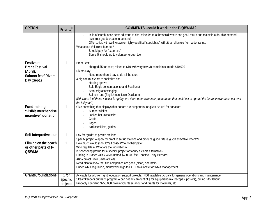| <b>OPTION</b>                                                                                | Priority <sup>*</sup>         | <b>COMMENTS-could it work in the P-QBWMA?</b>                                                                                                                                                                                                                                                                                                                                                                                                                                                                 |
|----------------------------------------------------------------------------------------------|-------------------------------|---------------------------------------------------------------------------------------------------------------------------------------------------------------------------------------------------------------------------------------------------------------------------------------------------------------------------------------------------------------------------------------------------------------------------------------------------------------------------------------------------------------|
|                                                                                              |                               | Rule of thumb: once demand starts to rise, raise fee to a threshold where can get \$ return and maintain a do-able demand<br>level (not get decrease in demand).<br>Offer series with well-known or highly qualified "specialists", will attract clientele from wider range.<br>What about Volunteer burnout?<br>Should pay for "expertise"<br>Some % should go to volunteer group, too                                                                                                                       |
| Festivals:<br><b>Brant Festival</b><br>(April);<br><b>Salmon fest/ Rivers</b><br>Day (Sept.) | 1                             | <b>Brant Fest:</b><br>charged \$5 for pass; raised to \$10 with very few (3) complaints, made \$10,000<br>Rivers Day:<br>Need more than 1 day to do all the tours<br>4 big natural events to capitalize on:<br>Herring spawn<br>Bald Eagle concentrations (and Sea lions)<br>Brant migration/staging<br>Salmon runs (Englishman, Little Qualicum)<br>(Ed. Note: 3 of these 4 occur in spring; are there other events or phenomena that could act to spread the interest/awareness out over<br>the full year?) |
| Fund-raising:<br>"visible merchandise<br>incentive" donation                                 |                               | Give something that displays that donors are supporters, or gives "value" for donation:<br>Bumper sticker<br>Jacket, hat, sweatshirt<br>Cards<br>Logos<br>Bird checklists, guides                                                                                                                                                                                                                                                                                                                             |
| Self-interpretive tour                                                                       | $\mathbf{1}$                  | Pay for "guide" to posted stations.<br>Specific project - apply for grant to set up stations and produce guide (Make guide available where?)                                                                                                                                                                                                                                                                                                                                                                  |
| Filming on the beach<br>or other parts of P-<br><b>QBWMA</b>                                 | $\overline{1}$                | How much would (should?) it cost? Who do they pay?<br>Who regulates? What are the regulations?<br>Is sponsoring/paying for a specific project or facility a viable alternative?<br>Filming in Fraser Valley WMA netted \$400,000 fee - contact Tony Bernard<br>Also contact Dave Smith at Delta<br>Need also to know that film companies are good (clean) operators<br>Under WMA regulation, money would go to HCTF to allocate for WMA management                                                            |
| Grants, foundations                                                                          | 1 for<br>specific<br>projects | Available for wildlife mgmt, education support projects. NOT available typically for general operations and maintenance.<br>Streamkeepers outreach program – can get any amount of \$ for equipment (microscopes, posters), but no \$ for labour<br>Probably spending \$250,000 now in volunteer labour and grants for materials, etc.                                                                                                                                                                        |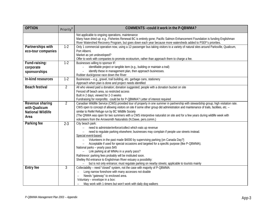| <b>OPTION</b>            | Priority <sup>*</sup> | <b>COMMENTS-could it work in the P-QBWMA?</b>                                                                                                                                                                                                 |
|--------------------------|-----------------------|-----------------------------------------------------------------------------------------------------------------------------------------------------------------------------------------------------------------------------------------------|
|                          |                       | Not applicable to ongoing operations, maintenance                                                                                                                                                                                             |
|                          |                       | Many have dried up: e.g., Fisheries Renewal BC is entirely gone; Pacific Salmon Enhancement Foundation is funding Englishman<br>River Watershed Recovery Program, but goes down each year because more watersheds added to PSEF's priorities. |
| Partnerships with        | $1-2$                 | Only 1 commercial operation now, using a 12-passenger bus taking visitors to a variety of natural sites around Parksville, Qualicum,                                                                                                          |
| eco-tour companies       |                       | Port Alberni.                                                                                                                                                                                                                                 |
|                          |                       | Market as yet undeveloped?                                                                                                                                                                                                                    |
|                          |                       | Offer to work with companies to promote ecotourism, rather than approach them to charge a fee.                                                                                                                                                |
| Fund-raising:            | $1-2$                 | Businesses willing to sponsor IF:                                                                                                                                                                                                             |
| corporate                |                       | identifiable project or tangible item (e.g., building or maintain a trail)<br>$\mathbf{u}$                                                                                                                                                    |
| sponsorships             |                       | identify these in management plan, then approach businesses.                                                                                                                                                                                  |
| In-kind resources        | $1-2$                 | Rubber duck/goose race down the River<br>Businesses - e.g., gravel, trail building, etc. garbage cans, stationery                                                                                                                             |
|                          |                       | Approach when plan is done and project needs identified                                                                                                                                                                                       |
| <b>Beach festival</b>    | $\overline{2}$        | All who viewed paid a donation; donation suggested; people with a donation bucket on site                                                                                                                                                     |
|                          |                       | Fenced off beach area, so restricted access                                                                                                                                                                                                   |
|                          |                       | Built in 2 days; viewed for 2-3 weeks                                                                                                                                                                                                         |
|                          |                       | Fundraising for nonprofits: could be for P-QBWMA? Letter of interest required                                                                                                                                                                 |
| Revenue sharing          | $\overline{2}$        | Canadian Wildlife Service (CWS) provided tour of property in one summer in partnership with stewardship group; high visitation rate.                                                                                                          |
| with Qualicum            |                       | CWS open to concept of allowing visitors on site if some other group did administration and maintenance of trails, facilities, etc. -                                                                                                         |
| <b>National Wildlife</b> |                       | similar to Reifel Refuge run by BC Wildlife Society                                                                                                                                                                                           |
| Area                     |                       | (The QNWA was open for two summers with a CWS interpretive naturalist on site and for a few years during wildlife week with                                                                                                                   |
|                          |                       | volunteers from the Arrowsmith Naturalists (N.Dawe, pers.comm.)                                                                                                                                                                               |
| Parking fee              | $2-3$                 | City beach park:                                                                                                                                                                                                                              |
|                          |                       | need to administer/enforce/collect which eats up revenue                                                                                                                                                                                      |
|                          |                       | need to regulate parking elsewhere; businesses may complain if people use streets instead.<br>Special event-based:                                                                                                                            |
|                          |                       | Volunteers in the past made \$4000 by supervising parking {on Canada Day?}<br>$\equiv$                                                                                                                                                        |
|                          |                       | Acceptable if used for special occasions and targeted for a specific purpose (like P-QBWMA).                                                                                                                                                  |
|                          |                       | National parks - yearly pass \$45                                                                                                                                                                                                             |
|                          |                       | Link parking at all WMAs in a yearly pass?                                                                                                                                                                                                    |
|                          |                       | Rathtrevor: parking fees probably will be instituted soon.                                                                                                                                                                                    |
|                          |                       | Shelley Rd entrance to Englishman River estuary a possibility:                                                                                                                                                                                |
|                          |                       | but is not only entrance; must regulate parking on nearby streets; applicable to tourists mainly                                                                                                                                              |
| <b>Entry fee</b>         | 3                     | Collectability - need "closed" system, not the case with majority of P-QBWMA:                                                                                                                                                                 |
|                          |                       | Long narrow foreshore with many accesses not doable                                                                                                                                                                                           |
|                          |                       | Needs "gateway" to enclosed area.                                                                                                                                                                                                             |
|                          |                       | Voluntary - envelope in a box:                                                                                                                                                                                                                |
|                          |                       | May work with 1-timers but won't work with daily dog walkers                                                                                                                                                                                  |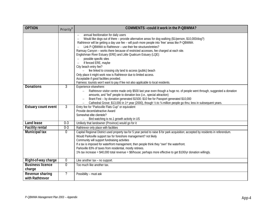| <b>OPTION</b>                             | Priority <sup>*</sup> | <b>COMMENTS-could it work in the P-QBWMA?</b>                                                                                                                                                                                                                                                                                                                                                                                                                                                                                                                                                                                                                                                                                                        |
|-------------------------------------------|-----------------------|------------------------------------------------------------------------------------------------------------------------------------------------------------------------------------------------------------------------------------------------------------------------------------------------------------------------------------------------------------------------------------------------------------------------------------------------------------------------------------------------------------------------------------------------------------------------------------------------------------------------------------------------------------------------------------------------------------------------------------------------------|
|                                           |                       | annual fee/donation for daily users<br>Would like dogs out of there - provide alternative areas for dog walking (\$1/person, \$10,000/dog?)<br>Rathtrevor will be getting a day use fee - will push more people into 'free' areas like P-QBWMA:<br>Link P-QBWMA to Rathtrevor - use their fee structure/entries?<br>Ramsay Canyon - works there because of restricted accesses, fee charged at each site.<br>Englishman River Estuary (ERE) and Little Qualicum Estuary (LQE):<br>possible specific sites<br>$\bar{ }$<br>If fenced ERE, maybe<br>City beach entry fee?<br>fee linked to crossing city land to access (public) beach<br>Only place it might work now is Rathtrevor due to limited access.<br>Acceptable if good facilities provided. |
| <b>Donations</b>                          | 3                     | Fairness: tourists won't want to pay if fee not also applicable to local residents.<br>Experience elsewhere:<br>Rathtrevor visitor centre made only \$500 last year even though a huge no. of people went through, suggested a donation<br>$\equiv$<br>amounts, and "led" people to donation box (i.e., special attraction)<br>Brant Fest - by donation generated \$1500; \$10 fee for Passport generated \$10,000<br>Cathedral Grove: \$13,000 in 1st year (2000), though 1/2 to 3/4 million people go thru; less in subsequent years.                                                                                                                                                                                                              |
| <b>Estuary count event</b>                | 3                     | Entry fee for "Parksville Flats Cup" or equivalent<br>Provide decent/attractive Award<br>Somewhat elite clientele?<br>Bird watching is no.1 growth activity in US                                                                                                                                                                                                                                                                                                                                                                                                                                                                                                                                                                                    |
| <b>Land lease</b>                         | $0 - 3$               | Unlikely that landowner (Province) would go for it                                                                                                                                                                                                                                                                                                                                                                                                                                                                                                                                                                                                                                                                                                   |
| <b>Facility rental</b>                    | $0 - 3$               | Rathtrevor only place with facilities                                                                                                                                                                                                                                                                                                                                                                                                                                                                                                                                                                                                                                                                                                                |
| <b>Municipal tax</b>                      | $\overline{0}$        | Capital Regional District used property tax for 5 year period to raise \$ for park acquisition; accepted by residents in referendum.<br>Would Parksville support tax for foreshore management? not likely<br>Community will support fundraising activities<br>If a tax is imposed for waterfront management, then people think they "own" the waterfront.<br>Parksville 83% of taxes from residential, mostly retirees.<br>1% tax increase = \$40,000 total revenue = \$8/house; perhaps more effective to get \$100/yr donation willingly.                                                                                                                                                                                                          |
| Right-of-way charge                       | $\boldsymbol{0}$      | Like another tax - no support.                                                                                                                                                                                                                                                                                                                                                                                                                                                                                                                                                                                                                                                                                                                       |
| <b>Business licence</b><br>charge         | $\overline{0}$        | Too much like another tax.                                                                                                                                                                                                                                                                                                                                                                                                                                                                                                                                                                                                                                                                                                                           |
| <b>Revenue sharing</b><br>with Rathtrevor | ?                     | Possibility - must ask                                                                                                                                                                                                                                                                                                                                                                                                                                                                                                                                                                                                                                                                                                                               |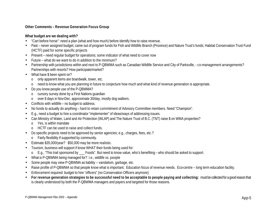## **Other Comments – Revenue Generation Focus Group**

### **What budget are we dealing with?**

- "Cart before horse": need a plan (what and how much) before identify how to raise revenue.
- Past never assigned budget; came out of program funds for Fish and Wildlife Branch (Province) and Nature Trust's funds; Habitat Conservation Trust Fund (HCTF) paid for some specific projects
- Present need regular budget for operations; some indicator of what need to cover now
- Future what do we want to do in addition to the minimum?
- Partnership with jurisdictions within and next to P-QBWMA such as Canadian Wildlife Service and City of Parksville, co-management arrangements? Partnerships with resorts? How participate/market?
- What have \$ been spent on?
	- o only apparent items are boardwalk, tower, etc.
	- o need to know what you are planning in future to conjecture how much and what kind of revenue generation is appropriate.
- Do you know people use of the P-QBWMA?
	- o cursory survey done by a First Nations guardian
	- o over 8 days in Nov-Dec. approximate 30/day, mostly dog walkers.
- Conflicts with wildlife no budget to address.
- No funds to actually do anything hard to retain commitment of Advisory Committee members. Need "Champion".
- E.g., need a budget to hire a coordinator "implementer" of ideas/ways of addressing issues.
- Can Ministry of Water, Land and Air Protection (WLAP) and The Nature Trust of B.C. (TNT) raise \$ on WMA properties?
	- o Yes, is within mandate
	- o HCTF can be used to raise and collect funds.
- Do specific projects need to be approved by senior agencies; e.g., charges, fees, etc.?
	- o Fairly flexibility if supported by community.
- Estimate \$35,000/year? \$50,000 may be more realistic.
- Tourism, business will support if know WHAT their funds being used for:
	- o E.g., "This trail sponsored by \_\_\_ Foods". But need to know value, who's benefiting who should be asked to support.
- What is P-QBWMA being managed for? I.e., wildlife vs. people
- Some people may view P-QBWMA as liability vandalism, garbage, etc.
- Raise profile of P-QBWMA so that people know what is important. Education focus of revenue needs. Eco-centre long term education facility.
- Enforcement required: budget to hire "officers" (no Conservation Officers anymore)
- **For revenue generation strategies to be successful need to be acceptable to people paying and collecting:** must be collected for a good reason that is clearly understood by both the P-QBWMA managers and payers and targeted for those reasons.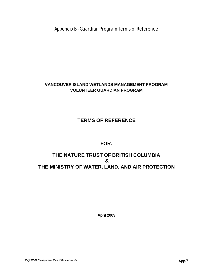Appendix B - Guardian Program Terms of Reference

# **VANCOUVER ISLAND WETLANDS MANAGEMENT PROGRAM VOLUNTEER GUARDIAN PROGRAM**

# **TERMS OF REFERENCE**

# **FOR:**

# **THE NATURE TRUST OF BRITISH COLUMBIA & THE MINISTRY OF WATER, LAND, AND AIR PROTECTION**

**April 2003**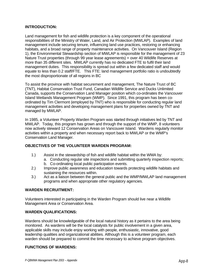### **INTRODUCTION:**

Land management for fish and wildlife protection is a key component of the operational responsibilities of the Ministry of Water, Land, and Air Protection (MWLAP). Examples of land management include securing tenure, influencing land use practices, restoring or enhancing habitats, and a broad range of property maintenance activities. On Vancouver Island (Region 1), the Environmental Stewardship section of MWLAP is responsible for the management of 23 Nature Trust properties (through 99 year lease agreements) + over 40 Wildlife Reserves at more than 35 different sites. MWLAP currently has no dedicated FTE to fulfil their land management duties. This responsibility is spread out within a few dedicated staff and would equate to less than 0.2 staff/FTE. This FTE: land management portfolio ratio is undoubtedly the most disproportionate of all regions in BC

To assist the province with habitat securement and management, The Nature Trust of BC (TNT), Habitat Conservation Trust Fund, Canadian Wildlife Service and Ducks Unlimited Canada, supports the Conservation Land Manager position which co-ordinates the Vancouver Island Wetlands Management Program (WMP). Since 1991, this program has been coordinated by Tim Clermont (employed by TNT) who is responsible for conducting regular land management activities and developing management plans for properties owned by TNT and managed by MWLAP.

In 1985, a Volunteer Property Warden Program was started through initiatives led by TNT and MWLAP. Today, this program has grown and through the support of the WMP, 8 volunteers now actively steward 12 Conservation Areas on Vancouver Island. Wardens regularly monitor activities within a property and when necessary report back to MWLAP or the WMP's Conservation Land Manager.

## **OBJECTIVES OF THE VOLUNTEER WARDEN PROGRAM:**

- 1.) Assist in the stewardship of fish and wildlife habitat within the WMA by:
	- a. Conducting regular site inspections and submitting quarterly inspection reports;
		- b. Co-ordinating local public participation events.
- 2.) Improve public awareness and education towards protecting wildlife habitats and sustaining the resources within.
- 3.) Act as a liaison between the general public and the WMP/MWLAP land management programs and when appropriate other regulatory agencies.

## **WARDEN RECRUITMENT:**

Volunteers interested in participating in the Warden Program should live near a Wildlife Management Area or Conservation Area.

### **WARDEN QUALIFICATIONS:**

Wardens should be knowledgeable of the local natural history as it pertains to the area being monitored. As wardens will be the local catalysts for public involvement in a given area, applicable skills may include enjoy working with people, enthusiastic, innovative, good leadership qualities and organizational abilities. Although this is a volunteer program, each warden should be prepared to commit the time necessary to achieve program objectives.

### **FUNCTIONS OF WARDENS:**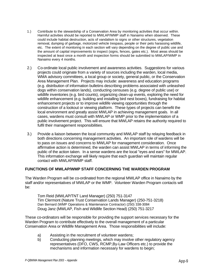- 1.) Contribute to the stewardship of a Conservation Area by monitoring activities that occur within. Harmful activities should be reported to MWLAP/WMP staff in Nanaimo when observed. These could include habitat destruction, acts of vandalism to signs or other structures, vegetation removal, dumping of garbage, motorized vehicle trespass, people or their pets harassing wildlife, etc. The extent of monitoring in each section will vary depending on the degree of public use and the amount of capital improvements to inspect (signs, fences, gates etc.). Most areas should be inspected at least once a month and inspection forms should be submitted to MWLAP/WMP in Nanaimo every 4 months.
- 2.) Co-ordinate local public involvement and awareness activities. Suggestions for various projects could originate from a variety of sources including the warden, local media, WMA advisory committees, a local group or society, general public, or the Conservation Area Management Plan. Projects may include: awareness and education programs (e.g. distribution of information bulletins describing problems associated with unleashed dogs within conservation lands), conducting censuses (e.g. degree of public use) or wildlife inventories (e.g. bird counts), organizing clean-up events, exploring the need for wildlife enhancement (e.g. building and installing bird nest boxes), fundraising for habitat enhancement projects or to improve wildlife viewing opportunities through the construction of a lookout or viewing platform. These types of projects can benefit the local environment and greatly assist MWLAP in achieving management goals. In all cases, wardens must consult with MWLAP or WMP prior to the implementation of a public involvement project. This will ensure that MWLAP retains the authority required to fulfil their management responsibilities.
- 3.) Provide a liaison between the local community and MWLAP staff by relaying feedback in both directions concerning management activities. An important role of wardens will be to pass on issues and concerns to MWLAP for management consideration. Once affirmative action is determined, the warden can assist MWLAP in terms of informing the public of the action taken. In a sense wardens are the local "eyes and ears" for MWLAP. This information exchange will likely require that each guardian will maintain regular contact with MWLAP/WMP staff.

### **FUNCTIONS OF MWLAP/WMP STAFF CONCERNING THE WARDEN PROGRAM**

The Warden Program will be co-ordinated from the regional MWLAP office in Nanaimo by the staff and/or representatives of MWLAP or the WMP. Volunteer Warden Program contacts will be:

Tom Reid (MWLAP/TNT Land Manager) (250) 751-3147 Tim Clermont (Nature Trust Conservation Lands Manager) (250-751-3218) Dan Bernard (WMP Operations & Maintenance Contractor) (250) 338-3084 Doug Janz (MWLAP, Fish and Wildlife Section Head) (250) 751-3217

These co-ordinators will be responsible for providing the support services necessary for the Warden Program to contribute effectively to the overall management of a particular Conservation Area or Wildlife Management Area. Those responsibilities will include:

- a) Assisting in the recruitment of volunteer wardens;
- b) Conducting planning meetings, which may involve other regulatory agency representatives (DFO, CWS, RCMP,By-Law Officers etc.) to provide the mechanisms and information necessary for wardens to begin;